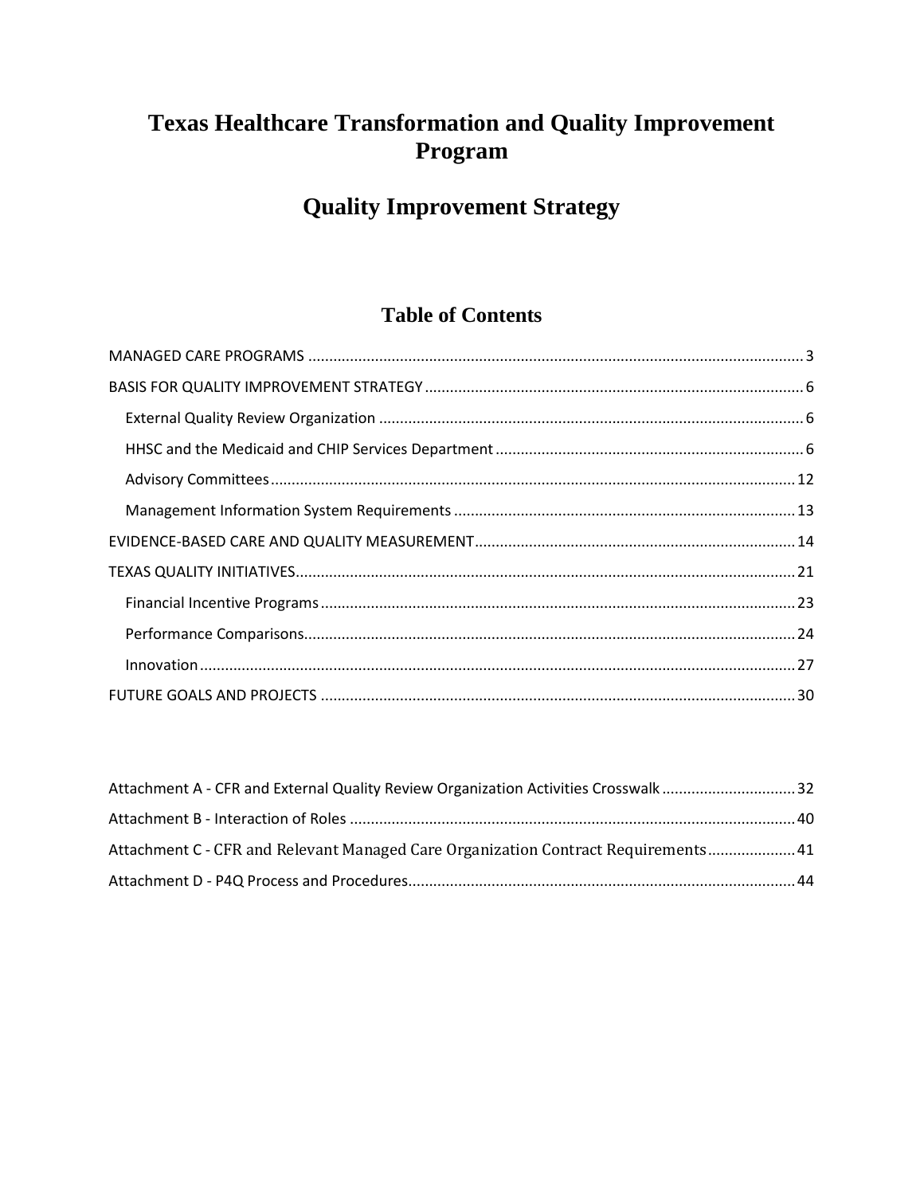# **Texas Healthcare Transformation and Quality Improvement** Program

# **Quality Improvement Strategy**

## **Table of Contents**

| Attachment A - CFR and External Quality Review Organization Activities Crosswalk 32 |  |
|-------------------------------------------------------------------------------------|--|
|                                                                                     |  |
| Attachment C - CFR and Relevant Managed Care Organization Contract Requirements 41  |  |
|                                                                                     |  |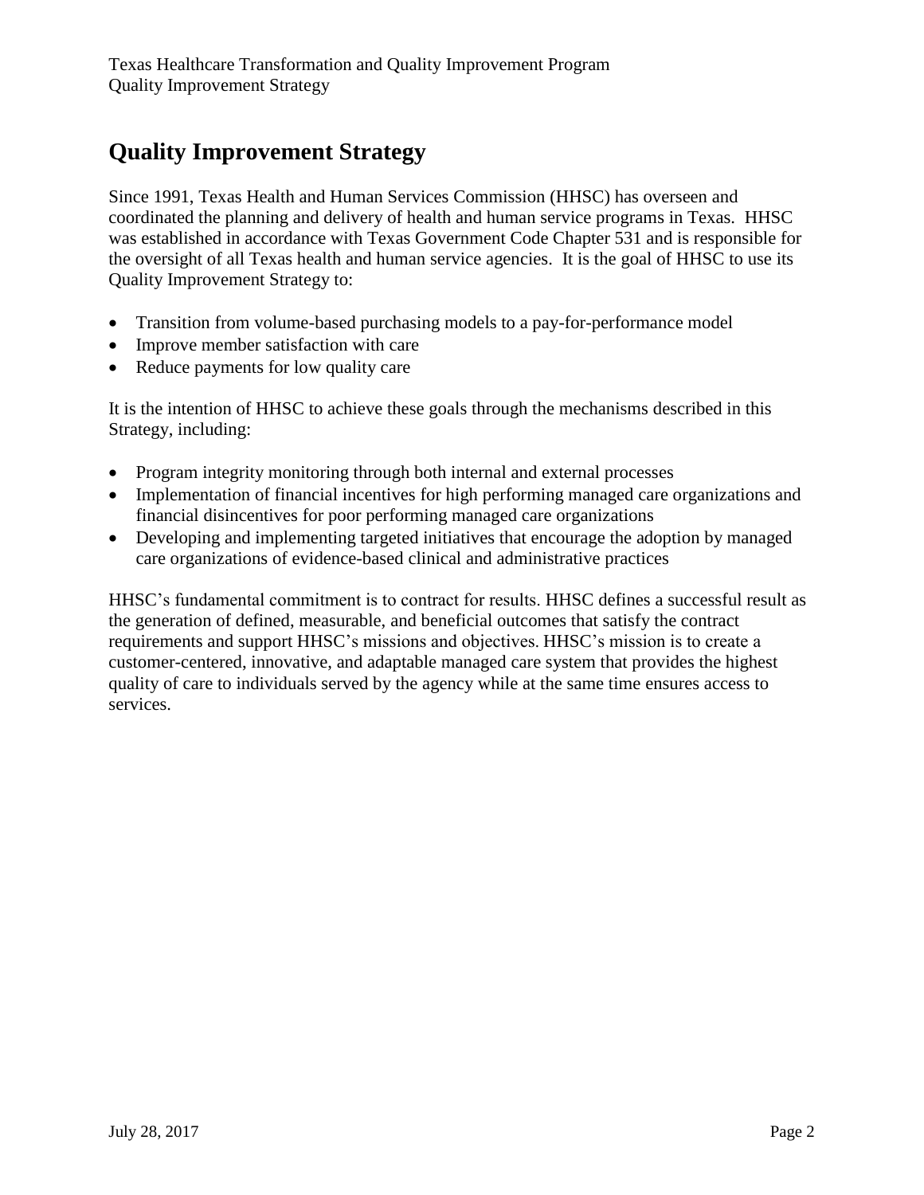# **Quality Improvement Strategy**

Since 1991, Texas Health and Human Services Commission (HHSC) has overseen and coordinated the planning and delivery of health and human service programs in Texas. HHSC was established in accordance with Texas Government Code Chapter 531 and is responsible for the oversight of all Texas health and human service agencies. It is the goal of HHSC to use its Quality Improvement Strategy to:

- Transition from volume-based purchasing models to a pay-for-performance model
- Improve member satisfaction with care
- Reduce payments for low quality care

It is the intention of HHSC to achieve these goals through the mechanisms described in this Strategy, including:

- Program integrity monitoring through both internal and external processes
- Implementation of financial incentives for high performing managed care organizations and financial disincentives for poor performing managed care organizations
- Developing and implementing targeted initiatives that encourage the adoption by managed care organizations of evidence-based clinical and administrative practices

HHSC's fundamental commitment is to contract for results. HHSC defines a successful result as the generation of defined, measurable, and beneficial outcomes that satisfy the contract requirements and support HHSC's missions and objectives. HHSC's mission is to create a customer-centered, innovative, and adaptable managed care system that provides the highest quality of care to individuals served by the agency while at the same time ensures access to services.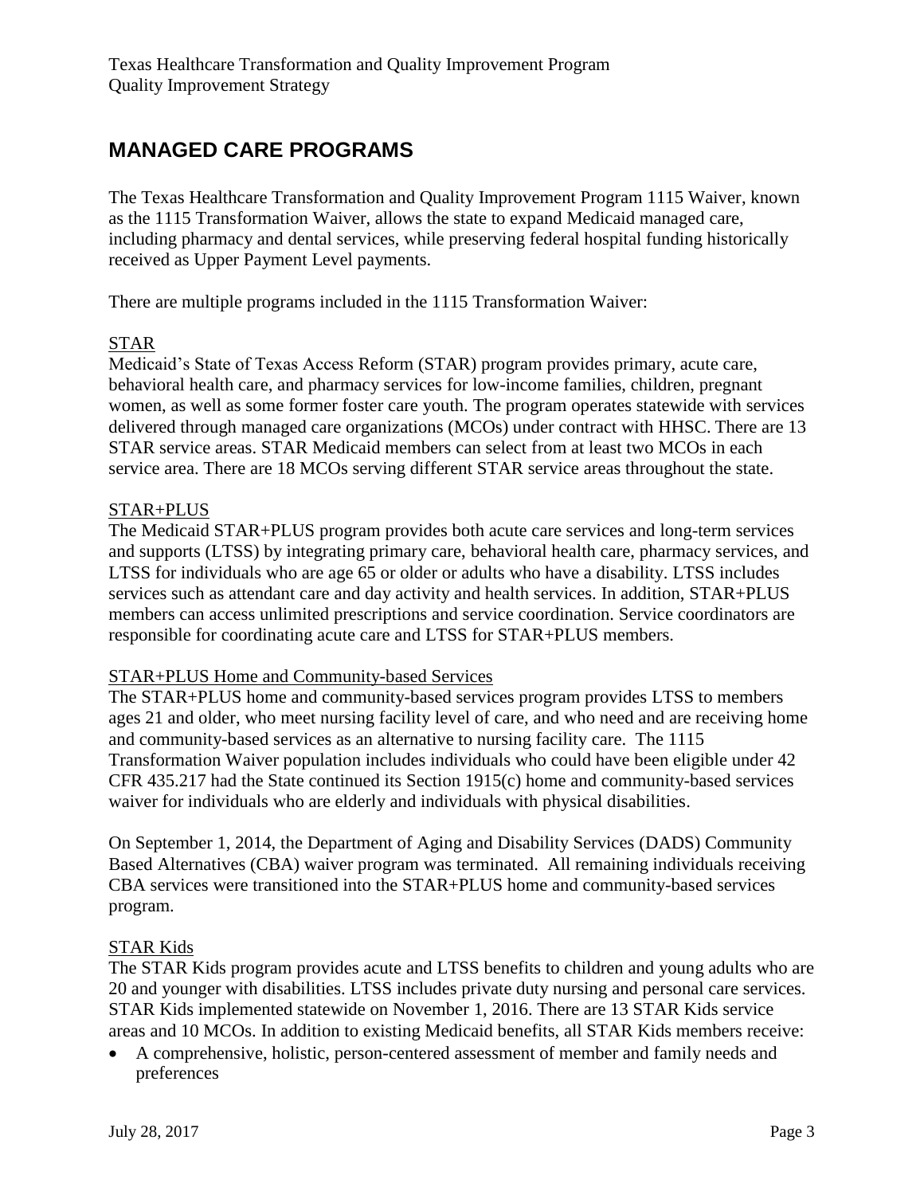# <span id="page-2-0"></span>**MANAGED CARE PROGRAMS**

The Texas Healthcare Transformation and Quality Improvement Program 1115 Waiver, known as the 1115 Transformation Waiver, allows the state to expand Medicaid managed care, including pharmacy and dental services, while preserving federal hospital funding historically received as Upper Payment Level payments.

There are multiple programs included in the 1115 Transformation Waiver:

## STAR

Medicaid's State of Texas Access Reform (STAR) program provides primary, acute care, behavioral health care, and pharmacy services for low-income families, children, pregnant women, as well as some former foster care youth. The program operates statewide with services delivered through managed care organizations (MCOs) under contract with HHSC. There are 13 STAR service areas. STAR Medicaid members can select from at least two MCOs in each service area. There are 18 MCOs serving different STAR service areas throughout the state.

## STAR+PLUS

The Medicaid STAR+PLUS program provides both acute care services and long-term services and supports (LTSS) by integrating primary care, behavioral health care, pharmacy services, and LTSS for individuals who are age 65 or older or adults who have a disability. LTSS includes services such as attendant care and day activity and health services. In addition, STAR+PLUS members can access unlimited prescriptions and service coordination. Service coordinators are responsible for coordinating acute care and LTSS for STAR+PLUS members.

#### STAR+PLUS Home and Community-based Services

The STAR+PLUS home and community-based services program provides LTSS to members ages 21 and older, who meet nursing facility level of care, and who need and are receiving home and community-based services as an alternative to nursing facility care. The 1115 Transformation Waiver population includes individuals who could have been eligible under 42 CFR 435.217 had the State continued its Section 1915(c) home and community-based services waiver for individuals who are elderly and individuals with physical disabilities.

On September 1, 2014, the Department of Aging and Disability Services (DADS) Community Based Alternatives (CBA) waiver program was terminated. All remaining individuals receiving CBA services were transitioned into the STAR+PLUS home and community-based services program.

## STAR Kids

The STAR Kids program provides acute and LTSS benefits to children and young adults who are 20 and younger with disabilities. LTSS includes private duty nursing and personal care services. STAR Kids implemented statewide on November 1, 2016. There are 13 STAR Kids service areas and 10 MCOs. In addition to existing Medicaid benefits, all STAR Kids members receive:

 A comprehensive, holistic, person-centered assessment of member and family needs and preferences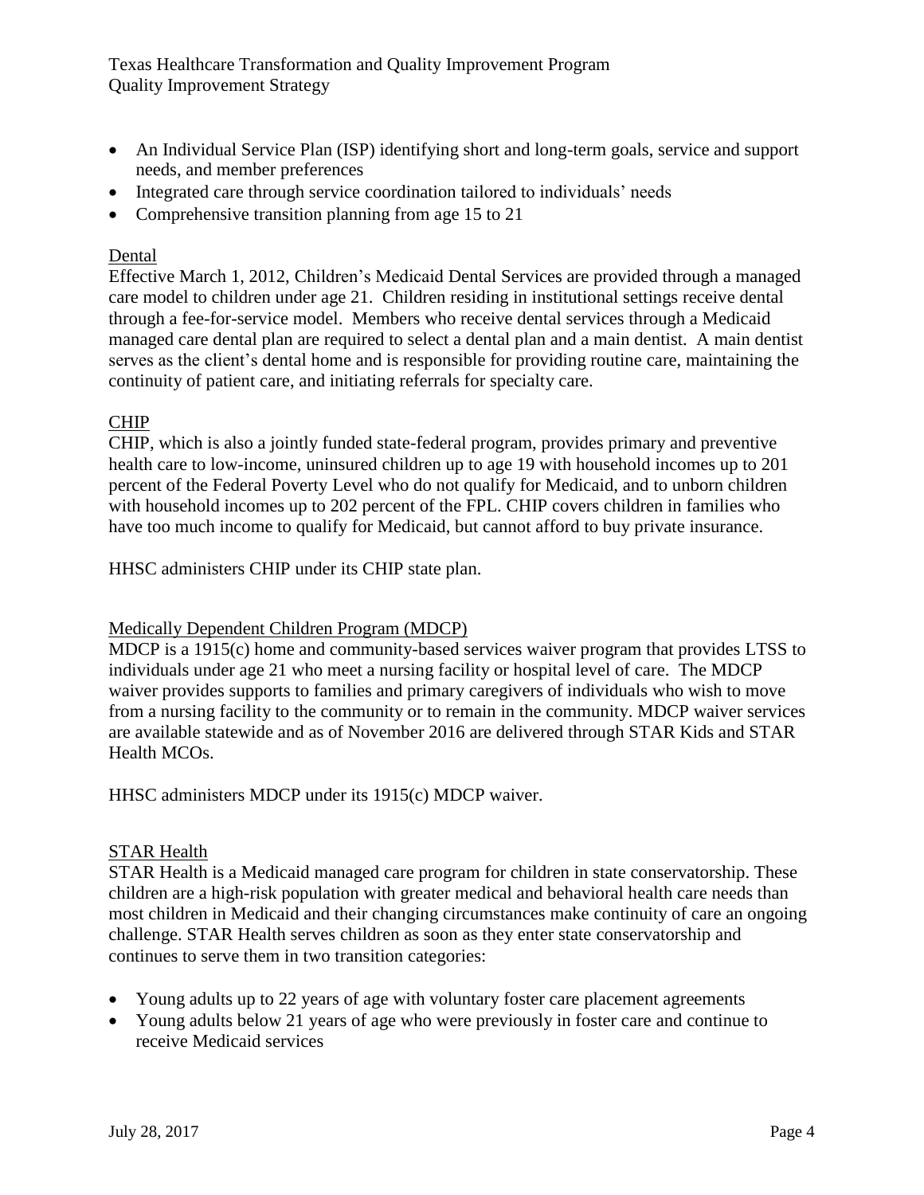- An Individual Service Plan (ISP) identifying short and long-term goals, service and support needs, and member preferences
- Integrated care through service coordination tailored to individuals' needs
- Comprehensive transition planning from age 15 to 21

## Dental

Effective March 1, 2012, Children's Medicaid Dental Services are provided through a managed care model to children under age 21. Children residing in institutional settings receive dental through a fee-for-service model. Members who receive dental services through a Medicaid managed care dental plan are required to select a dental plan and a main dentist. A main dentist serves as the client's dental home and is responsible for providing routine care, maintaining the continuity of patient care, and initiating referrals for specialty care.

## CHIP

CHIP, which is also a jointly funded state-federal program, provides primary and preventive health care to low-income, uninsured children up to age 19 with household incomes up to 201 percent of the Federal Poverty Level who do not qualify for Medicaid, and to unborn children with household incomes up to 202 percent of the FPL. CHIP covers children in families who have too much income to qualify for Medicaid, but cannot afford to buy private insurance.

HHSC administers CHIP under its CHIP state plan.

#### Medically Dependent Children Program (MDCP)

MDCP is a 1915(c) home and community-based services waiver program that provides LTSS to individuals under age 21 who meet a nursing facility or hospital level of care. The MDCP waiver provides supports to families and primary caregivers of individuals who wish to move from a nursing facility to the community or to remain in the community. MDCP waiver services are available statewide and as of November 2016 are delivered through STAR Kids and STAR Health MCOs.

HHSC administers MDCP under its 1915(c) MDCP waiver.

## STAR Health

STAR Health is a Medicaid managed care program for children in state conservatorship. These children are a high-risk population with greater medical and behavioral health care needs than most children in Medicaid and their changing circumstances make continuity of care an ongoing challenge. STAR Health serves children as soon as they enter state conservatorship and continues to serve them in two transition categories:

- Young adults up to 22 years of age with voluntary foster care placement agreements
- Young adults below 21 years of age who were previously in foster care and continue to receive Medicaid services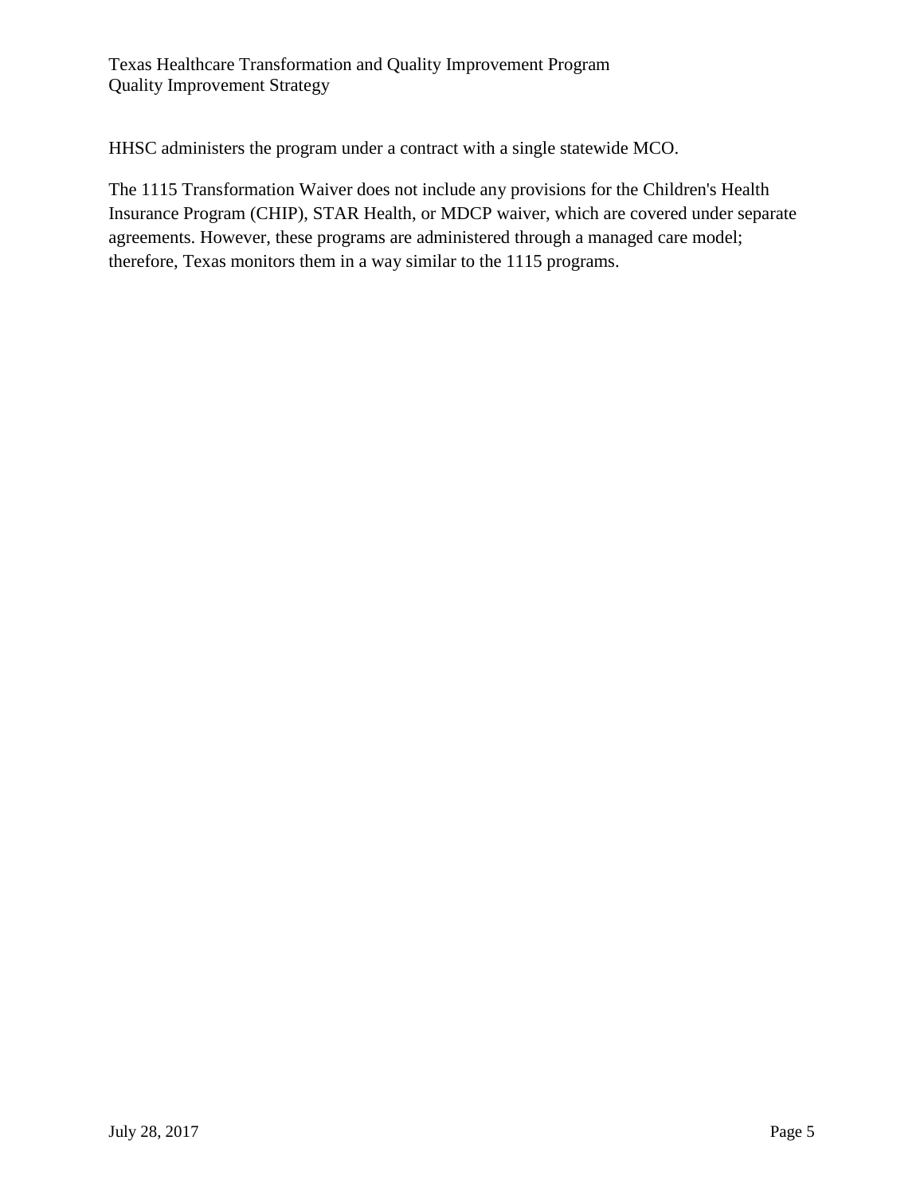HHSC administers the program under a contract with a single statewide MCO.

The 1115 Transformation Waiver does not include any provisions for the Children's Health Insurance Program (CHIP), STAR Health, or MDCP waiver, which are covered under separate agreements. However, these programs are administered through a managed care model; therefore, Texas monitors them in a way similar to the 1115 programs.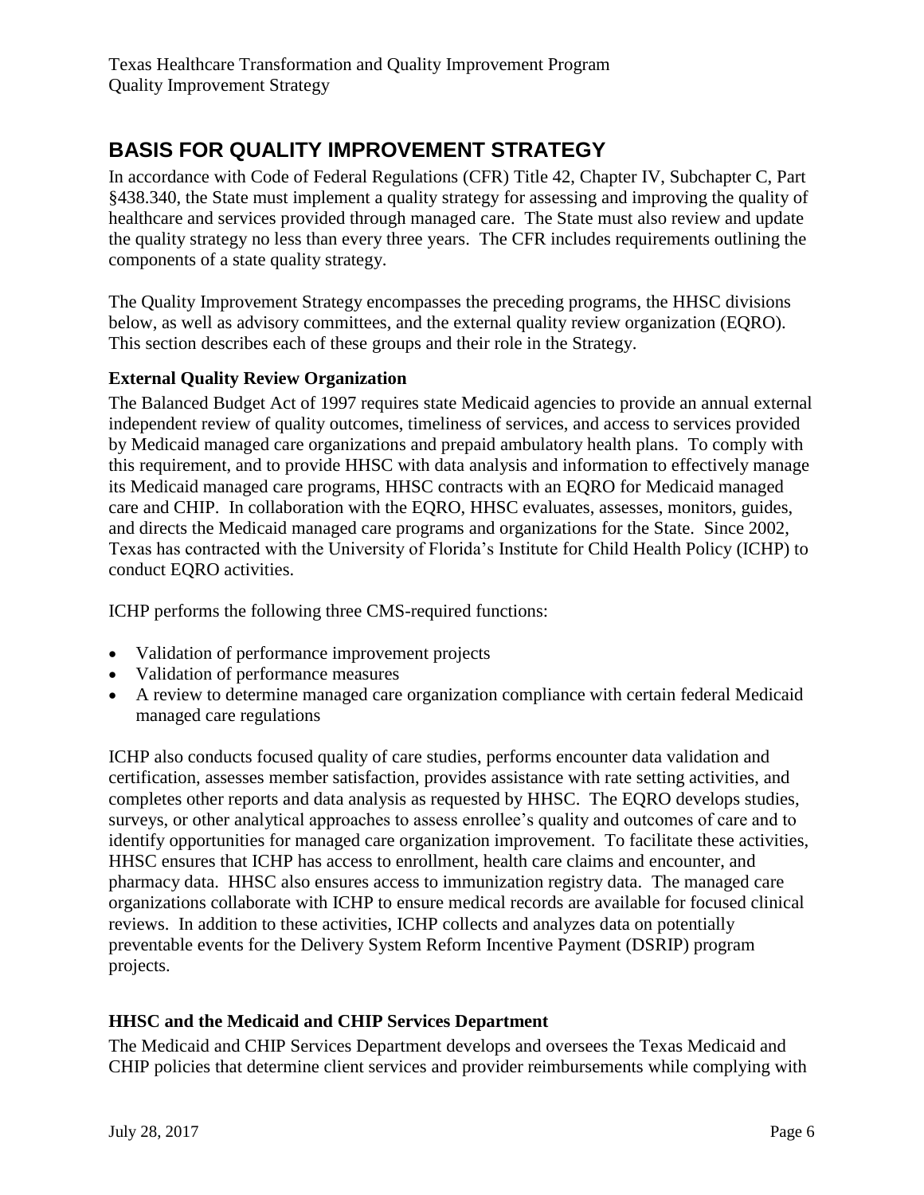# <span id="page-5-0"></span>**BASIS FOR QUALITY IMPROVEMENT STRATEGY**

In accordance with Code of Federal Regulations (CFR) Title 42, Chapter IV, Subchapter C, Part §438.340, the State must implement a quality strategy for assessing and improving the quality of healthcare and services provided through managed care. The State must also review and update the quality strategy no less than every three years. The CFR includes requirements outlining the components of a state quality strategy.

The Quality Improvement Strategy encompasses the preceding programs, the HHSC divisions below, as well as advisory committees, and the external quality review organization (EQRO). This section describes each of these groups and their role in the Strategy.

## <span id="page-5-1"></span>**External Quality Review Organization**

The Balanced Budget Act of 1997 requires state Medicaid agencies to provide an annual external independent review of quality outcomes, timeliness of services, and access to services provided by Medicaid managed care organizations and prepaid ambulatory health plans. To comply with this requirement, and to provide HHSC with data analysis and information to effectively manage its Medicaid managed care programs, HHSC contracts with an EQRO for Medicaid managed care and CHIP. In collaboration with the EQRO, HHSC evaluates, assesses, monitors, guides, and directs the Medicaid managed care programs and organizations for the State. Since 2002, Texas has contracted with the University of Florida's Institute for Child Health Policy (ICHP) to conduct EQRO activities.

ICHP performs the following three CMS-required functions:

- Validation of performance improvement projects
- Validation of performance measures
- A review to determine managed care organization compliance with certain federal Medicaid managed care regulations

ICHP also conducts focused quality of care studies, performs encounter data validation and certification, assesses member satisfaction, provides assistance with rate setting activities, and completes other reports and data analysis as requested by HHSC. The EQRO develops studies, surveys, or other analytical approaches to assess enrollee's quality and outcomes of care and to identify opportunities for managed care organization improvement. To facilitate these activities, HHSC ensures that ICHP has access to enrollment, health care claims and encounter, and pharmacy data. HHSC also ensures access to immunization registry data. The managed care organizations collaborate with ICHP to ensure medical records are available for focused clinical reviews. In addition to these activities, ICHP collects and analyzes data on potentially preventable events for the Delivery System Reform Incentive Payment (DSRIP) program projects.

## <span id="page-5-2"></span>**HHSC and the Medicaid and CHIP Services Department**

The Medicaid and CHIP Services Department develops and oversees the Texas Medicaid and CHIP policies that determine client services and provider reimbursements while complying with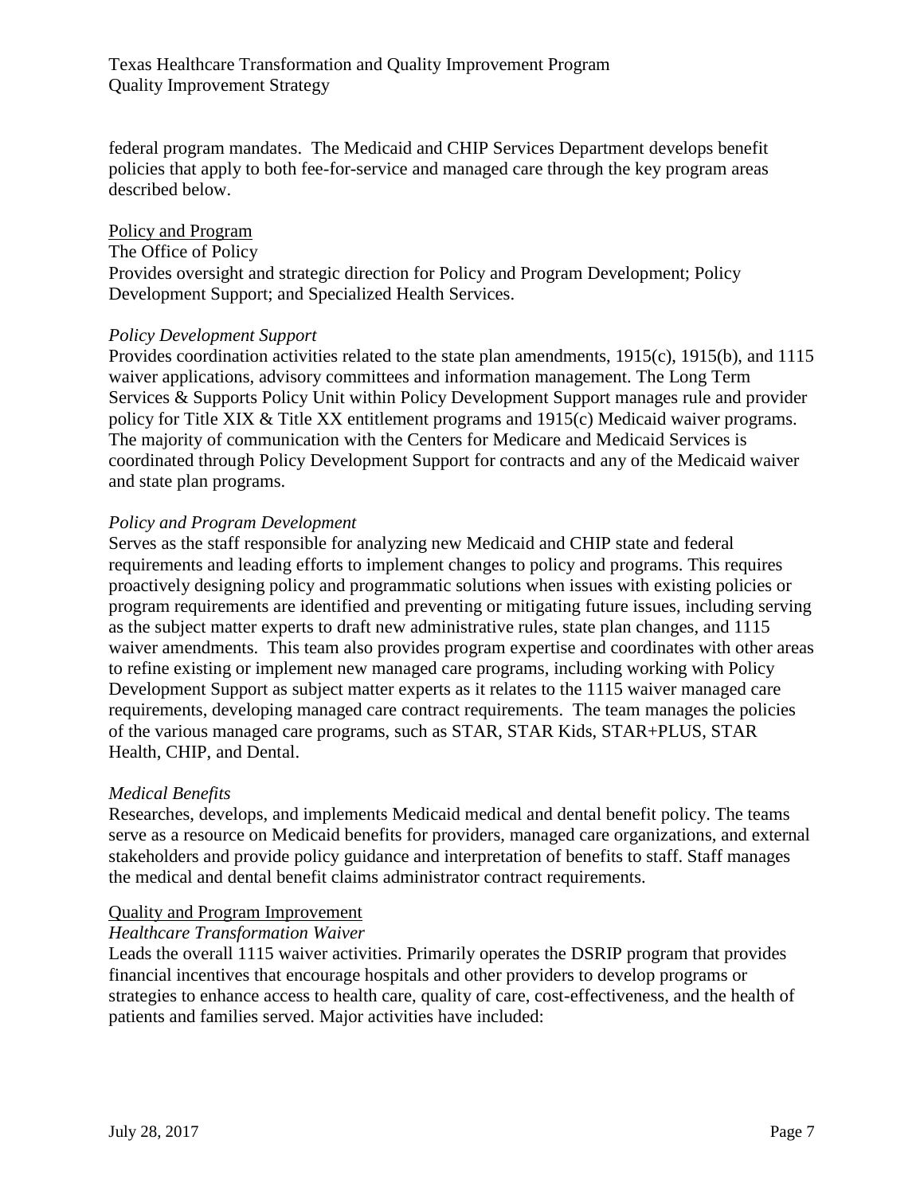federal program mandates. The Medicaid and CHIP Services Department develops benefit policies that apply to both fee-for-service and managed care through the key program areas described below.

## Policy and Program

The Office of Policy Provides oversight and strategic direction for Policy and Program Development; Policy Development Support; and Specialized Health Services.

## *Policy Development Support*

Provides coordination activities related to the state plan amendments, 1915(c), 1915(b), and 1115 waiver applications, advisory committees and information management. The Long Term Services & Supports Policy Unit within Policy Development Support manages rule and provider policy for Title XIX & Title XX entitlement programs and 1915(c) Medicaid waiver programs. The majority of communication with the Centers for Medicare and Medicaid Services is coordinated through Policy Development Support for contracts and any of the Medicaid waiver and state plan programs.

## *Policy and Program Development*

Serves as the staff responsible for analyzing new Medicaid and CHIP state and federal requirements and leading efforts to implement changes to policy and programs. This requires proactively designing policy and programmatic solutions when issues with existing policies or program requirements are identified and preventing or mitigating future issues, including serving as the subject matter experts to draft new administrative rules, state plan changes, and 1115 waiver amendments. This team also provides program expertise and coordinates with other areas to refine existing or implement new managed care programs, including working with Policy Development Support as subject matter experts as it relates to the 1115 waiver managed care requirements, developing managed care contract requirements. The team manages the policies of the various managed care programs, such as STAR, STAR Kids, STAR+PLUS, STAR Health, CHIP, and Dental.

## *Medical Benefits*

Researches, develops, and implements Medicaid medical and dental benefit policy. The teams serve as a resource on Medicaid benefits for providers, managed care organizations, and external stakeholders and provide policy guidance and interpretation of benefits to staff. Staff manages the medical and dental benefit claims administrator contract requirements.

## Quality and Program Improvement

## *Healthcare Transformation Waiver*

Leads the overall 1115 waiver activities. Primarily operates the DSRIP program that provides financial incentives that encourage hospitals and other providers to develop programs or strategies to enhance access to health care, quality of care, cost-effectiveness, and the health of patients and families served. Major activities have included: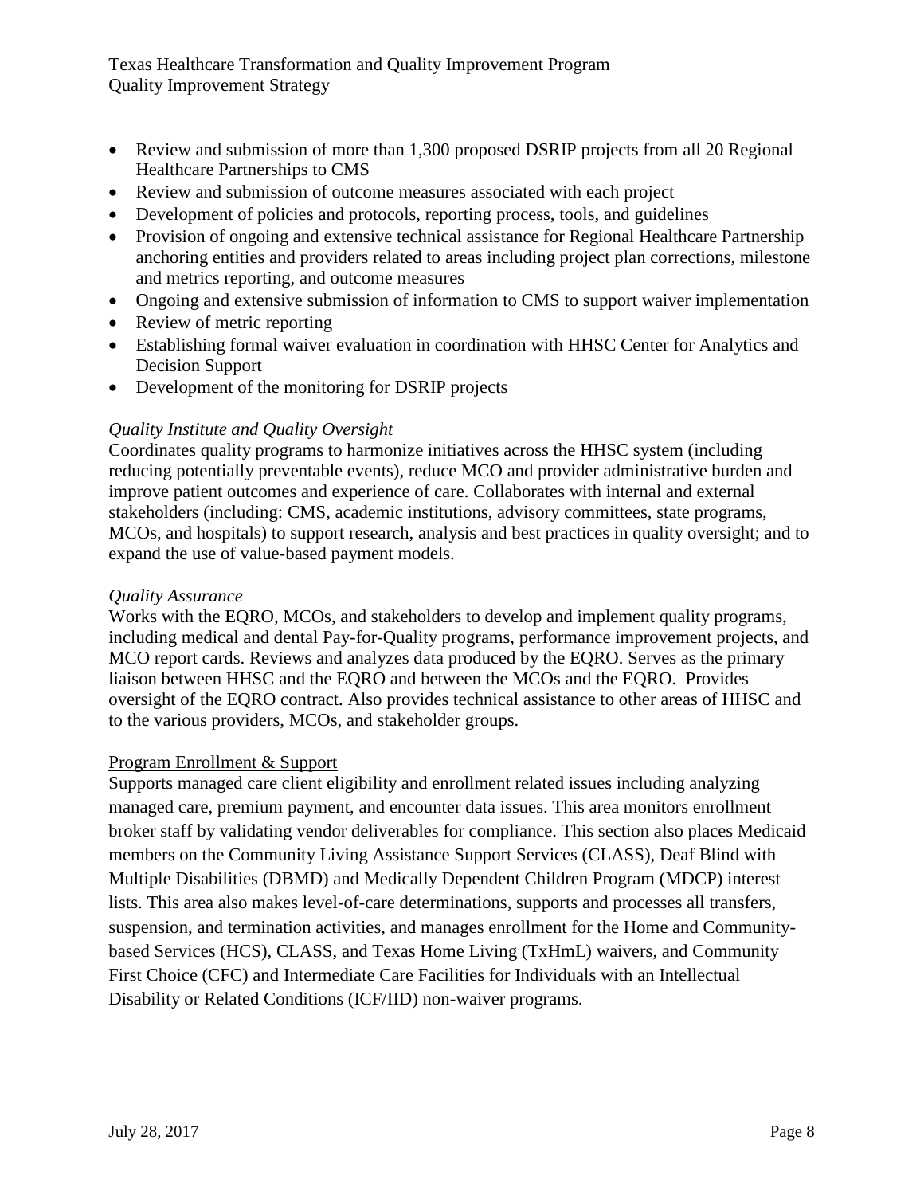- Review and submission of more than 1,300 proposed DSRIP projects from all 20 Regional Healthcare Partnerships to CMS
- Review and submission of outcome measures associated with each project
- Development of policies and protocols, reporting process, tools, and guidelines
- Provision of ongoing and extensive technical assistance for Regional Healthcare Partnership anchoring entities and providers related to areas including project plan corrections, milestone and metrics reporting, and outcome measures
- Ongoing and extensive submission of information to CMS to support waiver implementation
- Review of metric reporting
- Establishing formal waiver evaluation in coordination with HHSC Center for Analytics and Decision Support
- Development of the monitoring for DSRIP projects

## *Quality Institute and Quality Oversight*

Coordinates quality programs to harmonize initiatives across the HHSC system (including reducing potentially preventable events), reduce MCO and provider administrative burden and improve patient outcomes and experience of care. Collaborates with internal and external stakeholders (including: CMS, academic institutions, advisory committees, state programs, MCOs, and hospitals) to support research, analysis and best practices in quality oversight; and to expand the use of value-based payment models.

## *Quality Assurance*

Works with the EQRO, MCOs, and stakeholders to develop and implement quality programs, including medical and dental Pay-for-Quality programs, performance improvement projects, and MCO report cards. Reviews and analyzes data produced by the EQRO. Serves as the primary liaison between HHSC and the EQRO and between the MCOs and the EQRO. Provides oversight of the EQRO contract. Also provides technical assistance to other areas of HHSC and to the various providers, MCOs, and stakeholder groups.

## Program Enrollment & Support

Supports managed care client eligibility and enrollment related issues including analyzing managed care, premium payment, and encounter data issues. This area monitors enrollment broker staff by validating vendor deliverables for compliance. This section also places Medicaid members on the Community Living Assistance Support Services (CLASS), Deaf Blind with Multiple Disabilities (DBMD) and Medically Dependent Children Program (MDCP) interest lists. This area also makes level-of-care determinations, supports and processes all transfers, suspension, and termination activities, and manages enrollment for the Home and Communitybased Services (HCS), CLASS, and Texas Home Living (TxHmL) waivers, and Community First Choice (CFC) and Intermediate Care Facilities for Individuals with an Intellectual Disability or Related Conditions (ICF/IID) non-waiver programs.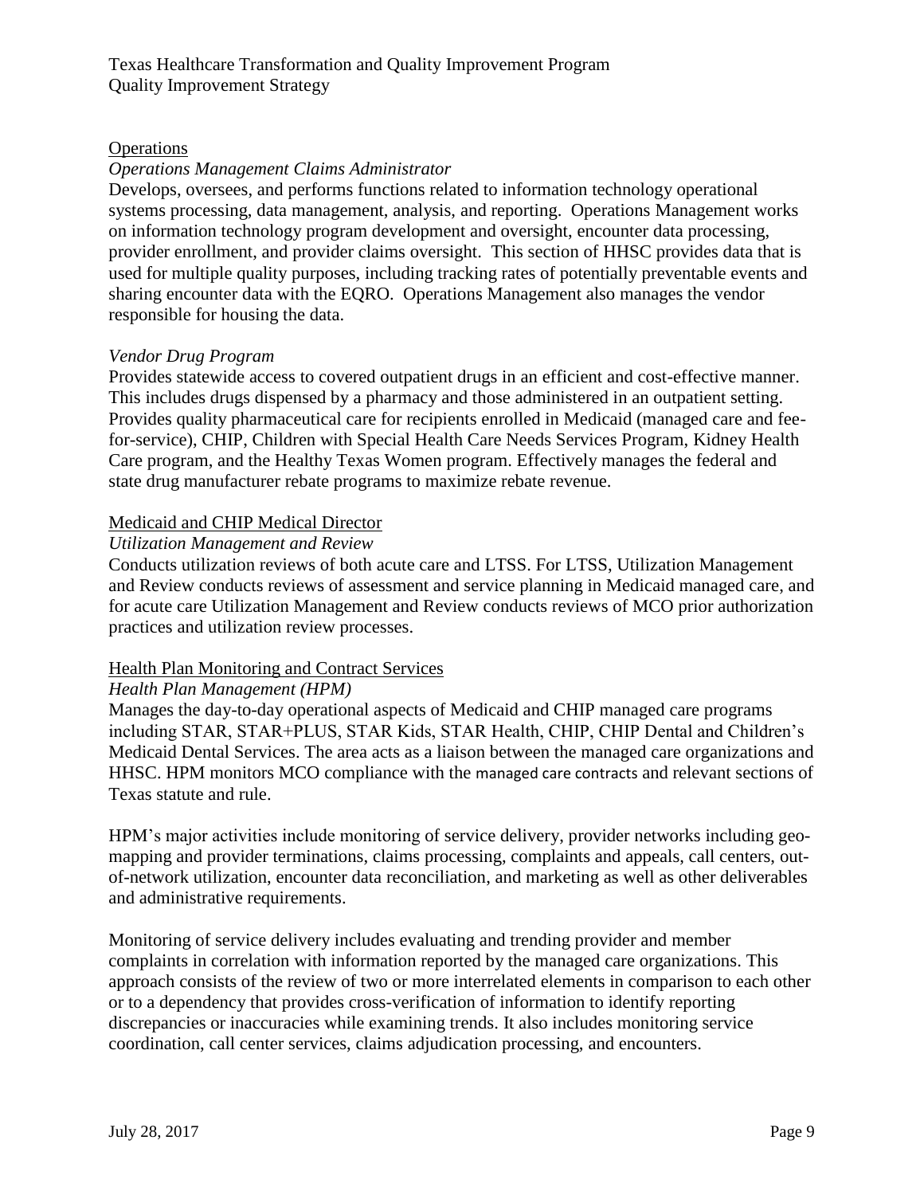## **Operations**

## *Operations Management Claims Administrator*

Develops, oversees, and performs functions related to information technology operational systems processing, data management, analysis, and reporting. Operations Management works on information technology program development and oversight, encounter data processing, provider enrollment, and provider claims oversight. This section of HHSC provides data that is used for multiple quality purposes, including tracking rates of potentially preventable events and sharing encounter data with the EQRO. Operations Management also manages the vendor responsible for housing the data.

## *Vendor Drug Program*

Provides statewide access to covered outpatient drugs in an efficient and cost-effective manner. This includes drugs dispensed by a pharmacy and those administered in an outpatient setting. Provides quality pharmaceutical care for recipients enrolled in Medicaid (managed care and feefor-service), CHIP, Children with Special Health Care Needs Services Program, Kidney Health Care program, and the Healthy Texas Women program. Effectively manages the federal and state drug manufacturer rebate programs to maximize rebate revenue.

## Medicaid and CHIP Medical Director

## *Utilization Management and Review*

Conducts utilization reviews of both acute care and LTSS. For LTSS, Utilization Management and Review conducts reviews of assessment and service planning in Medicaid managed care, and for acute care Utilization Management and Review conducts reviews of MCO prior authorization practices and utilization review processes.

## Health Plan Monitoring and Contract Services

#### *Health Plan Management (HPM)*

Manages the day-to-day operational aspects of Medicaid and CHIP managed care programs including STAR, STAR+PLUS, STAR Kids, STAR Health, CHIP, CHIP Dental and Children's Medicaid Dental Services. The area acts as a liaison between the managed care organizations and HHSC. HPM monitors MCO compliance with the managed care contracts and relevant sections of Texas statute and rule.

HPM's major activities include monitoring of service delivery, provider networks including geomapping and provider terminations, claims processing, complaints and appeals, call centers, outof-network utilization, encounter data reconciliation, and marketing as well as other deliverables and administrative requirements.

Monitoring of service delivery includes evaluating and trending provider and member complaints in correlation with information reported by the managed care organizations. This approach consists of the review of two or more interrelated elements in comparison to each other or to a dependency that provides cross-verification of information to identify reporting discrepancies or inaccuracies while examining trends. It also includes monitoring service coordination, call center services, claims adjudication processing, and encounters.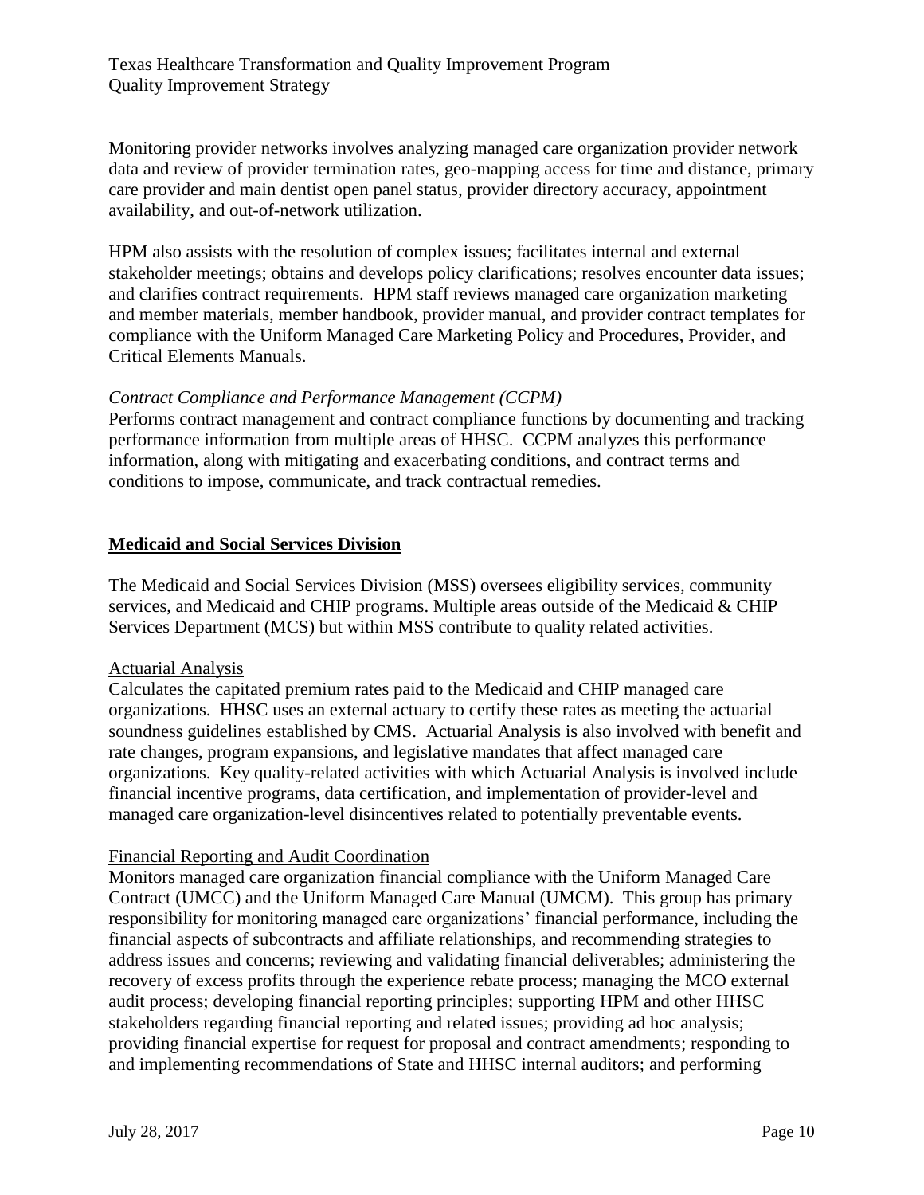Monitoring provider networks involves analyzing managed care organization provider network data and review of provider termination rates, geo-mapping access for time and distance, primary care provider and main dentist open panel status, provider directory accuracy, appointment availability, and out-of-network utilization.

HPM also assists with the resolution of complex issues; facilitates internal and external stakeholder meetings; obtains and develops policy clarifications; resolves encounter data issues; and clarifies contract requirements. HPM staff reviews managed care organization marketing and member materials, member handbook, provider manual, and provider contract templates for compliance with the Uniform Managed Care Marketing Policy and Procedures, Provider, and Critical Elements Manuals.

## *Contract Compliance and Performance Management (CCPM)*

Performs contract management and contract compliance functions by documenting and tracking performance information from multiple areas of HHSC. CCPM analyzes this performance information, along with mitigating and exacerbating conditions, and contract terms and conditions to impose, communicate, and track contractual remedies.

## **Medicaid and Social Services Division**

The Medicaid and Social Services Division (MSS) oversees eligibility services, community services, and Medicaid and CHIP programs. Multiple areas outside of the Medicaid & CHIP Services Department (MCS) but within MSS contribute to quality related activities.

#### Actuarial Analysis

Calculates the capitated premium rates paid to the Medicaid and CHIP managed care organizations. HHSC uses an external actuary to certify these rates as meeting the actuarial soundness guidelines established by CMS. Actuarial Analysis is also involved with benefit and rate changes, program expansions, and legislative mandates that affect managed care organizations. Key quality-related activities with which Actuarial Analysis is involved include financial incentive programs, data certification, and implementation of provider-level and managed care organization-level disincentives related to potentially preventable events.

#### Financial Reporting and Audit Coordination

Monitors managed care organization financial compliance with the Uniform Managed Care Contract (UMCC) and the Uniform Managed Care Manual (UMCM). This group has primary responsibility for monitoring managed care organizations' financial performance, including the financial aspects of subcontracts and affiliate relationships, and recommending strategies to address issues and concerns; reviewing and validating financial deliverables; administering the recovery of excess profits through the experience rebate process; managing the MCO external audit process; developing financial reporting principles; supporting HPM and other HHSC stakeholders regarding financial reporting and related issues; providing ad hoc analysis; providing financial expertise for request for proposal and contract amendments; responding to and implementing recommendations of State and HHSC internal auditors; and performing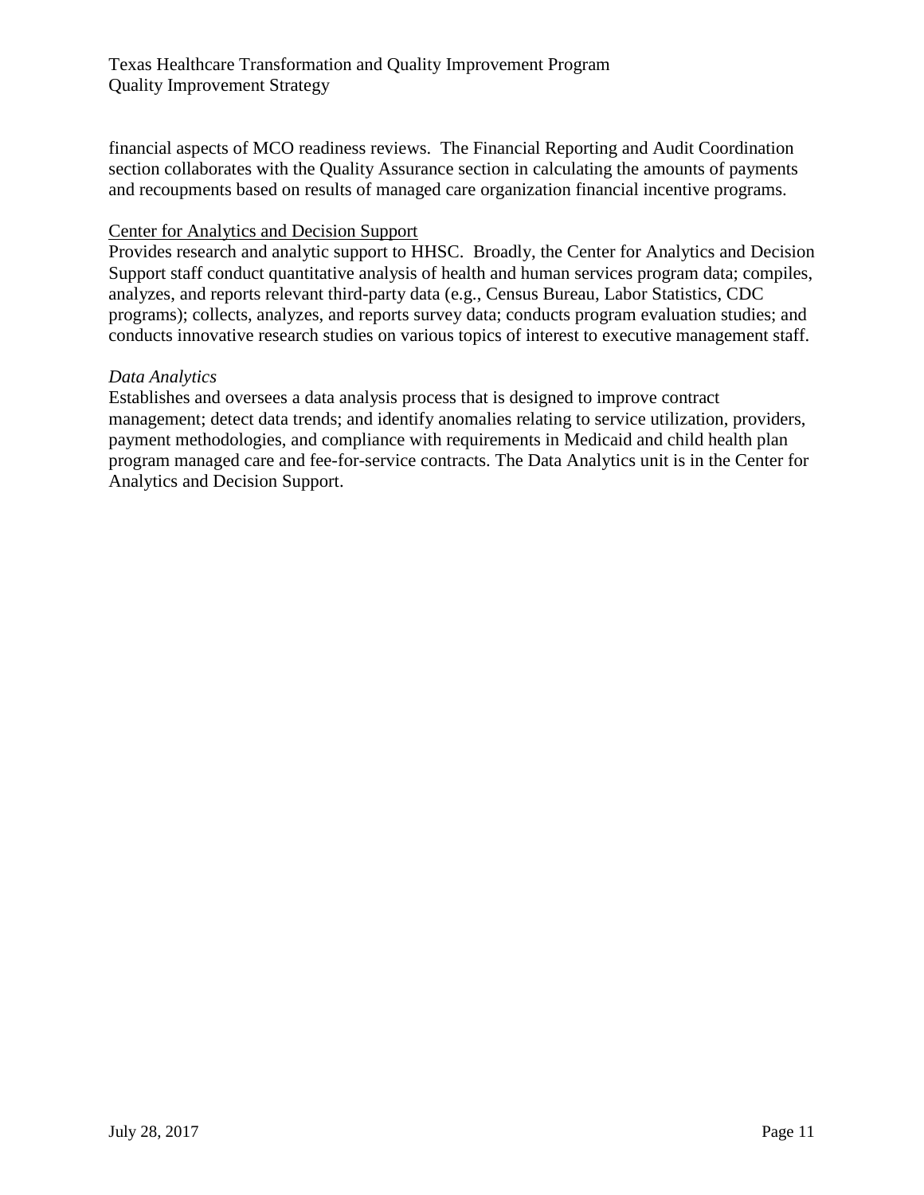financial aspects of MCO readiness reviews. The Financial Reporting and Audit Coordination section collaborates with the Quality Assurance section in calculating the amounts of payments and recoupments based on results of managed care organization financial incentive programs.

#### Center for Analytics and Decision Support

Provides research and analytic support to HHSC. Broadly, the Center for Analytics and Decision Support staff conduct quantitative analysis of health and human services program data; compiles, analyzes, and reports relevant third-party data (e.g., Census Bureau, Labor Statistics, CDC programs); collects, analyzes, and reports survey data; conducts program evaluation studies; and conducts innovative research studies on various topics of interest to executive management staff.

#### *Data Analytics*

Establishes and oversees a data analysis process that is designed to improve contract management; detect data trends; and identify anomalies relating to service utilization, providers, payment methodologies, and compliance with requirements in Medicaid and child health plan program managed care and fee-for-service contracts. The Data Analytics unit is in the Center for Analytics and Decision Support.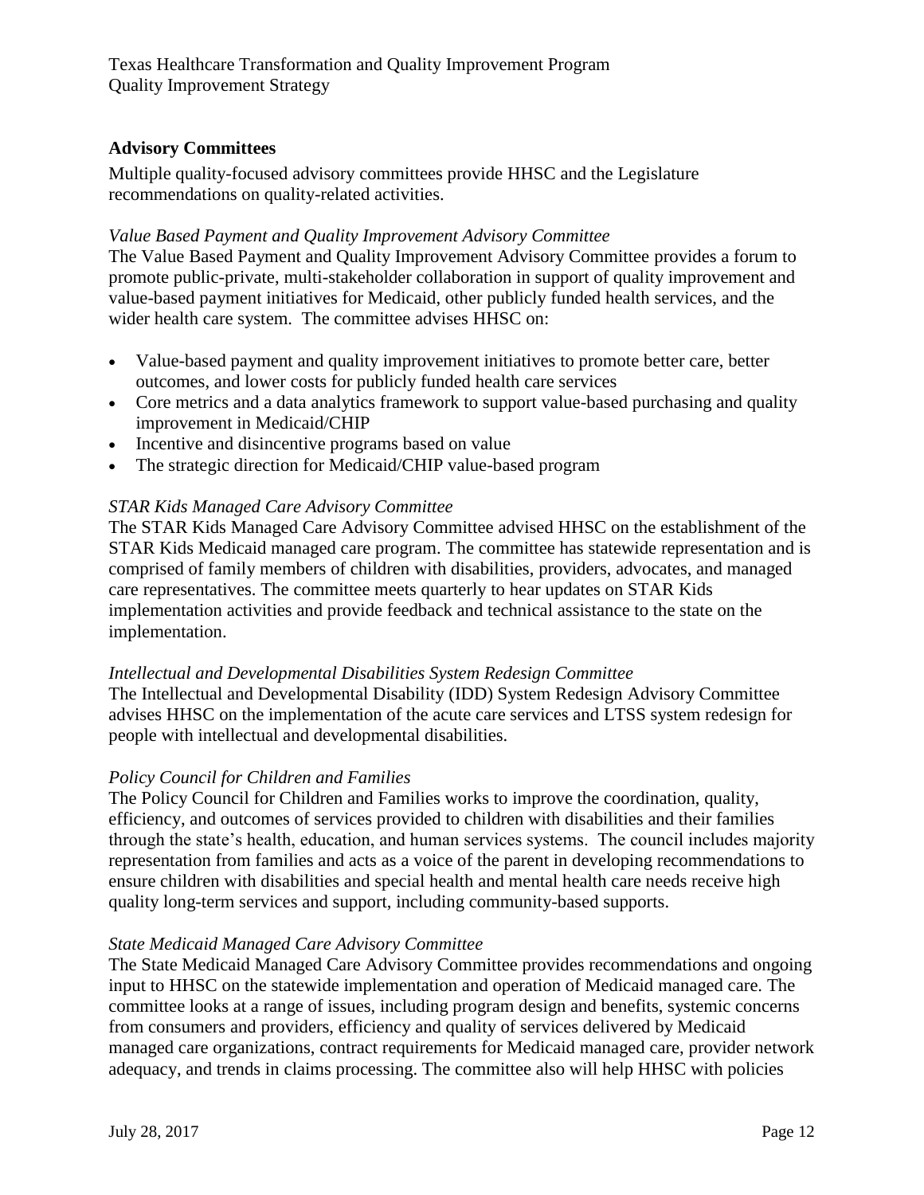## <span id="page-11-0"></span>**Advisory Committees**

Multiple quality-focused advisory committees provide HHSC and the Legislature recommendations on quality-related activities.

## *Value Based Payment and Quality Improvement Advisory Committee*

The Value Based Payment and Quality Improvement Advisory Committee provides a forum to promote public-private, multi-stakeholder collaboration in support of quality improvement and value-based payment initiatives for Medicaid, other publicly funded health services, and the wider health care system. The committee advises HHSC on:

- Value-based payment and quality improvement initiatives to promote better care, better outcomes, and lower costs for publicly funded health care services
- Core metrics and a data analytics framework to support value-based purchasing and quality improvement in Medicaid/CHIP
- Incentive and disincentive programs based on value
- The strategic direction for Medicaid/CHIP value-based program

## *STAR Kids Managed Care Advisory Committee*

The STAR Kids Managed Care Advisory Committee advised HHSC on the establishment of the STAR Kids Medicaid managed care program. The committee has statewide representation and is comprised of family members of children with disabilities, providers, advocates, and managed care representatives. The committee meets quarterly to hear updates on STAR Kids implementation activities and provide feedback and technical assistance to the state on the implementation.

## *Intellectual and Developmental Disabilities System Redesign Committee*

The Intellectual and Developmental Disability (IDD) System Redesign Advisory Committee advises HHSC on the implementation of the acute care services and LTSS system redesign for people with intellectual and developmental disabilities.

## *Policy Council for Children and Families*

The Policy Council for Children and Families works to improve the coordination, quality, efficiency, and outcomes of services provided to children with disabilities and their families through the state's health, education, and human services systems. The council includes majority representation from families and acts as a voice of the parent in developing recommendations to ensure children with disabilities and special health and mental health care needs receive high quality long-term services and support, including community-based supports.

## *State Medicaid Managed Care Advisory Committee*

The State Medicaid Managed Care Advisory Committee provides recommendations and ongoing input to HHSC on the statewide implementation and operation of Medicaid managed care. The committee looks at a range of issues, including program design and benefits, systemic concerns from consumers and providers, efficiency and quality of services delivered by Medicaid managed care organizations, contract requirements for Medicaid managed care, provider network adequacy, and trends in claims processing. The committee also will help HHSC with policies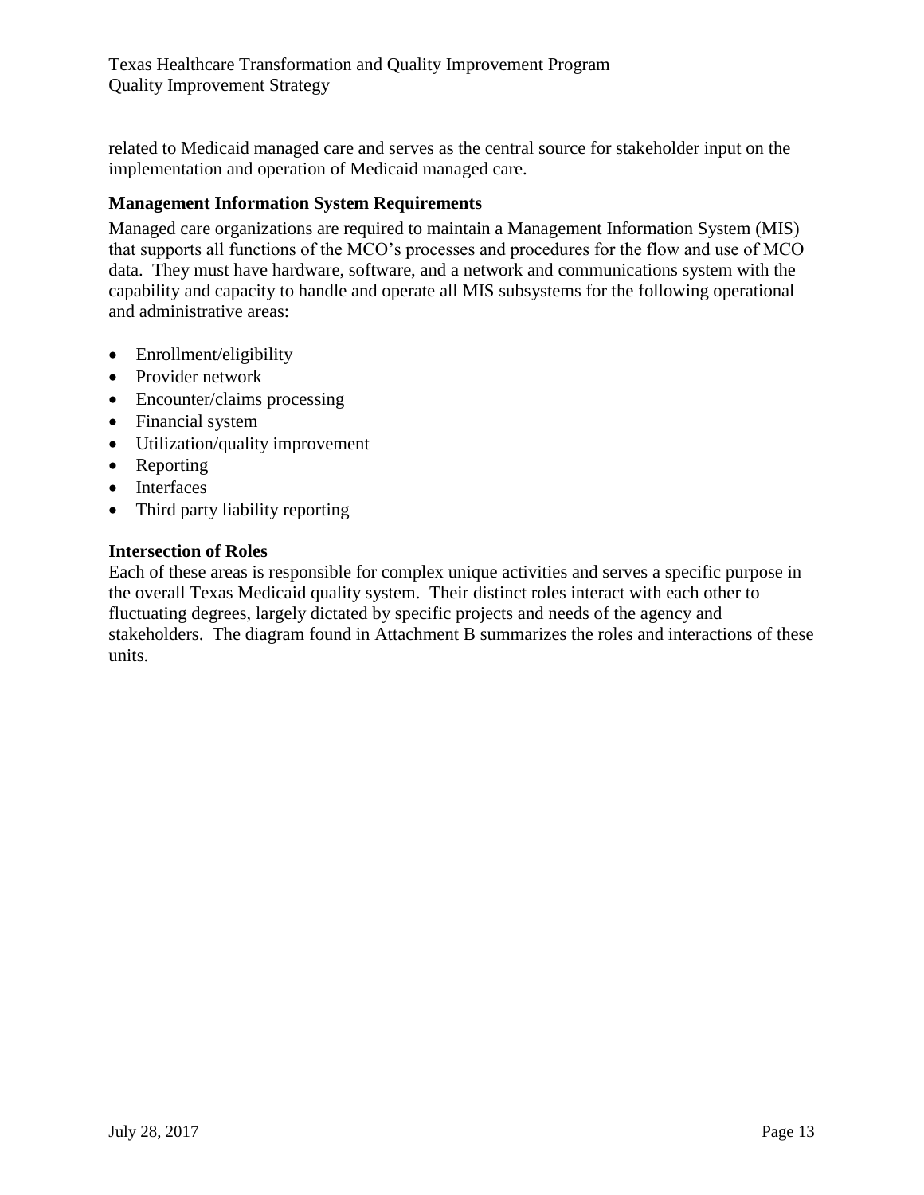related to Medicaid managed care and serves as the central source for stakeholder input on the implementation and operation of Medicaid managed care.

## <span id="page-12-0"></span>**Management Information System Requirements**

Managed care organizations are required to maintain a Management Information System (MIS) that supports all functions of the MCO's processes and procedures for the flow and use of MCO data. They must have hardware, software, and a network and communications system with the capability and capacity to handle and operate all MIS subsystems for the following operational and administrative areas:

- Enrollment/eligibility
- Provider network
- Encounter/claims processing
- Financial system
- Utilization/quality improvement
- Reporting
- Interfaces
- Third party liability reporting

#### **Intersection of Roles**

Each of these areas is responsible for complex unique activities and serves a specific purpose in the overall Texas Medicaid quality system. Their distinct roles interact with each other to fluctuating degrees, largely dictated by specific projects and needs of the agency and stakeholders. The diagram found in Attachment B summarizes the roles and interactions of these units.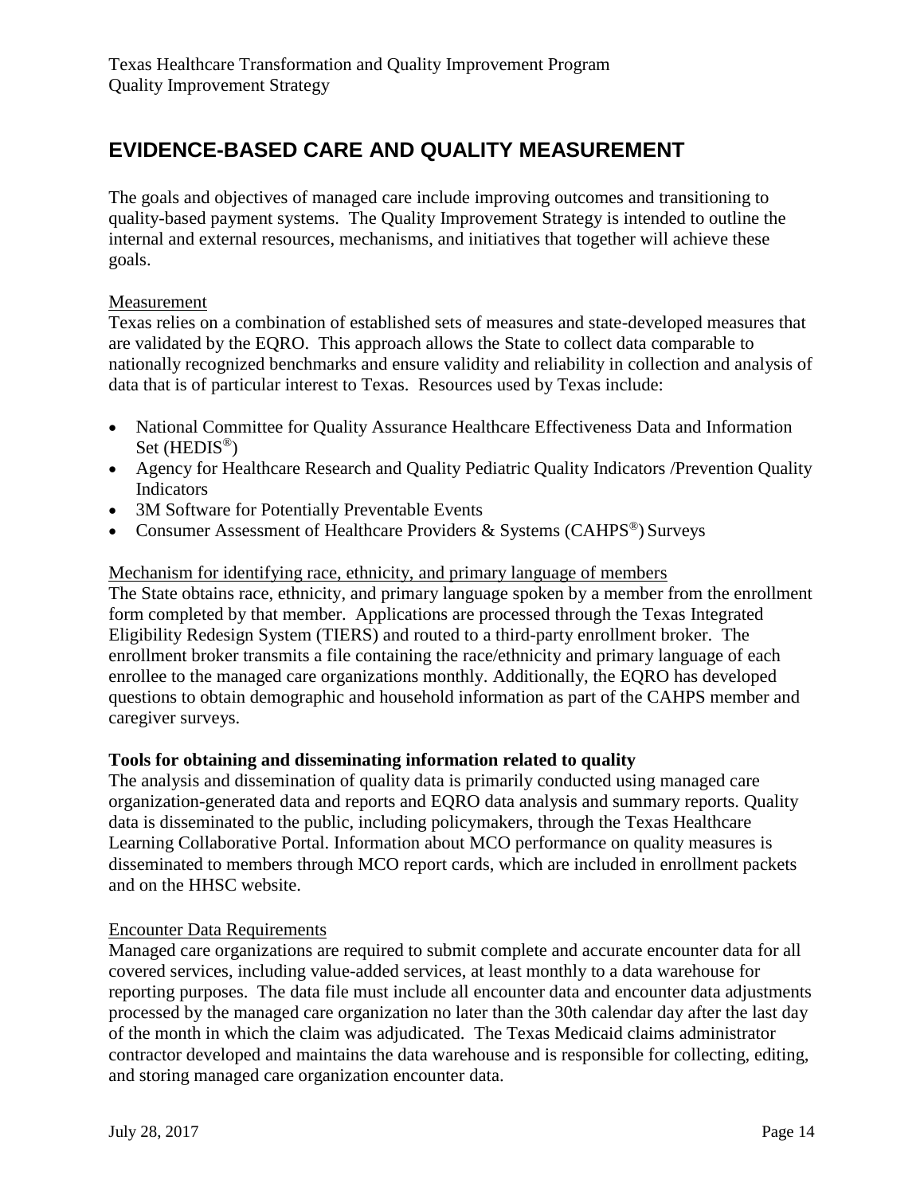## <span id="page-13-0"></span>**EVIDENCE-BASED CARE AND QUALITY MEASUREMENT**

The goals and objectives of managed care include improving outcomes and transitioning to quality-based payment systems. The Quality Improvement Strategy is intended to outline the internal and external resources, mechanisms, and initiatives that together will achieve these goals.

#### Measurement

Texas relies on a combination of established sets of measures and state-developed measures that are validated by the EQRO. This approach allows the State to collect data comparable to nationally recognized benchmarks and ensure validity and reliability in collection and analysis of data that is of particular interest to Texas. Resources used by Texas include:

- National Committee for Quality Assurance Healthcare Effectiveness Data and Information Set (HEDIS<sup>®</sup>)
- Agency for Healthcare Research and Quality Pediatric Quality Indicators /Prevention Quality Indicators
- 3M Software for Potentially Preventable Events
- Consumer Assessment of Healthcare Providers & Systems (CAHPS®) Surveys

## Mechanism for identifying race, ethnicity, and primary language of members

The State obtains race, ethnicity, and primary language spoken by a member from the enrollment form completed by that member. Applications are processed through the Texas Integrated Eligibility Redesign System (TIERS) and routed to a third-party enrollment broker. The enrollment broker transmits a file containing the race/ethnicity and primary language of each enrollee to the managed care organizations monthly. Additionally, the EQRO has developed questions to obtain demographic and household information as part of the CAHPS member and caregiver surveys.

#### **Tools for obtaining and disseminating information related to quality**

The analysis and dissemination of quality data is primarily conducted using managed care organization-generated data and reports and EQRO data analysis and summary reports. Quality data is disseminated to the public, including policymakers, through the Texas Healthcare Learning Collaborative Portal. Information about MCO performance on quality measures is disseminated to members through MCO report cards, which are included in enrollment packets and on the HHSC website.

#### Encounter Data Requirements

Managed care organizations are required to submit complete and accurate encounter data for all covered services, including value-added services, at least monthly to a data warehouse for reporting purposes. The data file must include all encounter data and encounter data adjustments processed by the managed care organization no later than the 30th calendar day after the last day of the month in which the claim was adjudicated. The Texas Medicaid claims administrator contractor developed and maintains the data warehouse and is responsible for collecting, editing, and storing managed care organization encounter data.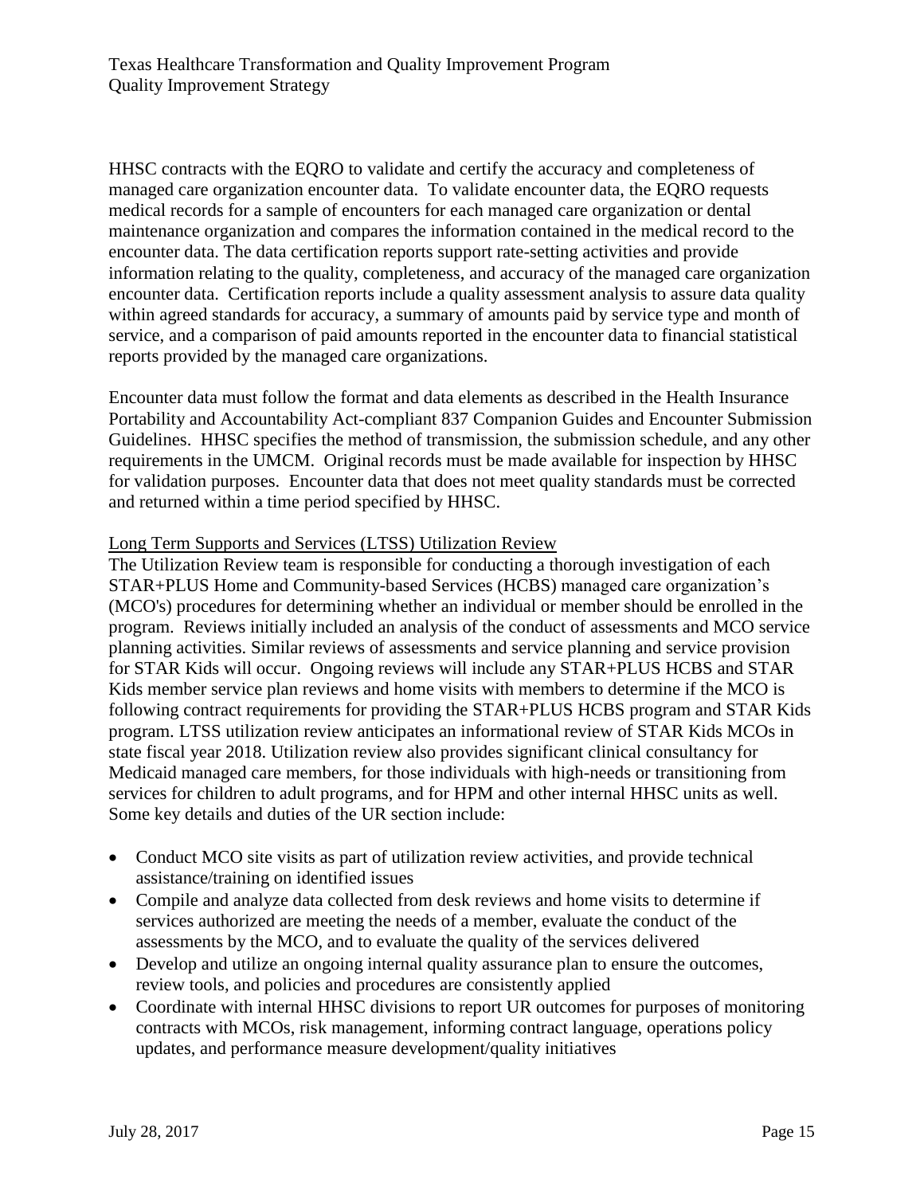HHSC contracts with the EQRO to validate and certify the accuracy and completeness of managed care organization encounter data. To validate encounter data, the EQRO requests medical records for a sample of encounters for each managed care organization or dental maintenance organization and compares the information contained in the medical record to the encounter data. The data certification reports support rate-setting activities and provide information relating to the quality, completeness, and accuracy of the managed care organization encounter data. Certification reports include a quality assessment analysis to assure data quality within agreed standards for accuracy, a summary of amounts paid by service type and month of service, and a comparison of paid amounts reported in the encounter data to financial statistical reports provided by the managed care organizations.

Encounter data must follow the format and data elements as described in the Health Insurance Portability and Accountability Act-compliant 837 Companion Guides and Encounter Submission Guidelines. HHSC specifies the method of transmission, the submission schedule, and any other requirements in the UMCM. Original records must be made available for inspection by HHSC for validation purposes. Encounter data that does not meet quality standards must be corrected and returned within a time period specified by HHSC.

#### Long Term Supports and Services (LTSS) Utilization Review

The Utilization Review team is responsible for conducting a thorough investigation of each STAR+PLUS Home and Community-based Services (HCBS) managed care organization's (MCO's) procedures for determining whether an individual or member should be enrolled in the program. Reviews initially included an analysis of the conduct of assessments and MCO service planning activities. Similar reviews of assessments and service planning and service provision for STAR Kids will occur. Ongoing reviews will include any STAR+PLUS HCBS and STAR Kids member service plan reviews and home visits with members to determine if the MCO is following contract requirements for providing the STAR+PLUS HCBS program and STAR Kids program. LTSS utilization review anticipates an informational review of STAR Kids MCOs in state fiscal year 2018. Utilization review also provides significant clinical consultancy for Medicaid managed care members, for those individuals with high-needs or transitioning from services for children to adult programs, and for HPM and other internal HHSC units as well. Some key details and duties of the UR section include:

- Conduct MCO site visits as part of utilization review activities, and provide technical assistance/training on identified issues
- Compile and analyze data collected from desk reviews and home visits to determine if services authorized are meeting the needs of a member, evaluate the conduct of the assessments by the MCO, and to evaluate the quality of the services delivered
- Develop and utilize an ongoing internal quality assurance plan to ensure the outcomes, review tools, and policies and procedures are consistently applied
- Coordinate with internal HHSC divisions to report UR outcomes for purposes of monitoring contracts with MCOs, risk management, informing contract language, operations policy updates, and performance measure development/quality initiatives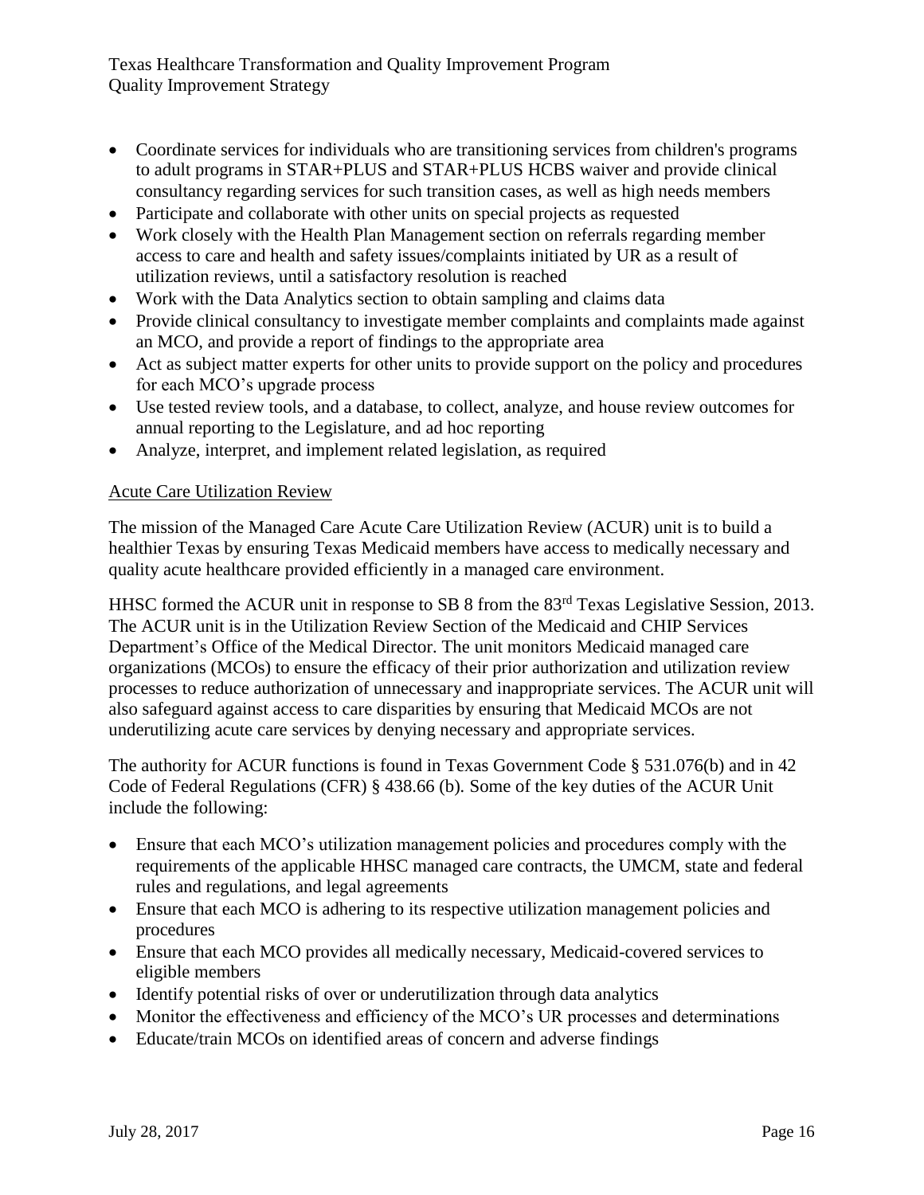- Coordinate services for individuals who are transitioning services from children's programs to adult programs in STAR+PLUS and STAR+PLUS HCBS waiver and provide clinical consultancy regarding services for such transition cases, as well as high needs members
- Participate and collaborate with other units on special projects as requested
- Work closely with the Health Plan Management section on referrals regarding member access to care and health and safety issues/complaints initiated by UR as a result of utilization reviews, until a satisfactory resolution is reached
- Work with the Data Analytics section to obtain sampling and claims data
- Provide clinical consultancy to investigate member complaints and complaints made against an MCO, and provide a report of findings to the appropriate area
- Act as subject matter experts for other units to provide support on the policy and procedures for each MCO's upgrade process
- Use tested review tools, and a database, to collect, analyze, and house review outcomes for annual reporting to the Legislature, and ad hoc reporting
- Analyze, interpret, and implement related legislation, as required

## Acute Care Utilization Review

The mission of the Managed Care Acute Care Utilization Review (ACUR) unit is to build a healthier Texas by ensuring Texas Medicaid members have access to medically necessary and quality acute healthcare provided efficiently in a managed care environment.

HHSC formed the ACUR unit in response to SB 8 from the 83<sup>rd</sup> Texas Legislative Session, 2013. The ACUR unit is in the Utilization Review Section of the Medicaid and CHIP Services Department's Office of the Medical Director. The unit monitors Medicaid managed care organizations (MCOs) to ensure the efficacy of their prior authorization and utilization review processes to reduce authorization of unnecessary and inappropriate services. The ACUR unit will also safeguard against access to care disparities by ensuring that Medicaid MCOs are not underutilizing acute care services by denying necessary and appropriate services.

The authority for ACUR functions is found in Texas Government Code § 531.076(b) and in 42 Code of Federal Regulations (CFR) § 438.66 (b)*.* Some of the key duties of the ACUR Unit include the following:

- Ensure that each MCO's utilization management policies and procedures comply with the requirements of the applicable HHSC managed care contracts, the UMCM, state and federal rules and regulations, and legal agreements
- Ensure that each MCO is adhering to its respective utilization management policies and procedures
- Ensure that each MCO provides all medically necessary, Medicaid-covered services to eligible members
- Identify potential risks of over or underutilization through data analytics
- Monitor the effectiveness and efficiency of the MCO's UR processes and determinations
- Educate/train MCOs on identified areas of concern and adverse findings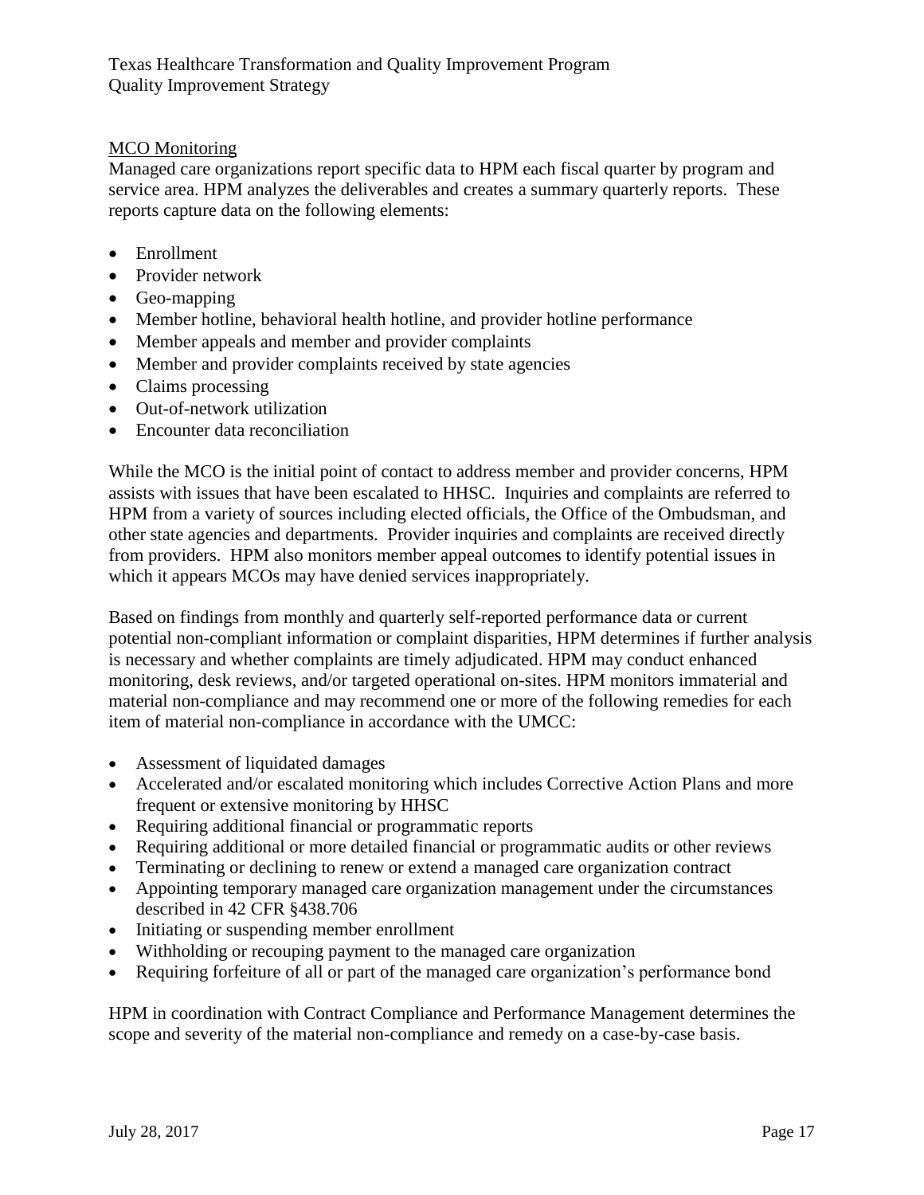## MCO Monitoring

Managed care organizations report specific data to HPM each fiscal quarter by program and service area. HPM analyzes the deliverables and creates a summary quarterly reports. These reports capture data on the following elements:

- Enrollment
- Provider network
- Geo-mapping
- Member hotline, behavioral health hotline, and provider hotline performance
- Member appeals and member and provider complaints
- Member and provider complaints received by state agencies
- Claims processing
- Out-of-network utilization
- Encounter data reconciliation

While the MCO is the initial point of contact to address member and provider concerns, HPM assists with issues that have been escalated to HHSC. Inquiries and complaints are referred to HPM from a variety of sources including elected officials, the Office of the Ombudsman, and other state agencies and departments. Provider inquiries and complaints are received directly from providers. HPM also monitors member appeal outcomes to identify potential issues in which it appears MCOs may have denied services inappropriately.

Based on findings from monthly and quarterly self-reported performance data or current potential non-compliant information or complaint disparities, HPM determines if further analysis is necessary and whether complaints are timely adjudicated. HPM may conduct enhanced monitoring, desk reviews, and/or targeted operational on-sites. HPM monitors immaterial and material non-compliance and may recommend one or more of the following remedies for each item of material non-compliance in accordance with the UMCC:

- Assessment of liquidated damages
- Accelerated and/or escalated monitoring which includes Corrective Action Plans and more frequent or extensive monitoring by HHSC
- Requiring additional financial or programmatic reports
- Requiring additional or more detailed financial or programmatic audits or other reviews
- Terminating or declining to renew or extend a managed care organization contract
- Appointing temporary managed care organization management under the circumstances described in 42 CFR §438.706
- Initiating or suspending member enrollment
- Withholding or recouping payment to the managed care organization
- Requiring forfeiture of all or part of the managed care organization's performance bond

HPM in coordination with Contract Compliance and Performance Management determines the scope and severity of the material non-compliance and remedy on a case-by-case basis.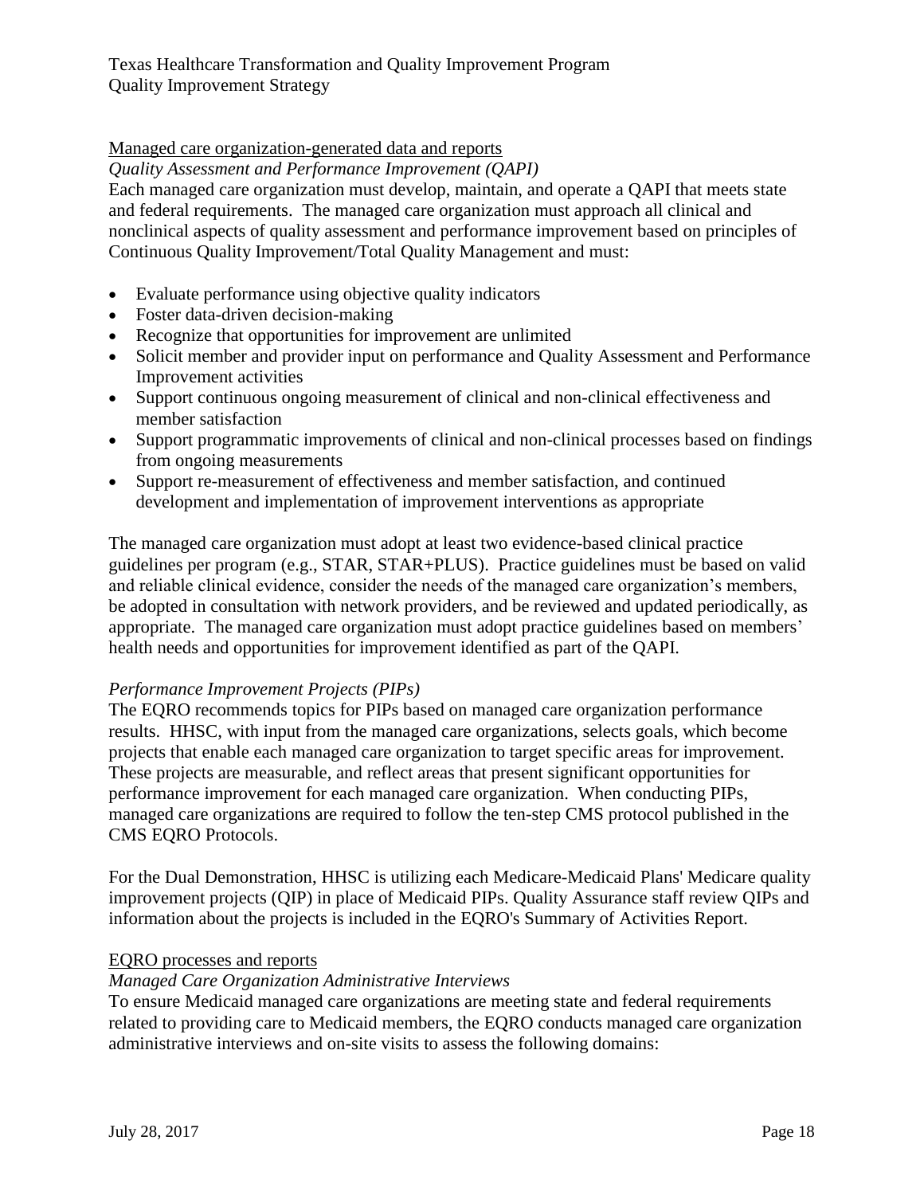## Managed care organization-generated data and reports

*Quality Assessment and Performance Improvement (QAPI)*

Each managed care organization must develop, maintain, and operate a QAPI that meets state and federal requirements. The managed care organization must approach all clinical and nonclinical aspects of quality assessment and performance improvement based on principles of Continuous Quality Improvement/Total Quality Management and must:

- Evaluate performance using objective quality indicators
- Foster data-driven decision-making
- Recognize that opportunities for improvement are unlimited
- Solicit member and provider input on performance and Quality Assessment and Performance Improvement activities
- Support continuous ongoing measurement of clinical and non-clinical effectiveness and member satisfaction
- Support programmatic improvements of clinical and non-clinical processes based on findings from ongoing measurements
- Support re-measurement of effectiveness and member satisfaction, and continued development and implementation of improvement interventions as appropriate

The managed care organization must adopt at least two evidence-based clinical practice guidelines per program (e.g., STAR, STAR+PLUS). Practice guidelines must be based on valid and reliable clinical evidence, consider the needs of the managed care organization's members, be adopted in consultation with network providers, and be reviewed and updated periodically, as appropriate. The managed care organization must adopt practice guidelines based on members' health needs and opportunities for improvement identified as part of the QAPI.

## *Performance Improvement Projects (PIPs)*

The EQRO recommends topics for PIPs based on managed care organization performance results. HHSC, with input from the managed care organizations, selects goals, which become projects that enable each managed care organization to target specific areas for improvement. These projects are measurable, and reflect areas that present significant opportunities for performance improvement for each managed care organization. When conducting PIPs, managed care organizations are required to follow the ten-step CMS protocol published in the CMS EQRO Protocols.

For the Dual Demonstration, HHSC is utilizing each Medicare-Medicaid Plans' Medicare quality improvement projects (QIP) in place of Medicaid PIPs. Quality Assurance staff review QIPs and information about the projects is included in the EQRO's Summary of Activities Report.

## EQRO processes and reports

## *Managed Care Organization Administrative Interviews*

To ensure Medicaid managed care organizations are meeting state and federal requirements related to providing care to Medicaid members, the EQRO conducts managed care organization administrative interviews and on-site visits to assess the following domains: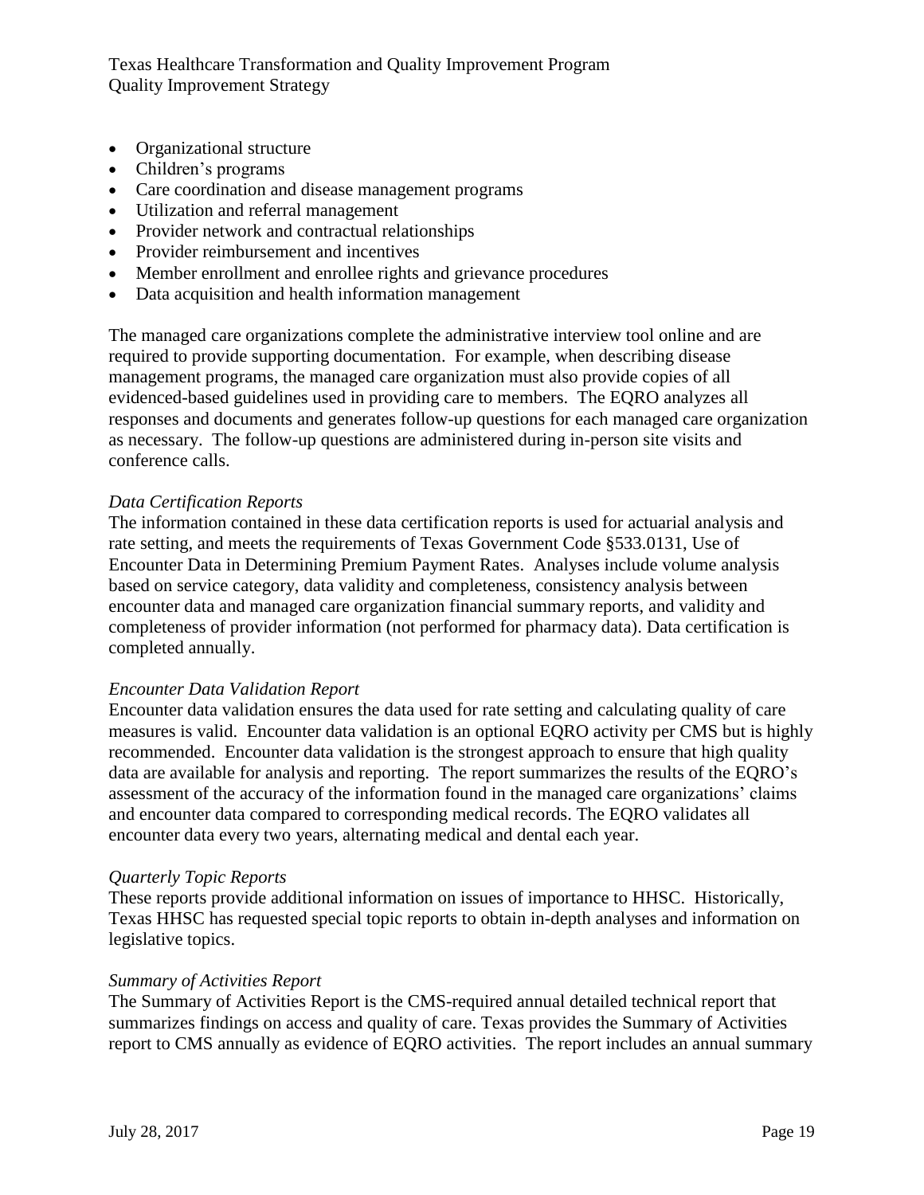- Organizational structure
- Children's programs
- Care coordination and disease management programs
- Utilization and referral management
- Provider network and contractual relationships
- Provider reimbursement and incentives
- Member enrollment and enrollee rights and grievance procedures
- Data acquisition and health information management

The managed care organizations complete the administrative interview tool online and are required to provide supporting documentation. For example, when describing disease management programs, the managed care organization must also provide copies of all evidenced-based guidelines used in providing care to members. The EQRO analyzes all responses and documents and generates follow-up questions for each managed care organization as necessary. The follow-up questions are administered during in-person site visits and conference calls.

#### *Data Certification Reports*

The information contained in these data certification reports is used for actuarial analysis and rate setting, and meets the requirements of Texas Government Code §533.0131, Use of Encounter Data in Determining Premium Payment Rates. Analyses include volume analysis based on service category, data validity and completeness, consistency analysis between encounter data and managed care organization financial summary reports, and validity and completeness of provider information (not performed for pharmacy data). Data certification is completed annually.

#### *Encounter Data Validation Report*

Encounter data validation ensures the data used for rate setting and calculating quality of care measures is valid. Encounter data validation is an optional EQRO activity per CMS but is highly recommended. Encounter data validation is the strongest approach to ensure that high quality data are available for analysis and reporting. The report summarizes the results of the EQRO's assessment of the accuracy of the information found in the managed care organizations' claims and encounter data compared to corresponding medical records. The EQRO validates all encounter data every two years, alternating medical and dental each year.

#### *Quarterly Topic Reports*

These reports provide additional information on issues of importance to HHSC. Historically, Texas HHSC has requested special topic reports to obtain in-depth analyses and information on legislative topics.

#### *Summary of Activities Report*

The Summary of Activities Report is the CMS-required annual detailed technical report that summarizes findings on access and quality of care. Texas provides the Summary of Activities report to CMS annually as evidence of EQRO activities. The report includes an annual summary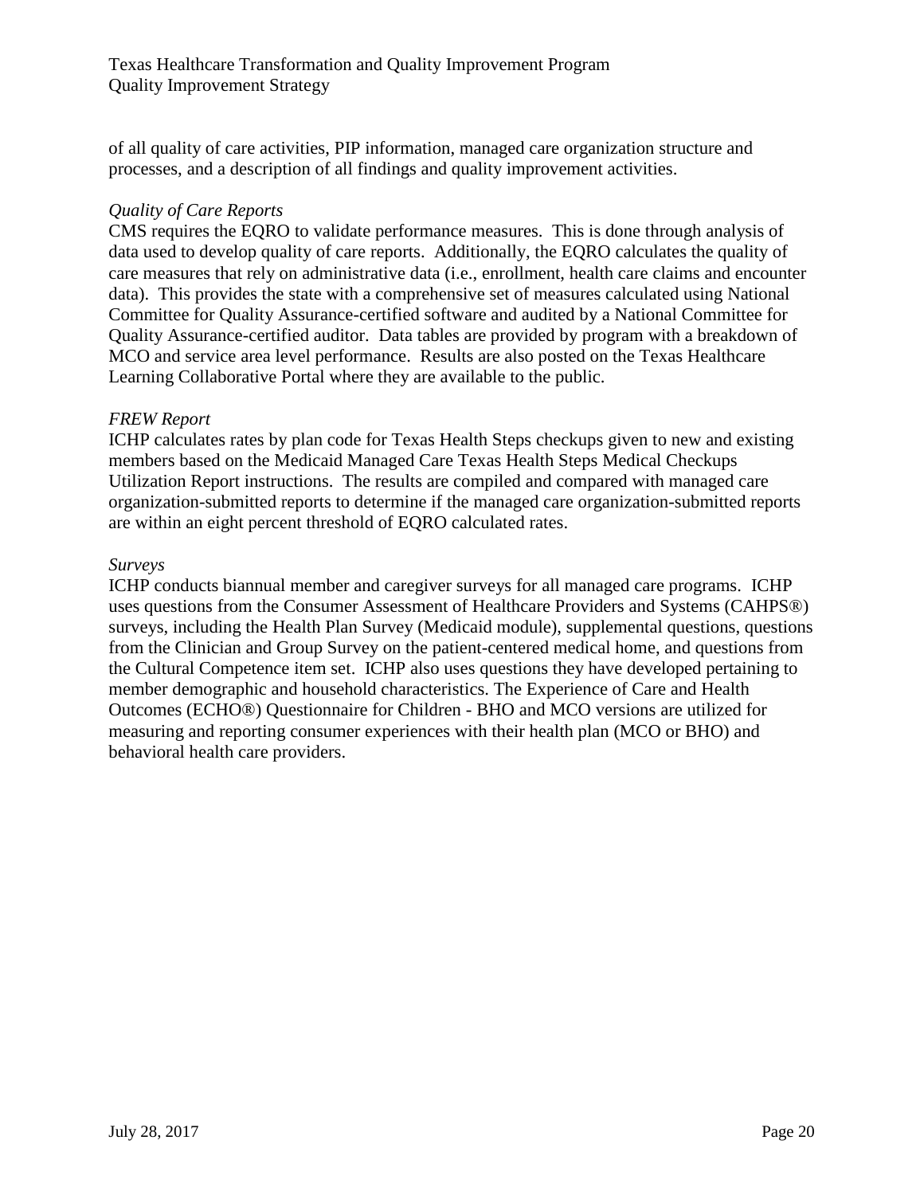of all quality of care activities, PIP information, managed care organization structure and processes, and a description of all findings and quality improvement activities.

#### *Quality of Care Reports*

CMS requires the EQRO to validate performance measures. This is done through analysis of data used to develop quality of care reports. Additionally, the EQRO calculates the quality of care measures that rely on administrative data (i.e., enrollment, health care claims and encounter data). This provides the state with a comprehensive set of measures calculated using National Committee for Quality Assurance-certified software and audited by a National Committee for Quality Assurance-certified auditor. Data tables are provided by program with a breakdown of MCO and service area level performance. Results are also posted on the Texas Healthcare Learning Collaborative Portal where they are available to the public.

## *FREW Report*

ICHP calculates rates by plan code for Texas Health Steps checkups given to new and existing members based on the Medicaid Managed Care Texas Health Steps Medical Checkups Utilization Report instructions. The results are compiled and compared with managed care organization-submitted reports to determine if the managed care organization-submitted reports are within an eight percent threshold of EQRO calculated rates.

#### *Surveys*

ICHP conducts biannual member and caregiver surveys for all managed care programs. ICHP uses questions from the Consumer Assessment of Healthcare Providers and Systems (CAHPS®) surveys, including the Health Plan Survey (Medicaid module), supplemental questions, questions from the Clinician and Group Survey on the patient-centered medical home, and questions from the Cultural Competence item set. ICHP also uses questions they have developed pertaining to member demographic and household characteristics. The Experience of Care and Health Outcomes (ECHO®) Questionnaire for Children - BHO and MCO versions are utilized for measuring and reporting consumer experiences with their health plan (MCO or BHO) and behavioral health care providers.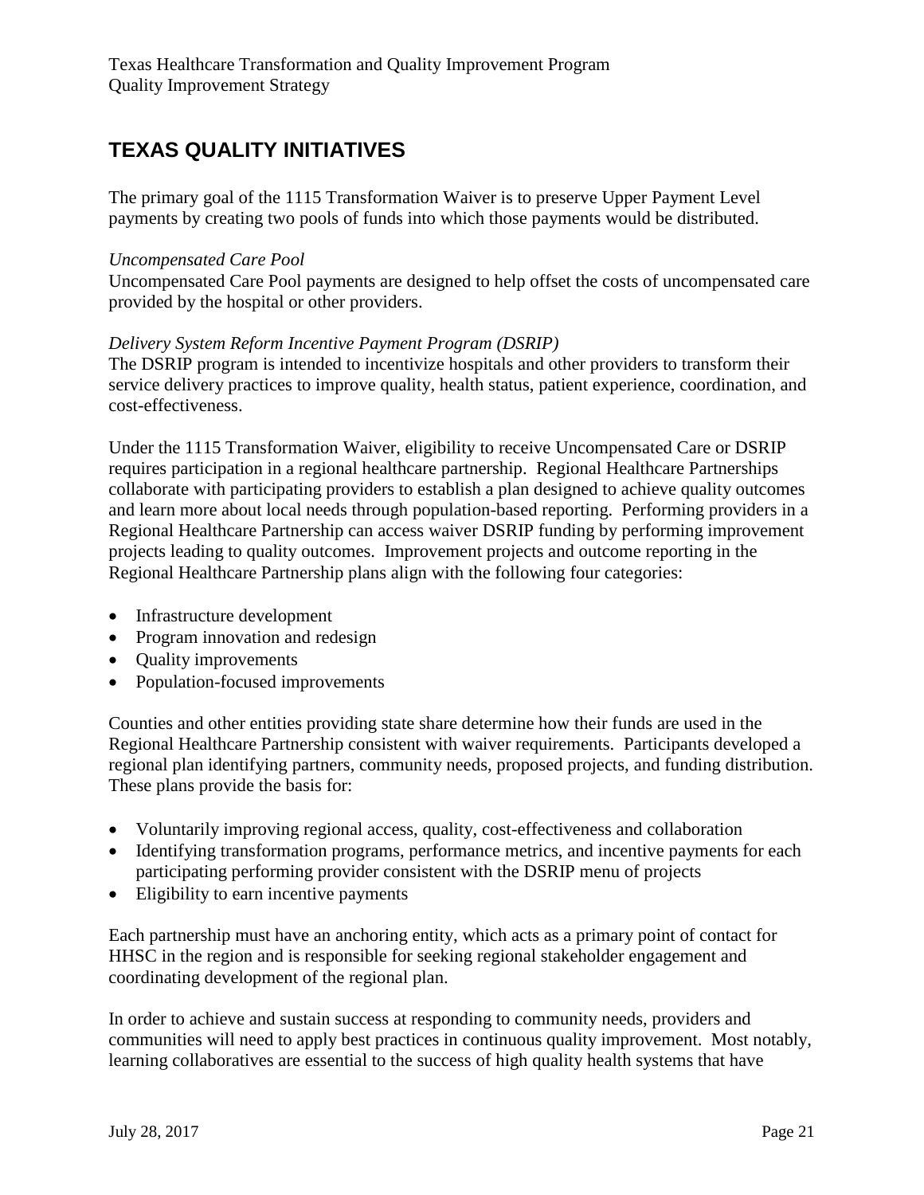# <span id="page-20-0"></span>**TEXAS QUALITY INITIATIVES**

The primary goal of the 1115 Transformation Waiver is to preserve Upper Payment Level payments by creating two pools of funds into which those payments would be distributed.

#### *Uncompensated Care Pool*

Uncompensated Care Pool payments are designed to help offset the costs of uncompensated care provided by the hospital or other providers.

## *Delivery System Reform Incentive Payment Program (DSRIP)*

The DSRIP program is intended to incentivize hospitals and other providers to transform their service delivery practices to improve quality, health status, patient experience, coordination, and cost-effectiveness.

Under the 1115 Transformation Waiver, eligibility to receive Uncompensated Care or DSRIP requires participation in a regional healthcare partnership. Regional Healthcare Partnerships collaborate with participating providers to establish a plan designed to achieve quality outcomes and learn more about local needs through population-based reporting. Performing providers in a Regional Healthcare Partnership can access waiver DSRIP funding by performing improvement projects leading to quality outcomes. Improvement projects and outcome reporting in the Regional Healthcare Partnership plans align with the following four categories:

- Infrastructure development
- Program innovation and redesign
- Ouality improvements
- Population-focused improvements

Counties and other entities providing state share determine how their funds are used in the Regional Healthcare Partnership consistent with waiver requirements. Participants developed a regional plan identifying partners, community needs, proposed projects, and funding distribution. These plans provide the basis for:

- Voluntarily improving regional access, quality, cost-effectiveness and collaboration
- Identifying transformation programs, performance metrics, and incentive payments for each participating performing provider consistent with the DSRIP menu of projects
- Eligibility to earn incentive payments

Each partnership must have an anchoring entity, which acts as a primary point of contact for HHSC in the region and is responsible for seeking regional stakeholder engagement and coordinating development of the regional plan.

In order to achieve and sustain success at responding to community needs, providers and communities will need to apply best practices in continuous quality improvement. Most notably, learning collaboratives are essential to the success of high quality health systems that have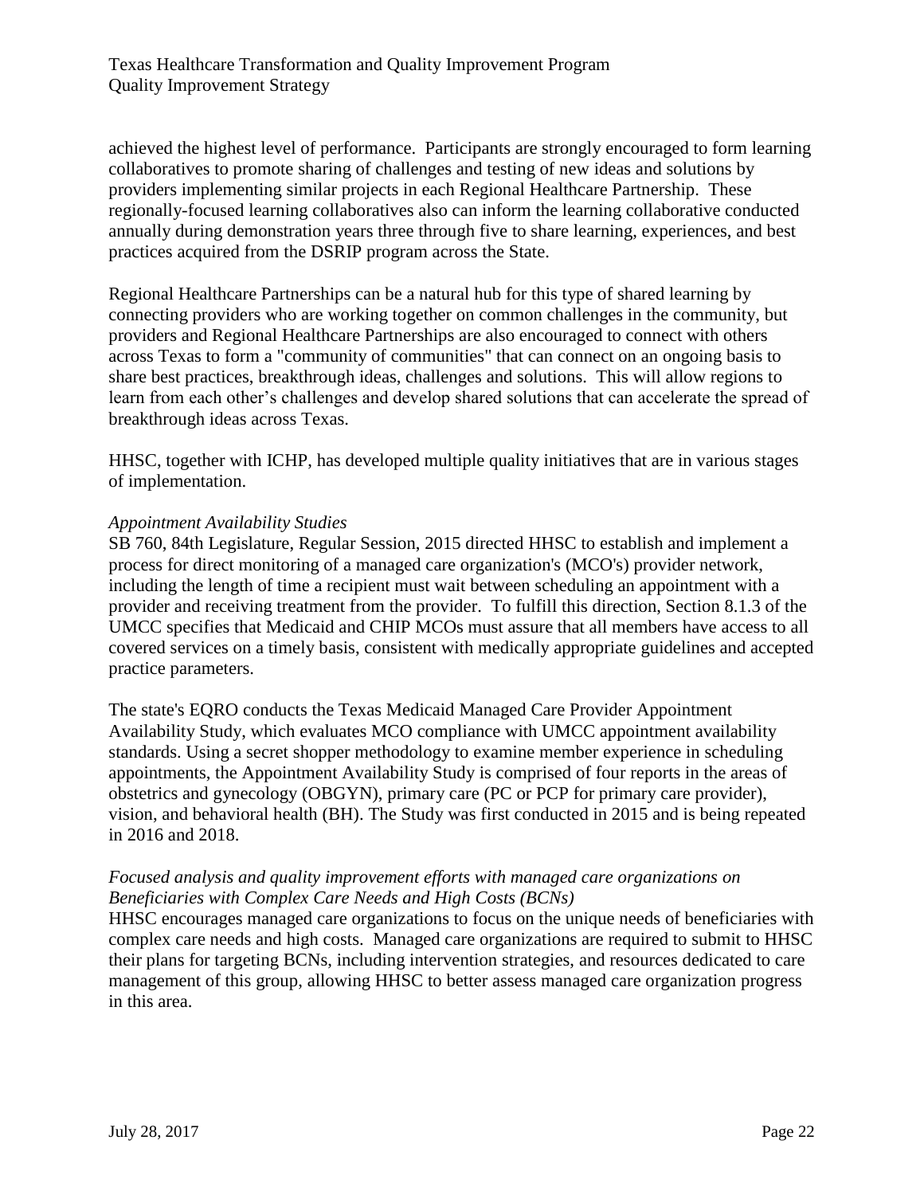achieved the highest level of performance. Participants are strongly encouraged to form learning collaboratives to promote sharing of challenges and testing of new ideas and solutions by providers implementing similar projects in each Regional Healthcare Partnership. These regionally-focused learning collaboratives also can inform the learning collaborative conducted annually during demonstration years three through five to share learning, experiences, and best practices acquired from the DSRIP program across the State.

Regional Healthcare Partnerships can be a natural hub for this type of shared learning by connecting providers who are working together on common challenges in the community, but providers and Regional Healthcare Partnerships are also encouraged to connect with others across Texas to form a "community of communities" that can connect on an ongoing basis to share best practices, breakthrough ideas, challenges and solutions. This will allow regions to learn from each other's challenges and develop shared solutions that can accelerate the spread of breakthrough ideas across Texas.

HHSC, together with ICHP, has developed multiple quality initiatives that are in various stages of implementation.

## *Appointment Availability Studies*

SB 760, 84th Legislature, Regular Session, 2015 directed HHSC to establish and implement a process for direct monitoring of a managed care organization's (MCO's) provider network, including the length of time a recipient must wait between scheduling an appointment with a provider and receiving treatment from the provider. To fulfill this direction, Section 8.1.3 of the UMCC specifies that Medicaid and CHIP MCOs must assure that all members have access to all covered services on a timely basis, consistent with medically appropriate guidelines and accepted practice parameters.

The state's EQRO conducts the Texas Medicaid Managed Care Provider Appointment Availability Study, which evaluates MCO compliance with UMCC appointment availability standards. Using a secret shopper methodology to examine member experience in scheduling appointments, the Appointment Availability Study is comprised of four reports in the areas of obstetrics and gynecology (OBGYN), primary care (PC or PCP for primary care provider), vision, and behavioral health (BH). The Study was first conducted in 2015 and is being repeated in 2016 and 2018.

## *Focused analysis and quality improvement efforts with managed care organizations on Beneficiaries with Complex Care Needs and High Costs (BCNs)*

HHSC encourages managed care organizations to focus on the unique needs of beneficiaries with complex care needs and high costs. Managed care organizations are required to submit to HHSC their plans for targeting BCNs, including intervention strategies, and resources dedicated to care management of this group, allowing HHSC to better assess managed care organization progress in this area.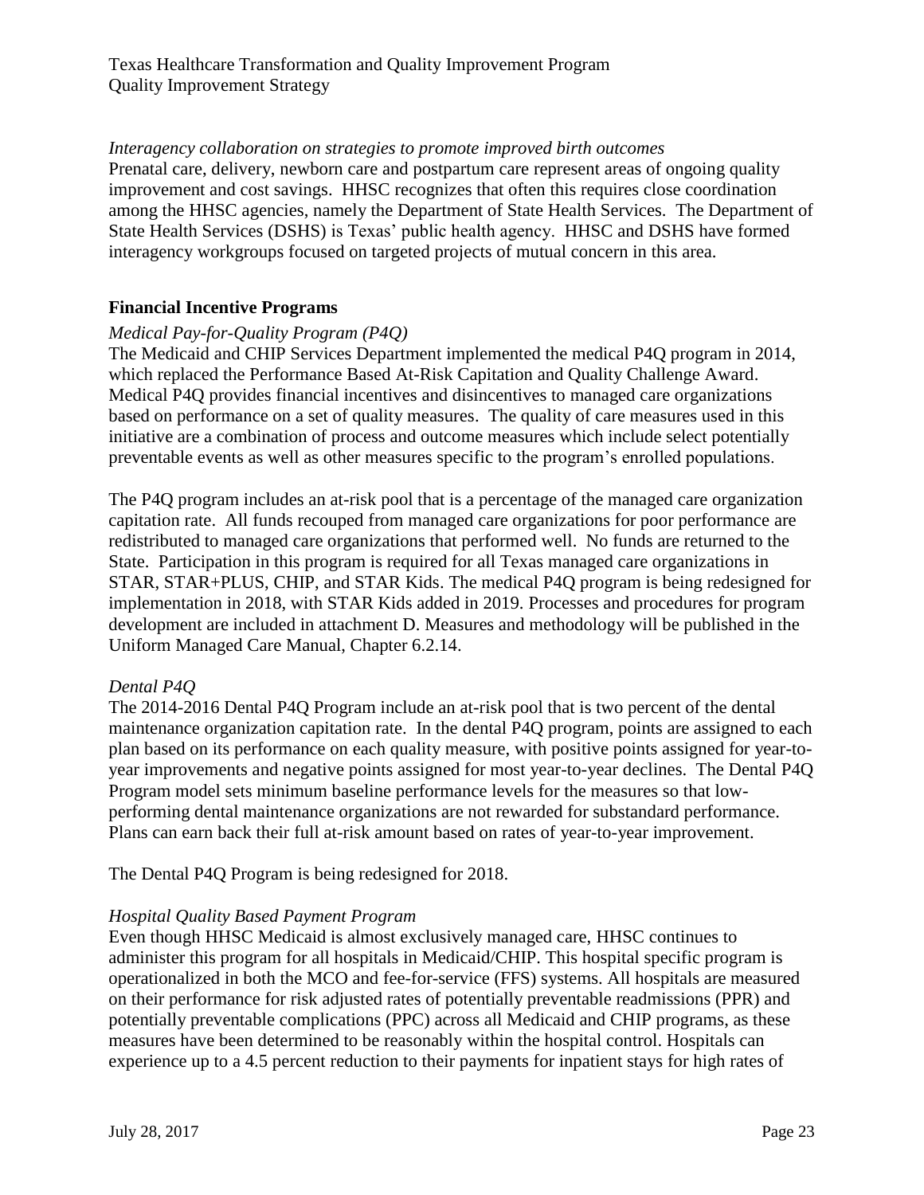## *Interagency collaboration on strategies to promote improved birth outcomes*

Prenatal care, delivery, newborn care and postpartum care represent areas of ongoing quality improvement and cost savings. HHSC recognizes that often this requires close coordination among the HHSC agencies, namely the Department of State Health Services. The Department of State Health Services (DSHS) is Texas' public health agency. HHSC and DSHS have formed interagency workgroups focused on targeted projects of mutual concern in this area.

## <span id="page-22-0"></span>**Financial Incentive Programs**

## *Medical Pay-for-Quality Program (P4Q)*

The Medicaid and CHIP Services Department implemented the medical P4Q program in 2014, which replaced the Performance Based At-Risk Capitation and Quality Challenge Award. Medical P4Q provides financial incentives and disincentives to managed care organizations based on performance on a set of quality measures. The quality of care measures used in this initiative are a combination of process and outcome measures which include select potentially preventable events as well as other measures specific to the program's enrolled populations.

The P4Q program includes an at-risk pool that is a percentage of the managed care organization capitation rate. All funds recouped from managed care organizations for poor performance are redistributed to managed care organizations that performed well. No funds are returned to the State. Participation in this program is required for all Texas managed care organizations in STAR, STAR+PLUS, CHIP, and STAR Kids. The medical P4Q program is being redesigned for implementation in 2018, with STAR Kids added in 2019. Processes and procedures for program development are included in attachment D. Measures and methodology will be published in the Uniform Managed Care Manual, Chapter 6.2.14.

#### *Dental P4Q*

The 2014-2016 Dental P4Q Program include an at-risk pool that is two percent of the dental maintenance organization capitation rate. In the dental P4Q program, points are assigned to each plan based on its performance on each quality measure, with positive points assigned for year-toyear improvements and negative points assigned for most year-to-year declines. The Dental P4Q Program model sets minimum baseline performance levels for the measures so that lowperforming dental maintenance organizations are not rewarded for substandard performance. Plans can earn back their full at-risk amount based on rates of year-to-year improvement.

The Dental P4Q Program is being redesigned for 2018.

#### *Hospital Quality Based Payment Program*

Even though HHSC Medicaid is almost exclusively managed care, HHSC continues to administer this program for all hospitals in Medicaid/CHIP. This hospital specific program is operationalized in both the MCO and fee-for-service (FFS) systems. All hospitals are measured on their performance for risk adjusted rates of potentially preventable readmissions (PPR) and potentially preventable complications (PPC) across all Medicaid and CHIP programs, as these measures have been determined to be reasonably within the hospital control. Hospitals can experience up to a 4.5 percent reduction to their payments for inpatient stays for high rates of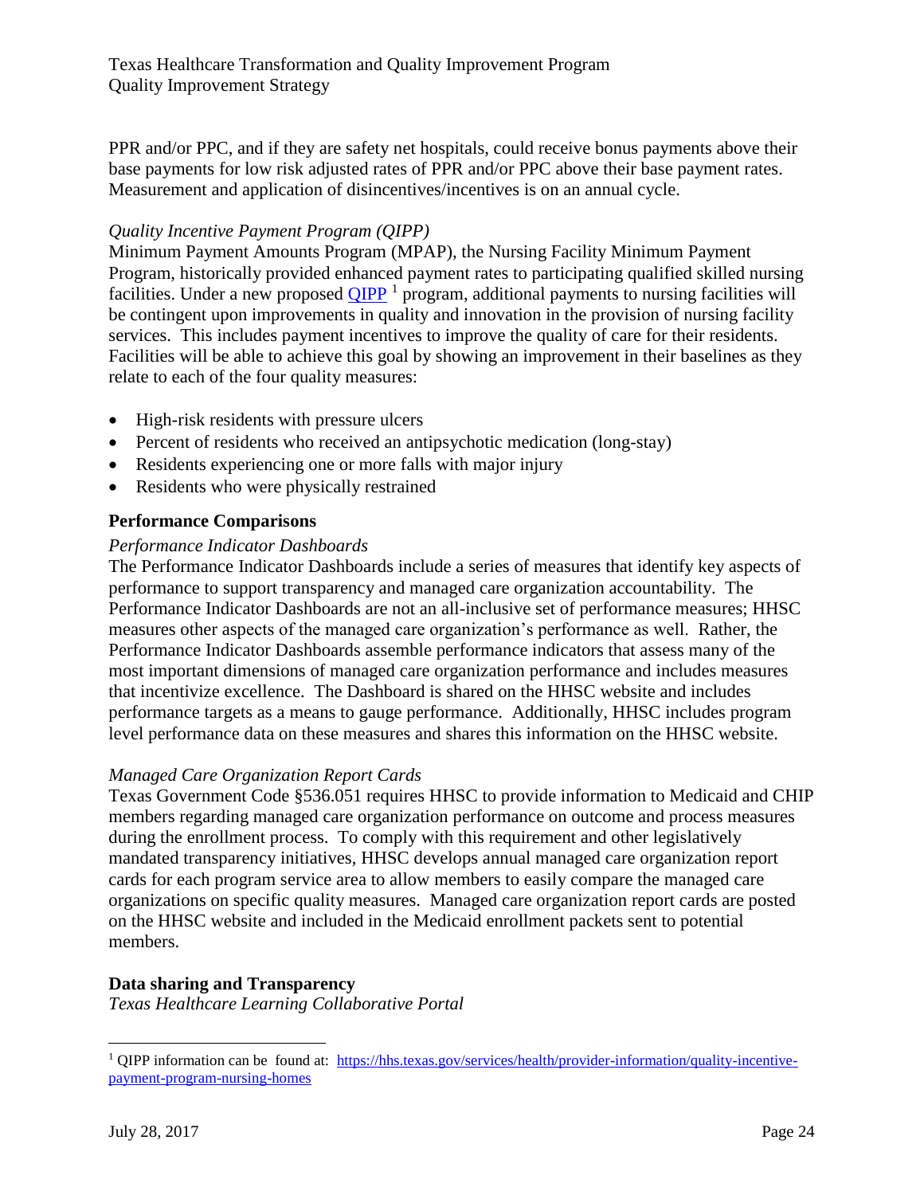PPR and/or PPC, and if they are safety net hospitals, could receive bonus payments above their base payments for low risk adjusted rates of PPR and/or PPC above their base payment rates. Measurement and application of disincentives/incentives is on an annual cycle.

## *Quality Incentive Payment Program (QIPP)*

Minimum Payment Amounts Program (MPAP), the Nursing Facility Minimum Payment Program, historically provided enhanced payment rates to participating qualified skilled nursing facilities. Under a new proposed  $\mathbf{QIPP}^{-1}$  program, additional payments to nursing facilities will be contingent upon improvements in quality and innovation in the provision of nursing facility services. This includes payment incentives to improve the quality of care for their residents. Facilities will be able to achieve this goal by showing an improvement in their baselines as they relate to each of the four quality measures:

- High-risk residents with pressure ulcers
- Percent of residents who received an antipsychotic medication (long-stay)
- Residents experiencing one or more falls with major injury
- Residents who were physically restrained

## <span id="page-23-0"></span>**Performance Comparisons**

## *Performance Indicator Dashboards*

The Performance Indicator Dashboards include a series of measures that identify key aspects of performance to support transparency and managed care organization accountability. The Performance Indicator Dashboards are not an all-inclusive set of performance measures; HHSC measures other aspects of the managed care organization's performance as well. Rather, the Performance Indicator Dashboards assemble performance indicators that assess many of the most important dimensions of managed care organization performance and includes measures that incentivize excellence. The Dashboard is shared on the HHSC website and includes performance targets as a means to gauge performance. Additionally, HHSC includes program level performance data on these measures and shares this information on the HHSC website.

## *Managed Care Organization Report Cards*

Texas Government Code §536.051 requires HHSC to provide information to Medicaid and CHIP members regarding managed care organization performance on outcome and process measures during the enrollment process. To comply with this requirement and other legislatively mandated transparency initiatives, HHSC develops annual managed care organization report cards for each program service area to allow members to easily compare the managed care organizations on specific quality measures. Managed care organization report cards are posted on the HHSC website and included in the Medicaid enrollment packets sent to potential members.

## **Data sharing and Transparency**

*Texas Healthcare Learning Collaborative Portal*

 $\overline{\phantom{a}}$ 

<sup>1</sup> QIPP information can be found at: [https://hhs.texas.gov/services/health/provider-information/quality-incentive](https://hhs.texas.gov/services/health/provider-information/quality-incentive-payment-program-nursing-homes)[payment-program-nursing-homes](https://hhs.texas.gov/services/health/provider-information/quality-incentive-payment-program-nursing-homes)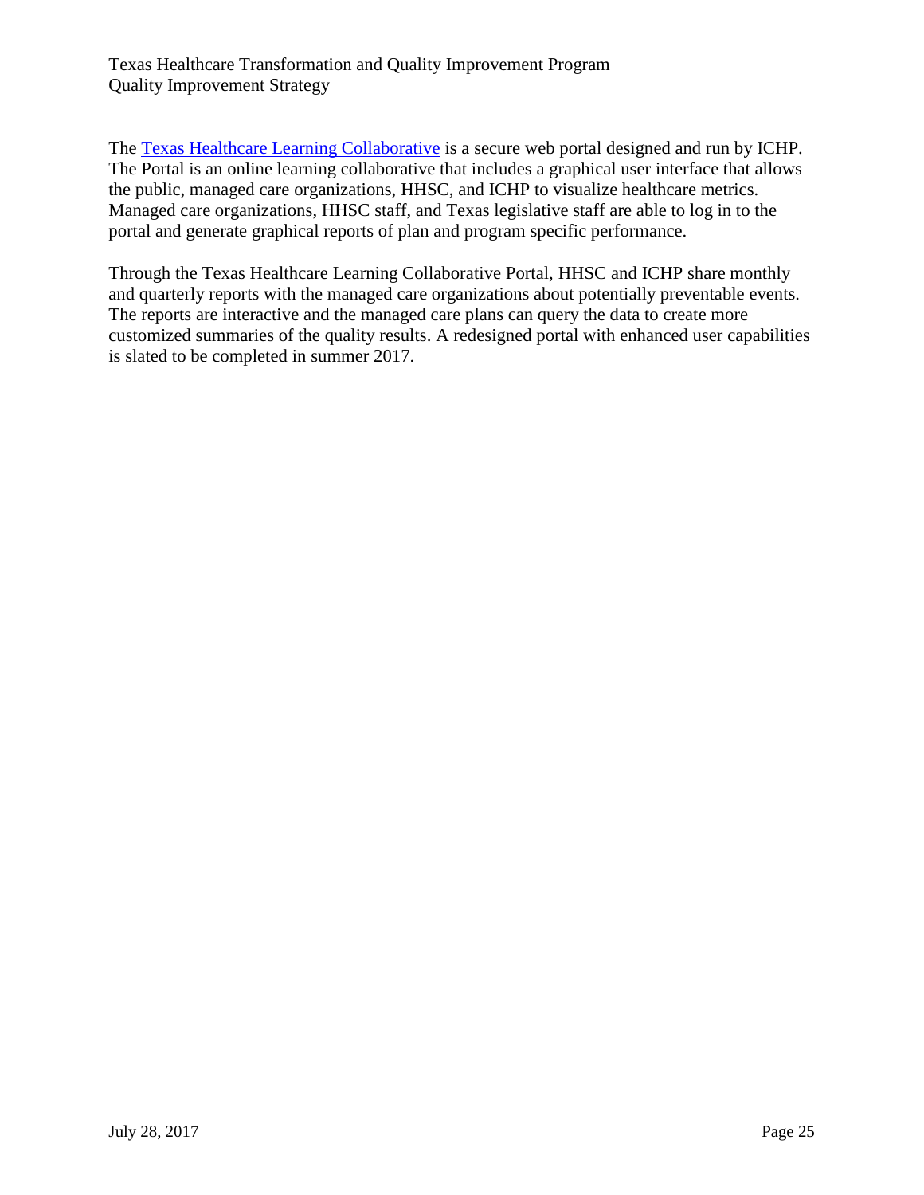The [Texas Healthcare Learning Collaborative](https://thlcportal.com/) is a secure web portal designed and run by ICHP. The Portal is an online learning collaborative that includes a graphical user interface that allows the public, managed care organizations, HHSC, and ICHP to visualize healthcare metrics. Managed care organizations, HHSC staff, and Texas legislative staff are able to log in to the portal and generate graphical reports of plan and program specific performance.

Through the Texas Healthcare Learning Collaborative Portal, HHSC and ICHP share monthly and quarterly reports with the managed care organizations about potentially preventable events. The reports are interactive and the managed care plans can query the data to create more customized summaries of the quality results. A redesigned portal with enhanced user capabilities is slated to be completed in summer 2017.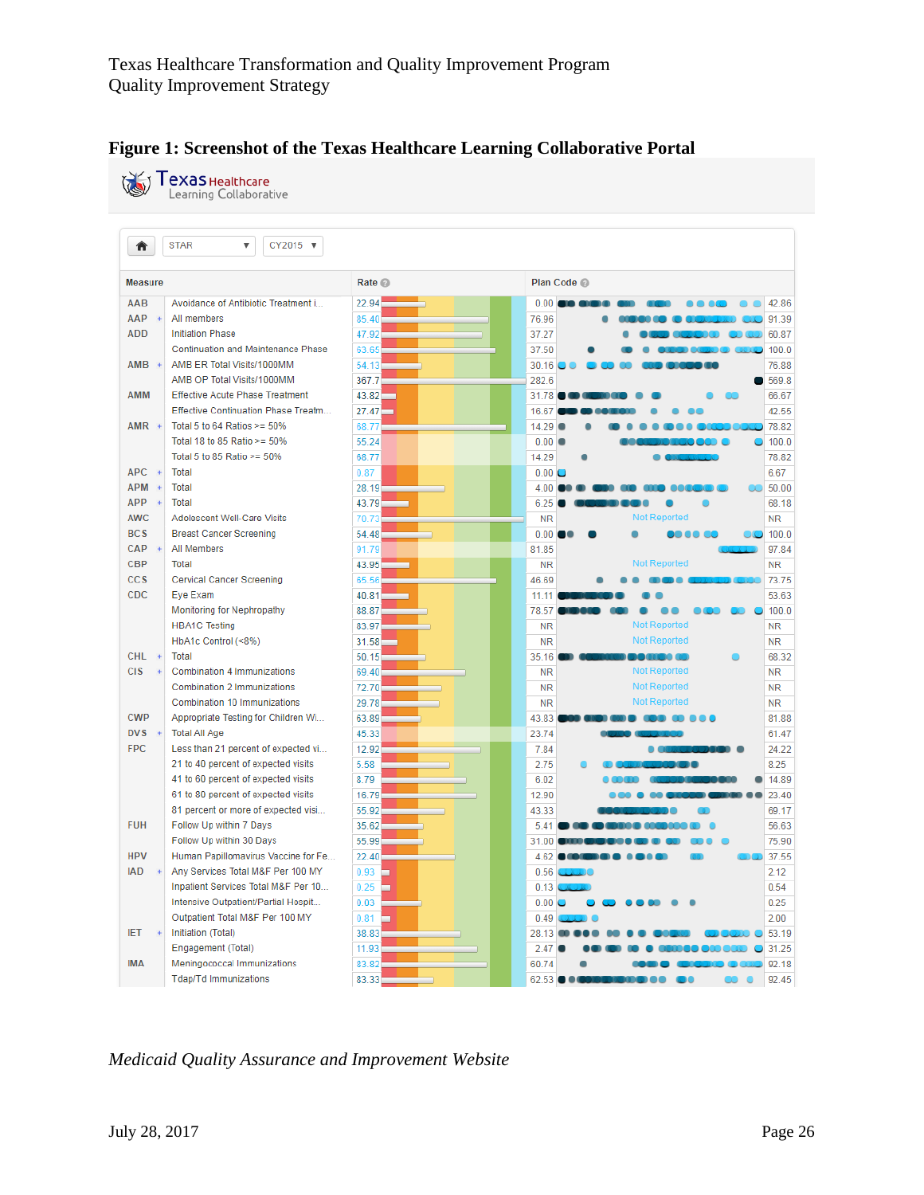

|                  | <b>TexaS</b> Healthcare<br>Learning Collaborative  |           |                                               |
|------------------|----------------------------------------------------|-----------|-----------------------------------------------|
|                  |                                                    |           |                                               |
| ₩                | <b>STAR</b><br>$\overline{\mathbf{v}}$<br>CY2015 ▼ |           |                                               |
| <b>Measure</b>   |                                                    | Rate @    | Plan Code                                     |
| AAB              | Avoidance of Antibiotic Treatment i                | 22.94     | 0.001<br>42.86                                |
| AAP              | All members                                        | 85.40     | 91.39<br>76.96                                |
| <b>ADD</b>       | <b>Initiation Phase</b>                            | 47.92     | 60.87<br>37.27                                |
|                  | <b>Continuation and Maintenance Phase</b>          | 63.65     | 100.0<br>37.50                                |
| AMB              | AMB ER Total Visits/1000MM                         | 54.13     | 30.16<br>76.88                                |
|                  | AMB OP Total Visits/1000MM                         | 367.7     | 282.6<br>569.8                                |
| AMM              | <b>Effective Acute Phase Treatment</b>             | 43.82     | 66.67<br>31.78                                |
|                  | Effective Continuation Phase Treatm                | 27.47     | 42.55<br>16.67                                |
| AMR +            | Total 5 to 64 Ratios $>= 50\%$                     | 68.77     | 78.82<br>14.29                                |
|                  | Total 18 to 85 Ratio $>= 50\%$                     | 55.24     | 100.0<br>0.00                                 |
|                  | Total 5 to 85 Ratio $>= 50\%$                      | 68.77     | 14.29<br>78.82                                |
| APC <sup>+</sup> | Total                                              | 0.87      | 6.67<br>0.00C                                 |
| <b>APM</b>       | <b>Total</b>                                       | 28.19     | 50.00<br>4.00                                 |
| APP              | <b>Total</b>                                       | 43.79     | 6.25<br>68.18                                 |
| <b>AWC</b>       | Adolescent Well-Care Visits                        | 70.73     | <b>Not Reported</b><br><b>NR</b><br><b>NR</b> |
| <b>BCS</b>       | <b>Breast Cancer Screening</b>                     | 54.48     | 0.00 <br>100.0                                |
| CAP              | All Members                                        | 91.79     | 97.84<br>81.85                                |
| <b>CBP</b>       | Total                                              | 43.95     | <b>Not Reported</b><br><b>NR</b><br><b>NR</b> |
| <b>CCS</b>       | <b>Cervical Cancer Screening</b>                   | 65.56     | 46.69<br>73.75                                |
| <b>CDC</b>       | Eye Exam                                           | 40.81     | 53.63<br>11.11                                |
|                  | <b>Monitoring for Nephropathy</b>                  | 88.87     | 100.0<br>78.57                                |
|                  | <b>HBA1C Testing</b>                               | 83.97     | <b>Not Reported</b><br><b>NR</b><br><b>NR</b> |
|                  | HbA1c Control (<8%)                                | 31.58     | <b>Not Reported</b><br><b>NR</b><br><b>NR</b> |
| CHL <sup>3</sup> | Total                                              | 50.15     | 68.32<br>35.16<br><b>BACK COLL</b>            |
| <b>CIS</b>       | Combination 4 Immunizations                        | 69.40     | <b>Not Reported</b><br><b>NR</b><br><b>NR</b> |
|                  | Combination 2 Immunizations                        | 72.70     | <b>Not Reported</b><br><b>NR</b><br><b>NR</b> |
|                  | Combination 10 Immunizations                       | 29.78     | <b>Not Reported</b><br><b>NR</b><br><b>NR</b> |
| <b>CWP</b>       | Appropriate Testing for Children Wi                | 63.89     | 43.83<br>81.88                                |
| DVS              | <b>Total All Age</b>                               | 45.33     | 23.74<br>61.47                                |
| <b>FPC</b>       | Less than 21 percent of expected vi                | 12.92     | 7.84<br>24.22                                 |
|                  | 21 to 40 percent of expected visits                | 5.58      | 2.75<br>8.25                                  |
|                  | 41 to 60 percent of expected visits                | 8.79      | 6.02<br>14.89                                 |
|                  | 61 to 80 percent of expected visits                | 16.79     | 23.40<br>12.90                                |
|                  | 81 percent or more of expected visi                | 55.92     | 43.33<br>69.17                                |
| <b>FUH</b>       | Follow Up within 7 Days                            | 35.62     | 5.41<br>56.63                                 |
|                  | Follow Up within 30 Days                           | 55.99     | 31.00<br>75.90                                |
| <b>HPV</b>       | Human Papillomavirus Vaccine for Fe                | 22.40     | 37.55<br>4.62 <b>COLOR</b>                    |
| <b>IAD</b>       | Any Services Total M&F Per 100 MY                  | 0.93<br>▭ | 2.12<br>0.56                                  |
|                  | Inpatient Services Total M&F Per 10                | 0.25      | 0.54<br>0.13                                  |
|                  | Intensive Outpatient/Partial Hospit                | 0.03      | 0.25<br>0.00C                                 |
|                  | Outpatient Total M&F Per 100 MY                    | 0.81      | 2.00<br>0.49                                  |
| <b>IET</b>       | Initiation (Total)                                 | 38.83     | 53.19<br>28.13                                |
|                  | Engagement (Total)                                 | 11.93     | 31.25<br>2.47                                 |
| <b>IMA</b>       | Meningococcal Immunizations                        | 83.82     | 92.18<br>60.74                                |
|                  | <b>Tdap/Td Immunizations</b>                       | 83.33     | $62.53 \bullet \bullet$<br>92.45              |

*Medicaid Quality Assurance and Improvement Website*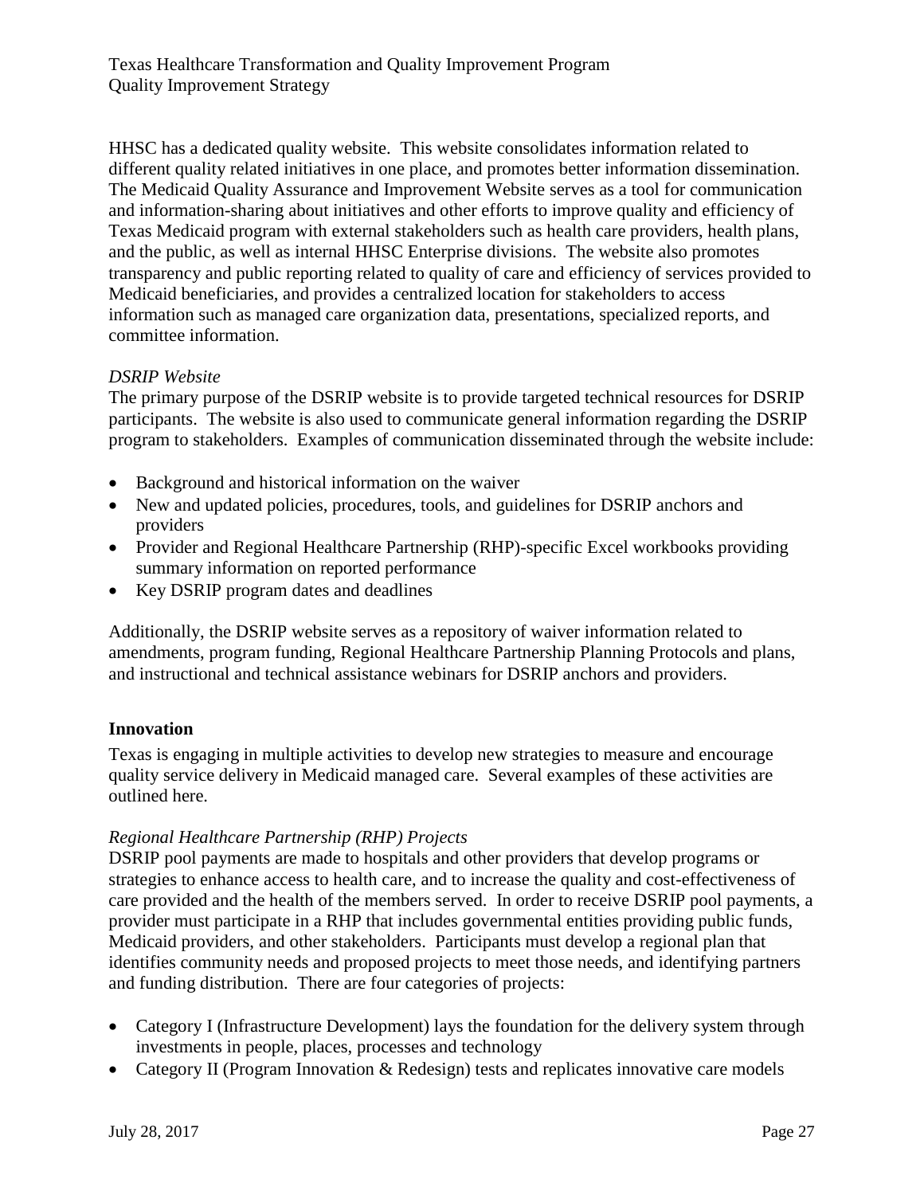HHSC has a dedicated quality website. This website consolidates information related to different quality related initiatives in one place, and promotes better information dissemination. The Medicaid Quality Assurance and Improvement Website serves as a tool for communication and information-sharing about initiatives and other efforts to improve quality and efficiency of Texas Medicaid program with external stakeholders such as health care providers, health plans, and the public, as well as internal HHSC Enterprise divisions. The website also promotes transparency and public reporting related to quality of care and efficiency of services provided to Medicaid beneficiaries, and provides a centralized location for stakeholders to access information such as managed care organization data, presentations, specialized reports, and committee information.

## *DSRIP Website*

The primary purpose of the DSRIP website is to provide targeted technical resources for DSRIP participants. The website is also used to communicate general information regarding the DSRIP program to stakeholders. Examples of communication disseminated through the website include:

- Background and historical information on the waiver
- New and updated policies, procedures, tools, and guidelines for DSRIP anchors and providers
- Provider and Regional Healthcare Partnership (RHP)-specific Excel workbooks providing summary information on reported performance
- Key DSRIP program dates and deadlines

Additionally, the DSRIP website serves as a repository of waiver information related to amendments, program funding, Regional Healthcare Partnership Planning Protocols and plans, and instructional and technical assistance webinars for DSRIP anchors and providers.

## <span id="page-26-0"></span>**Innovation**

Texas is engaging in multiple activities to develop new strategies to measure and encourage quality service delivery in Medicaid managed care. Several examples of these activities are outlined here.

## *Regional Healthcare Partnership (RHP) Projects*

DSRIP pool payments are made to hospitals and other providers that develop programs or strategies to enhance access to health care, and to increase the quality and cost-effectiveness of care provided and the health of the members served. In order to receive DSRIP pool payments, a provider must participate in a RHP that includes governmental entities providing public funds, Medicaid providers, and other stakeholders. Participants must develop a regional plan that identifies community needs and proposed projects to meet those needs, and identifying partners and funding distribution. There are four categories of projects:

- Category I (Infrastructure Development) lays the foundation for the delivery system through investments in people, places, processes and technology
- Category II (Program Innovation & Redesign) tests and replicates innovative care models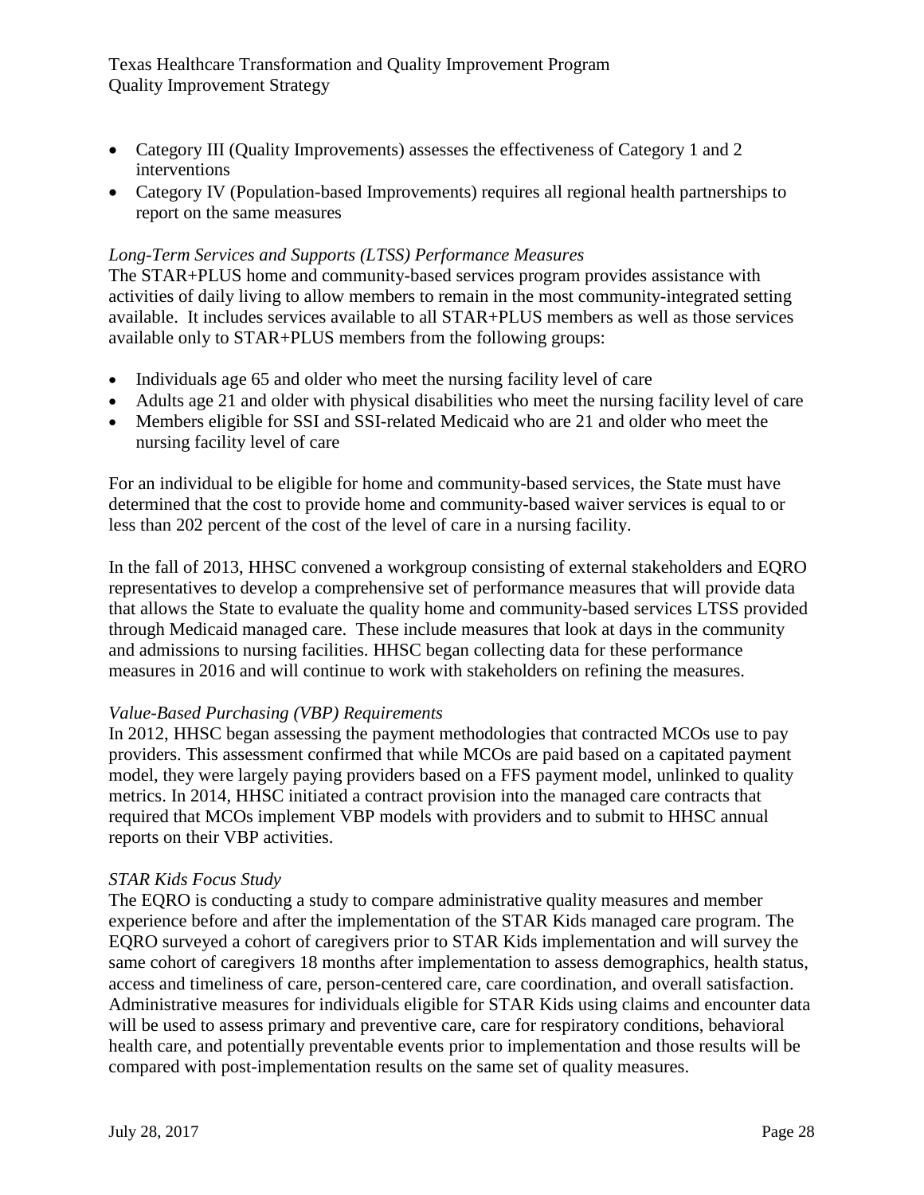- Category III (Quality Improvements) assesses the effectiveness of Category 1 and 2 interventions
- Category IV (Population-based Improvements) requires all regional health partnerships to report on the same measures

## *Long-Term Services and Supports (LTSS) Performance Measures*

The STAR+PLUS home and community-based services program provides assistance with activities of daily living to allow members to remain in the most community-integrated setting available. It includes services available to all STAR+PLUS members as well as those services available only to STAR+PLUS members from the following groups:

- Individuals age 65 and older who meet the nursing facility level of care
- Adults age 21 and older with physical disabilities who meet the nursing facility level of care
- Members eligible for SSI and SSI-related Medicaid who are 21 and older who meet the nursing facility level of care

For an individual to be eligible for home and community-based services, the State must have determined that the cost to provide home and community-based waiver services is equal to or less than 202 percent of the cost of the level of care in a nursing facility.

In the fall of 2013, HHSC convened a workgroup consisting of external stakeholders and EQRO representatives to develop a comprehensive set of performance measures that will provide data that allows the State to evaluate the quality home and community-based services LTSS provided through Medicaid managed care. These include measures that look at days in the community and admissions to nursing facilities. HHSC began collecting data for these performance measures in 2016 and will continue to work with stakeholders on refining the measures.

#### *Value-Based Purchasing (VBP) Requirements*

In 2012, HHSC began assessing the payment methodologies that contracted MCOs use to pay providers. This assessment confirmed that while MCOs are paid based on a capitated payment model, they were largely paying providers based on a FFS payment model, unlinked to quality metrics. In 2014, HHSC initiated a contract provision into the managed care contracts that required that MCOs implement VBP models with providers and to submit to HHSC annual reports on their VBP activities.

## *STAR Kids Focus Study*

The EQRO is conducting a study to compare administrative quality measures and member experience before and after the implementation of the STAR Kids managed care program. The EQRO surveyed a cohort of caregivers prior to STAR Kids implementation and will survey the same cohort of caregivers 18 months after implementation to assess demographics, health status, access and timeliness of care, person-centered care, care coordination, and overall satisfaction. Administrative measures for individuals eligible for STAR Kids using claims and encounter data will be used to assess primary and preventive care, care for respiratory conditions, behavioral health care, and potentially preventable events prior to implementation and those results will be compared with post-implementation results on the same set of quality measures.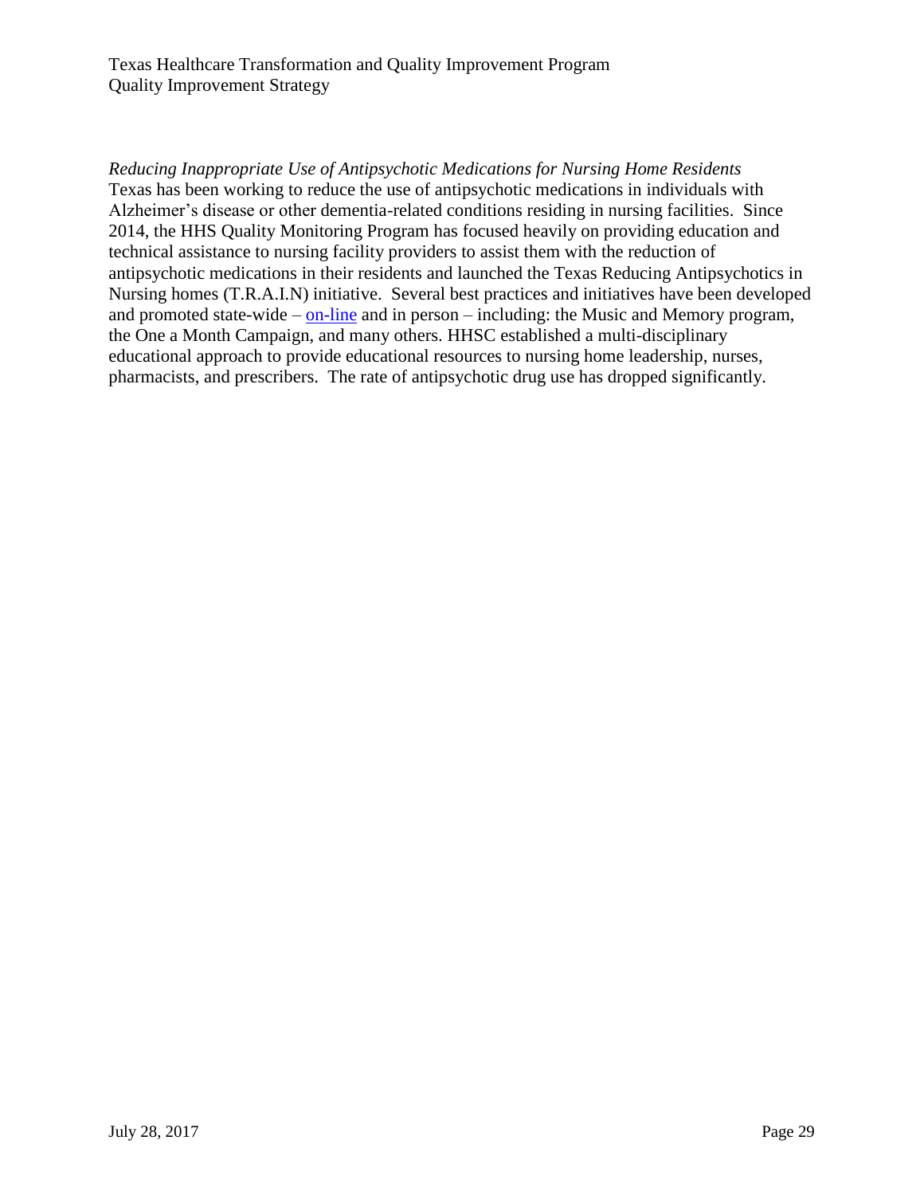*Reducing Inappropriate Use of Antipsychotic Medications for Nursing Home Residents* Texas has been working to reduce the use of antipsychotic medications in individuals with Alzheimer's disease or other dementia-related conditions residing in nursing facilities. Since 2014, the HHS Quality Monitoring Program has focused heavily on providing education and technical assistance to nursing facility providers to assist them with the reduction of antipsychotic medications in their residents and launched the Texas Reducing Antipsychotics in Nursing homes (T.R.A.I.N) initiative. Several best practices and initiatives have been developed and promoted state-wide – [on-line](https://hhs.texas.gov/doing-business-hhs/provider-portals/long-term-care-providers/nursing-facilities-nf/quality-monitoring-program-qmp/evidence-based-best-practices-qmp/appropriate-use-antipsychotic-medications) and in person – including: the Music and Memory program, the One a Month Campaign, and many others. HHSC established a multi-disciplinary educational approach to provide educational resources to nursing home leadership, nurses, pharmacists, and prescribers. The rate of antipsychotic drug use has dropped significantly.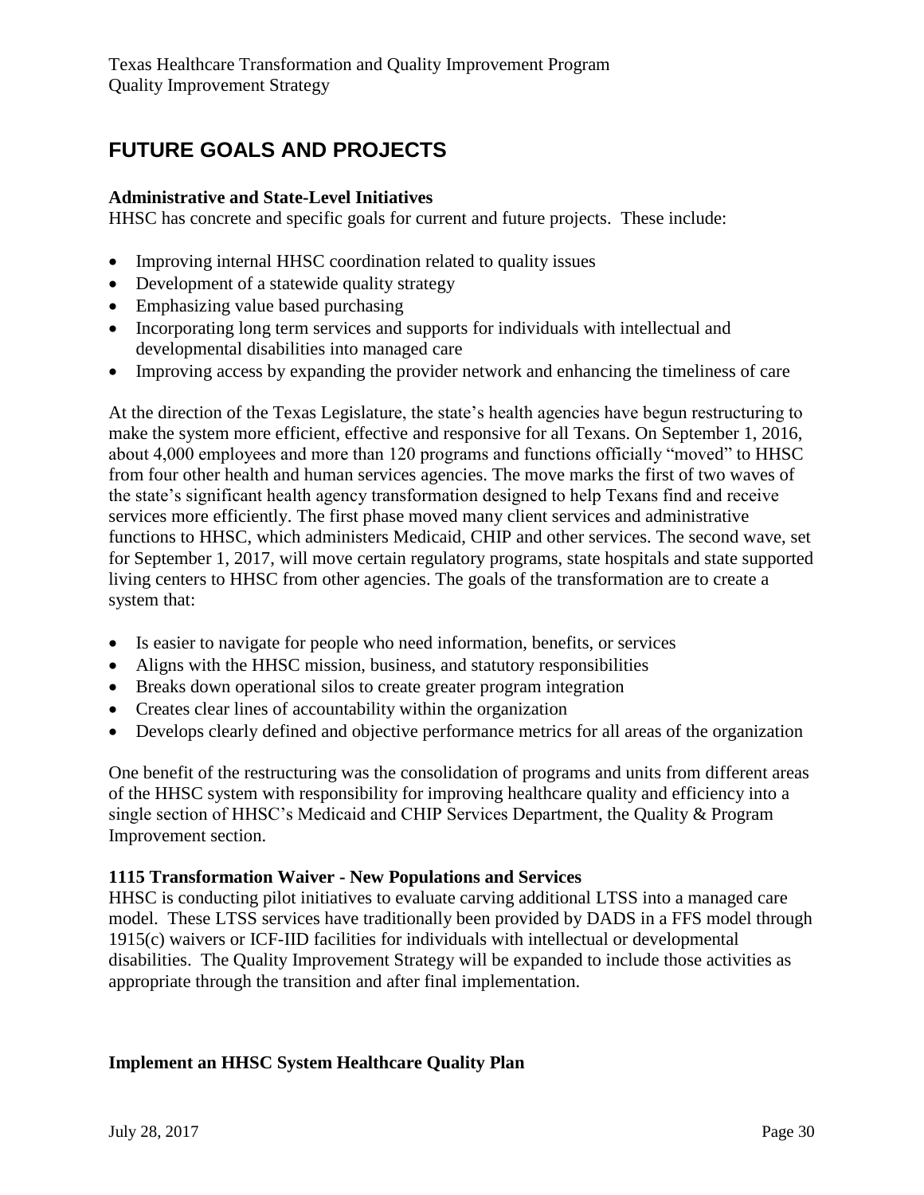# <span id="page-29-0"></span>**FUTURE GOALS AND PROJECTS**

#### **Administrative and State-Level Initiatives**

HHSC has concrete and specific goals for current and future projects. These include:

- Improving internal HHSC coordination related to quality issues
- Development of a statewide quality strategy
- Emphasizing value based purchasing
- Incorporating long term services and supports for individuals with intellectual and developmental disabilities into managed care
- Improving access by expanding the provider network and enhancing the timeliness of care

At the direction of the Texas Legislature, the state's health agencies have begun restructuring to make the system more efficient, effective and responsive for all Texans. On September 1, 2016, about 4,000 employees and more than 120 programs and functions officially "moved" to HHSC from four other health and human services agencies. The move marks the first of two waves of the state's significant health agency transformation designed to help Texans find and receive services more efficiently. The first phase moved many client services and administrative functions to HHSC, which administers Medicaid, CHIP and other services. The second wave, set for September 1, 2017, will move certain regulatory programs, state hospitals and state supported living centers to HHSC from other agencies. The goals of the transformation are to create a system that:

- Is easier to navigate for people who need information, benefits, or services
- Aligns with the HHSC mission, business, and statutory responsibilities
- Breaks down operational silos to create greater program integration
- Creates clear lines of accountability within the organization
- Develops clearly defined and objective performance metrics for all areas of the organization

One benefit of the restructuring was the consolidation of programs and units from different areas of the HHSC system with responsibility for improving healthcare quality and efficiency into a single section of HHSC's Medicaid and CHIP Services Department, the Quality & Program Improvement section.

#### **1115 Transformation Waiver - New Populations and Services**

HHSC is conducting pilot initiatives to evaluate carving additional LTSS into a managed care model. These LTSS services have traditionally been provided by DADS in a FFS model through 1915(c) waivers or ICF-IID facilities for individuals with intellectual or developmental disabilities. The Quality Improvement Strategy will be expanded to include those activities as appropriate through the transition and after final implementation.

## **Implement an HHSC System Healthcare Quality Plan**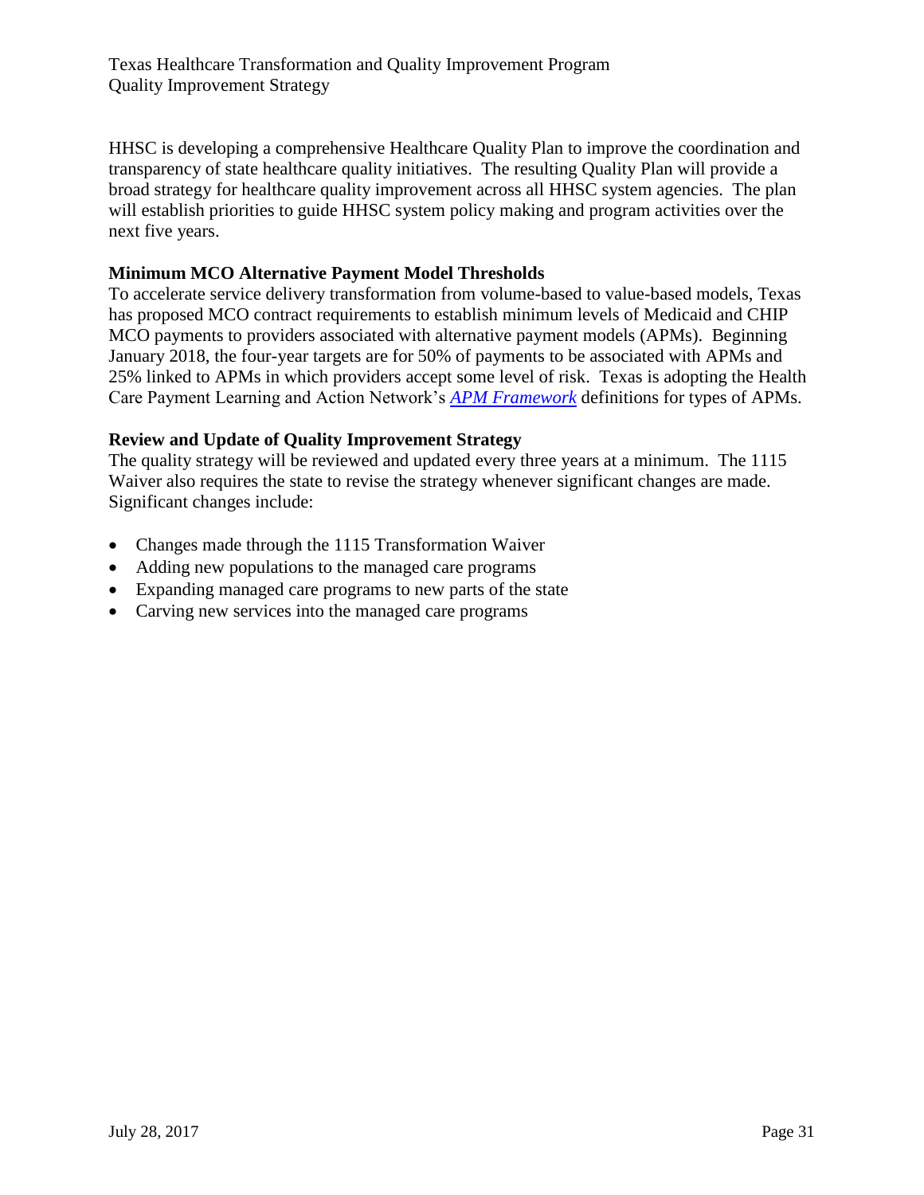HHSC is developing a comprehensive Healthcare Quality Plan to improve the coordination and transparency of state healthcare quality initiatives. The resulting Quality Plan will provide a broad strategy for healthcare quality improvement across all HHSC system agencies. The plan will establish priorities to guide HHSC system policy making and program activities over the next five years.

## **Minimum MCO Alternative Payment Model Thresholds**

To accelerate service delivery transformation from volume-based to value-based models, Texas has proposed MCO contract requirements to establish minimum levels of Medicaid and CHIP MCO payments to providers associated with alternative payment models (APMs). Beginning January 2018, the four-year targets are for 50% of payments to be associated with APMs and 25% linked to APMs in which providers accept some level of risk. Texas is adopting the Health Care Payment Learning and Action Network's *[APM Framework](https://hcp-lan.org/groups/apm-fpt-work-products/apm-framework/)* definitions for types of APMs.

## **Review and Update of Quality Improvement Strategy**

The quality strategy will be reviewed and updated every three years at a minimum. The 1115 Waiver also requires the state to revise the strategy whenever significant changes are made. Significant changes include:

- Changes made through the 1115 Transformation Waiver
- Adding new populations to the managed care programs
- Expanding managed care programs to new parts of the state
- Carving new services into the managed care programs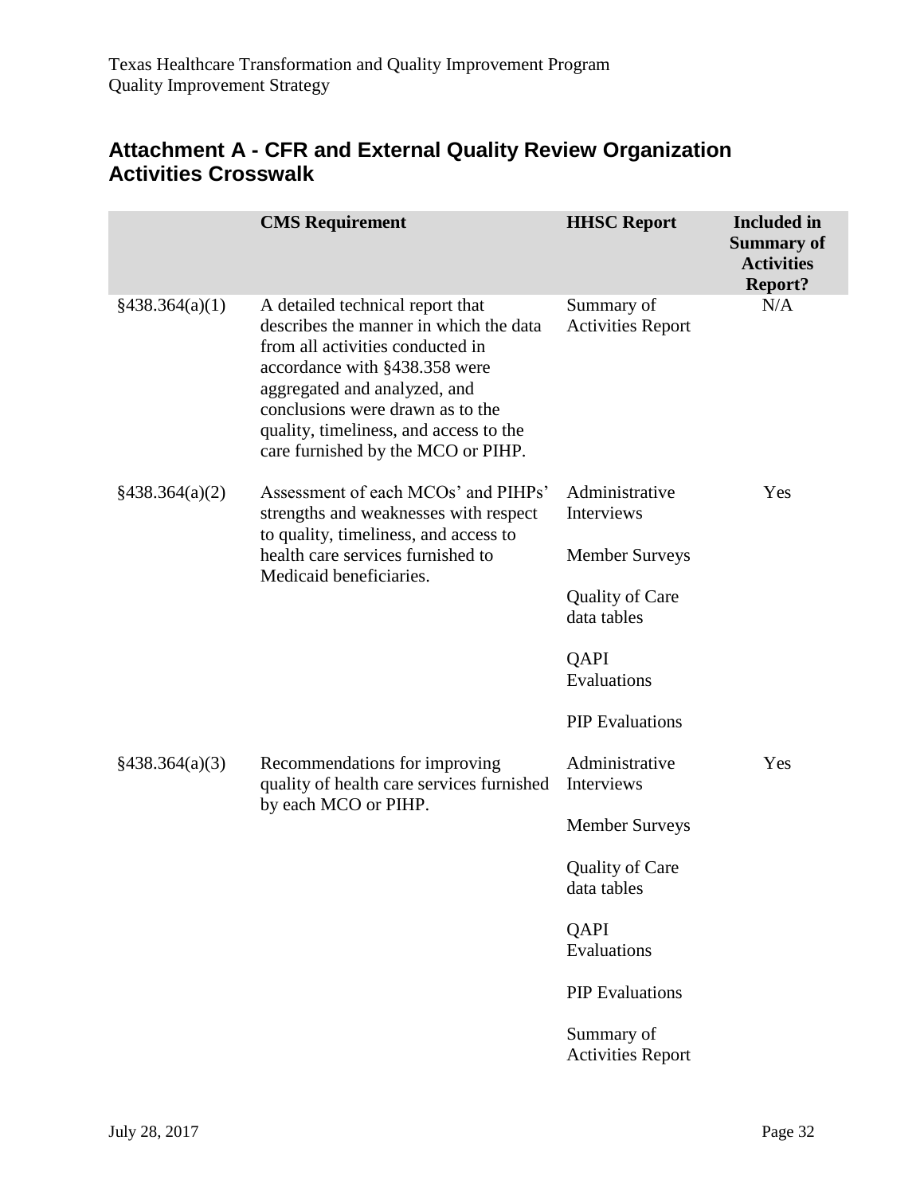## <span id="page-31-0"></span>**Attachment A - CFR and External Quality Review Organization Activities Crosswalk**

|                           | <b>CMS</b> Requirement                                                                                                                                                                                                                                                                              | <b>HHSC Report</b>                     | <b>Included</b> in<br><b>Summary of</b><br><b>Activities</b><br><b>Report?</b> |
|---------------------------|-----------------------------------------------------------------------------------------------------------------------------------------------------------------------------------------------------------------------------------------------------------------------------------------------------|----------------------------------------|--------------------------------------------------------------------------------|
| §438.364(a)(1)            | A detailed technical report that<br>describes the manner in which the data<br>from all activities conducted in<br>accordance with §438.358 were<br>aggregated and analyzed, and<br>conclusions were drawn as to the<br>quality, timeliness, and access to the<br>care furnished by the MCO or PIHP. | Summary of<br><b>Activities Report</b> | N/A                                                                            |
| $\frac{$438.364(a)(2)}{}$ | Assessment of each MCOs' and PIHPs'<br>strengths and weaknesses with respect                                                                                                                                                                                                                        | Administrative<br>Interviews           | Yes                                                                            |
|                           | to quality, timeliness, and access to<br>health care services furnished to<br>Medicaid beneficiaries.                                                                                                                                                                                               | <b>Member Surveys</b>                  |                                                                                |
|                           |                                                                                                                                                                                                                                                                                                     | <b>Quality of Care</b><br>data tables  |                                                                                |
|                           |                                                                                                                                                                                                                                                                                                     | QAPI<br>Evaluations                    |                                                                                |
|                           |                                                                                                                                                                                                                                                                                                     | <b>PIP</b> Evaluations                 |                                                                                |
| §438.364(a)(3)            | Recommendations for improving<br>quality of health care services furnished<br>by each MCO or PIHP.                                                                                                                                                                                                  | Administrative<br>Interviews           | Yes                                                                            |
|                           |                                                                                                                                                                                                                                                                                                     | <b>Member Surveys</b>                  |                                                                                |
|                           |                                                                                                                                                                                                                                                                                                     | <b>Quality of Care</b><br>data tables  |                                                                                |
|                           |                                                                                                                                                                                                                                                                                                     | QAPI<br>Evaluations                    |                                                                                |
|                           |                                                                                                                                                                                                                                                                                                     | <b>PIP</b> Evaluations                 |                                                                                |
|                           |                                                                                                                                                                                                                                                                                                     | Summary of<br><b>Activities Report</b> |                                                                                |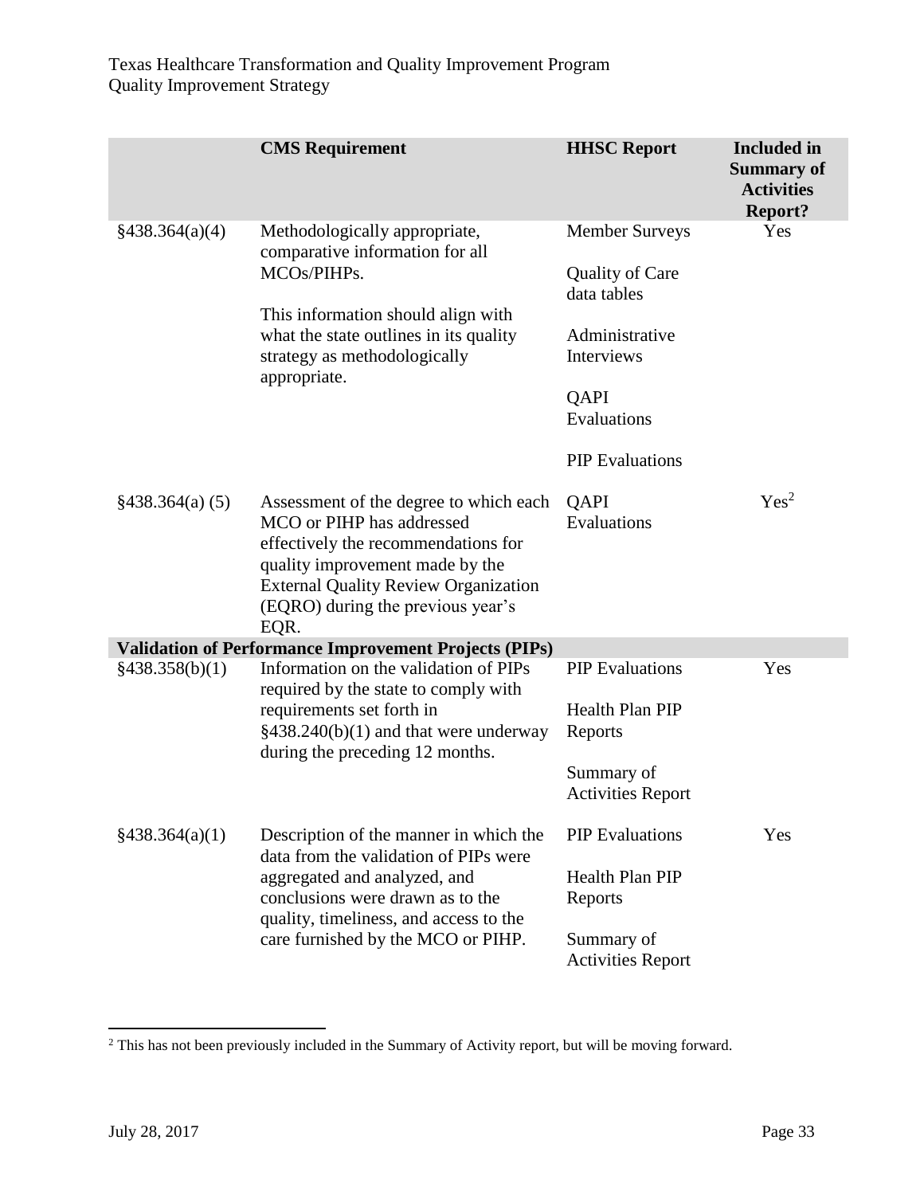|                 | <b>CMS</b> Requirement                                                                                                                                                                                                                    | <b>HHSC Report</b>                                                                                                                              | <b>Included</b> in<br><b>Summary of</b><br><b>Activities</b><br><b>Report?</b> |
|-----------------|-------------------------------------------------------------------------------------------------------------------------------------------------------------------------------------------------------------------------------------------|-------------------------------------------------------------------------------------------------------------------------------------------------|--------------------------------------------------------------------------------|
| §438.364(a)(4)  | Methodologically appropriate,<br>comparative information for all<br>MCOs/PIHPs.<br>This information should align with<br>what the state outlines in its quality<br>strategy as methodologically<br>appropriate.                           | <b>Member Surveys</b><br><b>Quality of Care</b><br>data tables<br>Administrative<br>Interviews<br>QAPI<br>Evaluations<br><b>PIP</b> Evaluations | Yes                                                                            |
| §438.364(a) (5) | Assessment of the degree to which each<br>MCO or PIHP has addressed<br>effectively the recommendations for<br>quality improvement made by the<br><b>External Quality Review Organization</b><br>(EQRO) during the previous year's<br>EQR. | QAPI<br>Evaluations                                                                                                                             | Yes <sup>2</sup>                                                               |
|                 | <b>Validation of Performance Improvement Projects (PIPs)</b>                                                                                                                                                                              |                                                                                                                                                 |                                                                                |
| §438.358(b)(1)  | Information on the validation of PIPs<br>required by the state to comply with<br>requirements set forth in<br>$§438.240(b)(1)$ and that were underway<br>during the preceding 12 months.                                                  | <b>PIP</b> Evaluations<br><b>Health Plan PIP</b><br>Reports<br>Summary of<br><b>Activities Report</b>                                           | Yes                                                                            |
| §438.364(a)(1)  | Description of the manner in which the<br>data from the validation of PIPs were<br>aggregated and analyzed, and<br>conclusions were drawn as to the<br>quality, timeliness, and access to the<br>care furnished by the MCO or PIHP.       | <b>PIP</b> Evaluations<br><b>Health Plan PIP</b><br>Reports<br>Summary of<br><b>Activities Report</b>                                           | Yes                                                                            |

l

 $2$  This has not been previously included in the Summary of Activity report, but will be moving forward.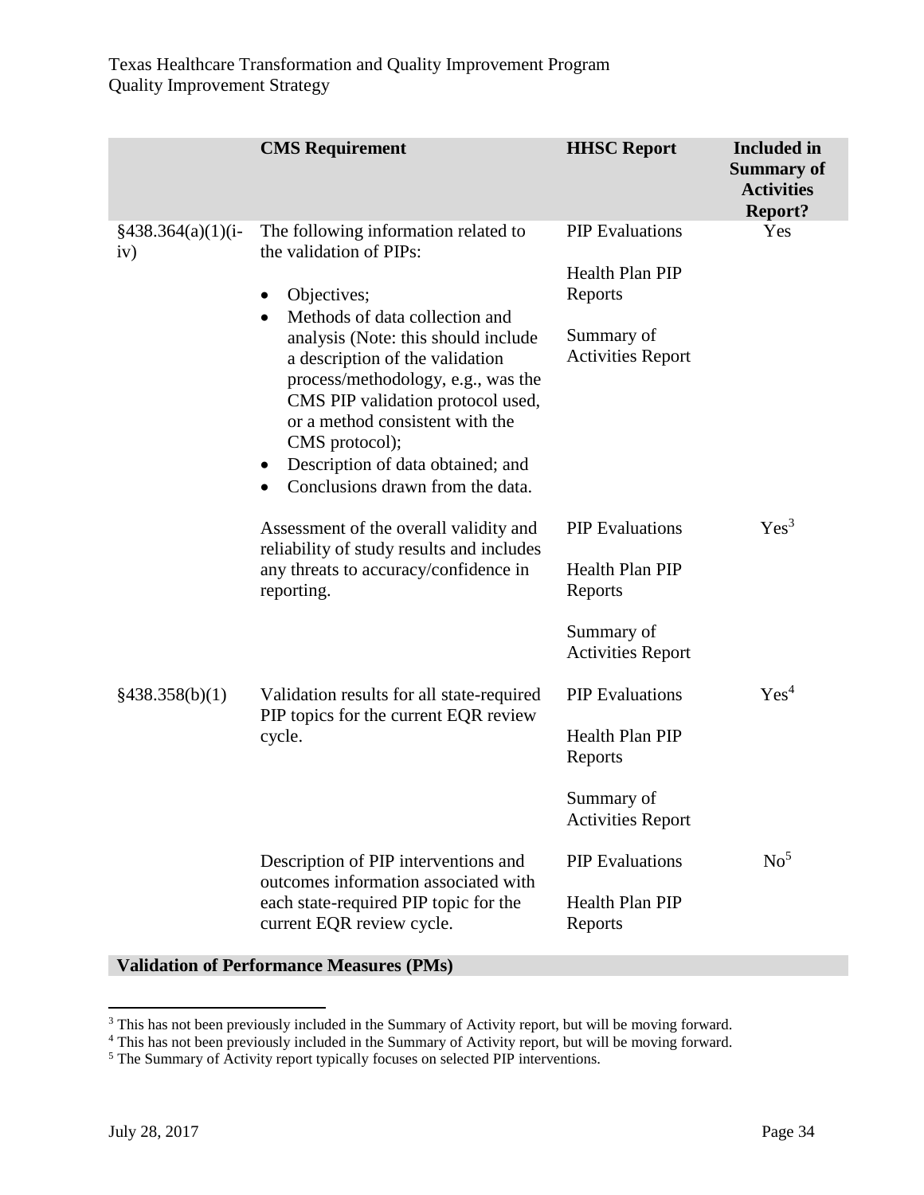|                                        | <b>CMS</b> Requirement                                                                                                                                                                                                                                                                                                                                                                                                        | <b>HHSC Report</b>                                                                                    | <b>Included</b> in<br><b>Summary of</b><br><b>Activities</b><br><b>Report?</b> |
|----------------------------------------|-------------------------------------------------------------------------------------------------------------------------------------------------------------------------------------------------------------------------------------------------------------------------------------------------------------------------------------------------------------------------------------------------------------------------------|-------------------------------------------------------------------------------------------------------|--------------------------------------------------------------------------------|
| $\frac{2438.364(a)(1)(i-1)}{4}$<br>iv) | The following information related to<br>the validation of PIPs:<br>Objectives;<br>$\bullet$<br>Methods of data collection and<br>$\bullet$<br>analysis (Note: this should include<br>a description of the validation<br>process/methodology, e.g., was the<br>CMS PIP validation protocol used,<br>or a method consistent with the<br>CMS protocol);<br>Description of data obtained; and<br>Conclusions drawn from the data. | <b>PIP</b> Evaluations<br>Health Plan PIP<br>Reports<br>Summary of<br><b>Activities Report</b>        | Yes                                                                            |
|                                        | Assessment of the overall validity and<br>reliability of study results and includes<br>any threats to accuracy/confidence in<br>reporting.                                                                                                                                                                                                                                                                                    | <b>PIP</b> Evaluations<br>Health Plan PIP<br>Reports                                                  | Yes <sup>3</sup>                                                               |
| §438.358(b)(1)                         | Validation results for all state-required<br>PIP topics for the current EQR review<br>cycle.                                                                                                                                                                                                                                                                                                                                  | Summary of<br><b>Activities Report</b><br><b>PIP</b> Evaluations<br>Health Plan PIP<br>Reports        | Yes <sup>4</sup>                                                               |
|                                        | Description of PIP interventions and<br>outcomes information associated with<br>each state-required PIP topic for the<br>current EQR review cycle.                                                                                                                                                                                                                                                                            | Summary of<br><b>Activities Report</b><br><b>PIP</b> Evaluations<br><b>Health Plan PIP</b><br>Reports | No <sup>5</sup>                                                                |

## **Validation of Performance Measures (PMs)**

 $\overline{\phantom{a}}$ 

<sup>&</sup>lt;sup>3</sup> This has not been previously included in the Summary of Activity report, but will be moving forward.

<sup>4</sup> This has not been previously included in the Summary of Activity report, but will be moving forward.

<sup>&</sup>lt;sup>5</sup> The Summary of Activity report typically focuses on selected PIP interventions.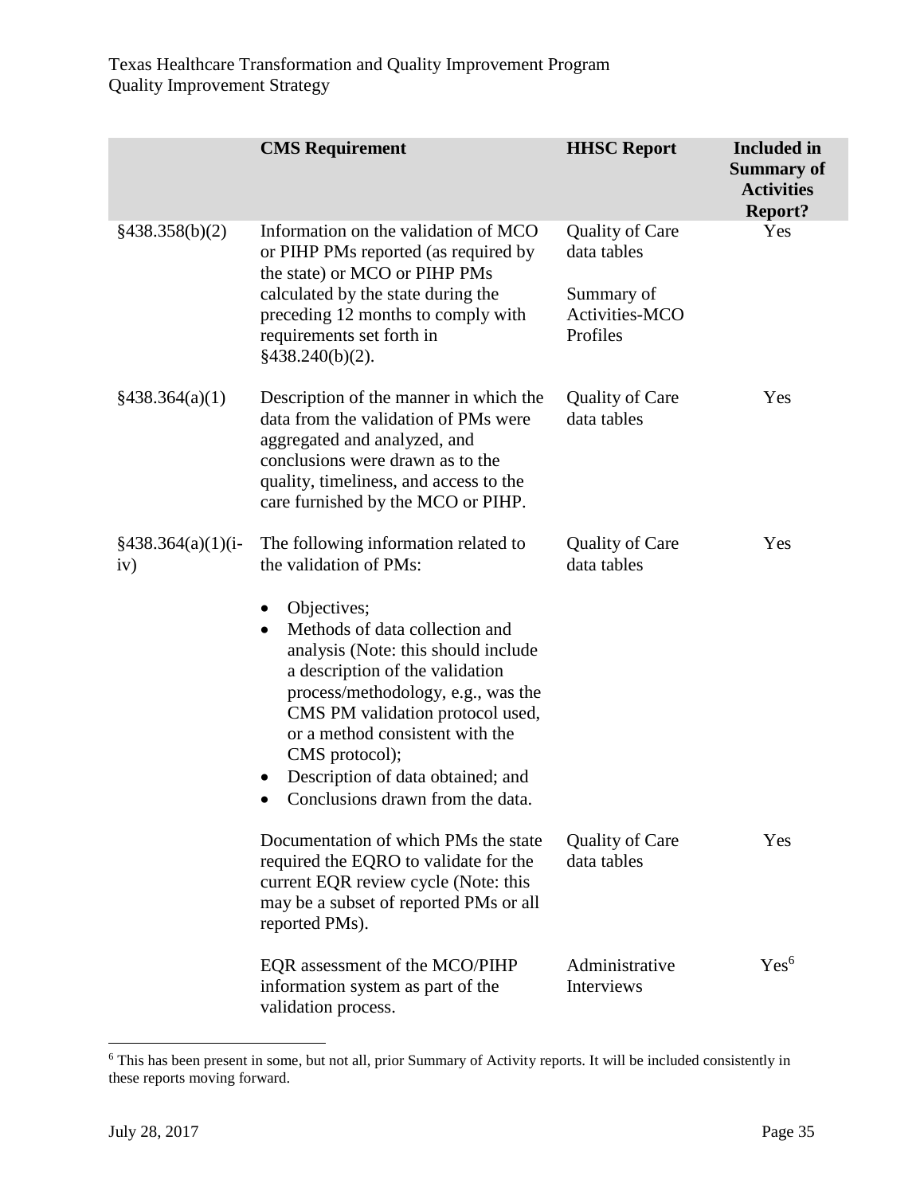|                                        | <b>CMS</b> Requirement                                                                                                                                                                                                                                                                                                                                                                                                      | <b>HHSC Report</b>                                                                | <b>Included</b> in<br><b>Summary of</b><br><b>Activities</b><br><b>Report?</b> |
|----------------------------------------|-----------------------------------------------------------------------------------------------------------------------------------------------------------------------------------------------------------------------------------------------------------------------------------------------------------------------------------------------------------------------------------------------------------------------------|-----------------------------------------------------------------------------------|--------------------------------------------------------------------------------|
| §438.358(b)(2)                         | Information on the validation of MCO<br>or PIHP PMs reported (as required by<br>the state) or MCO or PIHP PMs<br>calculated by the state during the<br>preceding 12 months to comply with<br>requirements set forth in<br>§438.240(b)(2).                                                                                                                                                                                   | <b>Quality of Care</b><br>data tables<br>Summary of<br>Activities-MCO<br>Profiles | Yes                                                                            |
| $\frac{$438.364(a)(1)}{4}$             | Description of the manner in which the<br>data from the validation of PMs were<br>aggregated and analyzed, and<br>conclusions were drawn as to the<br>quality, timeliness, and access to the<br>care furnished by the MCO or PIHP.                                                                                                                                                                                          | <b>Quality of Care</b><br>data tables                                             | Yes                                                                            |
| $\frac{2438.364(a)(1)(i-1)}{4}$<br>iv) | The following information related to<br>the validation of PMs:<br>Objectives;<br>$\bullet$<br>Methods of data collection and<br>$\bullet$<br>analysis (Note: this should include<br>a description of the validation<br>process/methodology, e.g., was the<br>CMS PM validation protocol used,<br>or a method consistent with the<br>CMS protocol);<br>Description of data obtained; and<br>Conclusions drawn from the data. | Quality of Care<br>data tables                                                    | Yes                                                                            |
|                                        | Documentation of which PMs the state<br>required the EQRO to validate for the<br>current EQR review cycle (Note: this<br>may be a subset of reported PMs or all<br>reported PMs).                                                                                                                                                                                                                                           | <b>Quality of Care</b><br>data tables                                             | Yes                                                                            |
|                                        | EQR assessment of the MCO/PIHP<br>information system as part of the<br>validation process.                                                                                                                                                                                                                                                                                                                                  | Administrative<br>Interviews                                                      | Yes <sup>6</sup>                                                               |

 $\overline{\phantom{a}}$ <sup>6</sup> This has been present in some, but not all, prior Summary of Activity reports. It will be included consistently in these reports moving forward.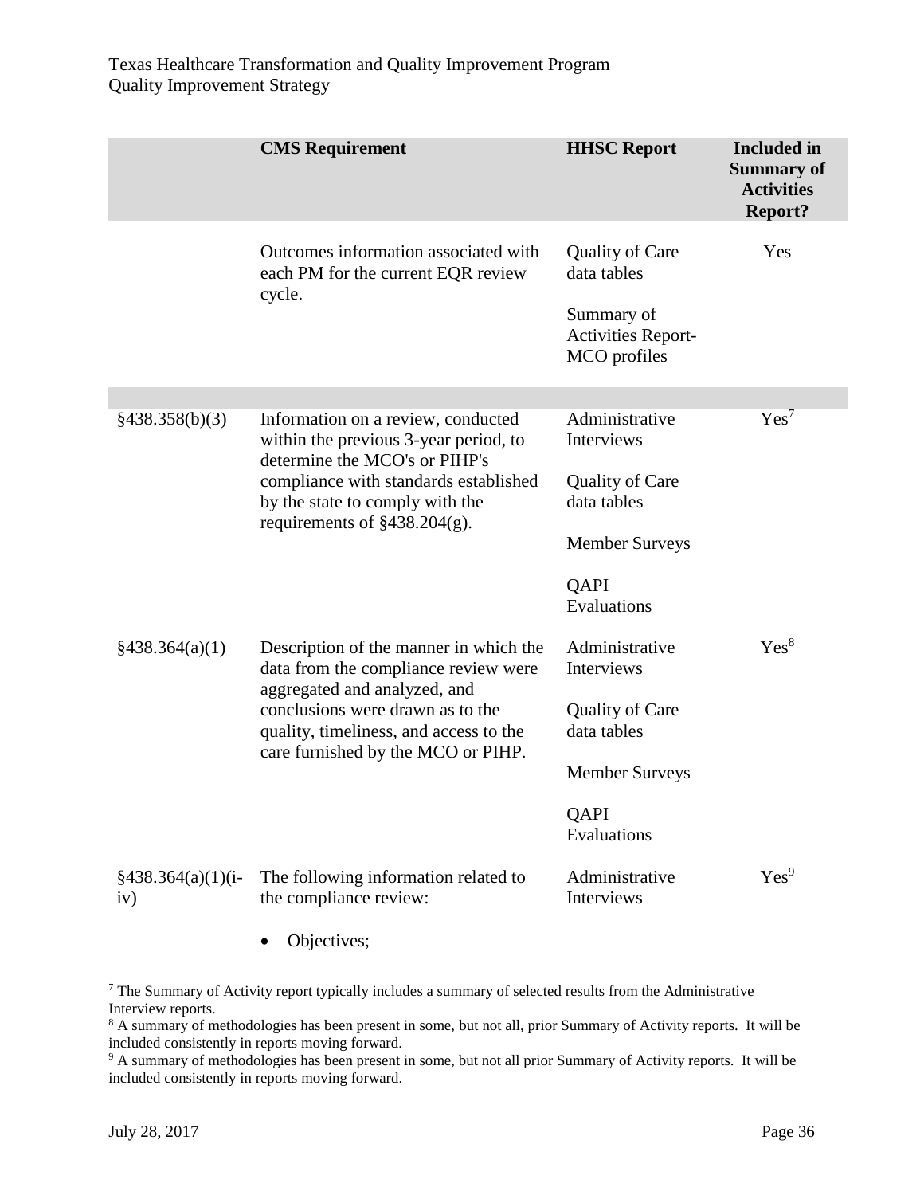|                            | <b>CMS</b> Requirement                                                                                                                                                                                                             | <b>HHSC Report</b>                                                                                                           | <b>Included</b> in<br><b>Summary of</b><br><b>Activities</b><br><b>Report?</b> |
|----------------------------|------------------------------------------------------------------------------------------------------------------------------------------------------------------------------------------------------------------------------------|------------------------------------------------------------------------------------------------------------------------------|--------------------------------------------------------------------------------|
|                            | Outcomes information associated with<br>each PM for the current EQR review<br>cycle.                                                                                                                                               | Quality of Care<br>data tables<br>Summary of<br><b>Activities Report-</b><br>MCO profiles                                    | <b>Yes</b>                                                                     |
| §438.358(b)(3)             | Information on a review, conducted<br>within the previous 3-year period, to<br>determine the MCO's or PIHP's<br>compliance with standards established<br>by the state to comply with the<br>requirements of $§438.204(g)$ .        | Administrative<br><b>Interviews</b><br><b>Quality of Care</b><br>data tables<br><b>Member Surveys</b><br>QAPI<br>Evaluations | Yes <sup>7</sup>                                                               |
| $\frac{$438.364(a)(1)}{4}$ | Description of the manner in which the<br>data from the compliance review were<br>aggregated and analyzed, and<br>conclusions were drawn as to the<br>quality, timeliness, and access to the<br>care furnished by the MCO or PIHP. | Administrative<br><b>Interviews</b><br>Quality of Care<br>data tables<br><b>Member Surveys</b><br>QAPI<br>Evaluations        | Yes <sup>8</sup>                                                               |
| $§438.364(a)(1)(i-$<br>iv) | The following information related to<br>the compliance review:                                                                                                                                                                     | Administrative<br><b>Interviews</b>                                                                                          | Yes <sup>9</sup>                                                               |

• Objectives;

l

 $<sup>7</sup>$  The Summary of Activity report typically includes a summary of selected results from the Administrative</sup> Interview reports.

<sup>&</sup>lt;sup>8</sup> A summary of methodologies has been present in some, but not all, prior Summary of Activity reports. It will be included consistently in reports moving forward.

<sup>&</sup>lt;sup>9</sup> A summary of methodologies has been present in some, but not all prior Summary of Activity reports. It will be included consistently in reports moving forward.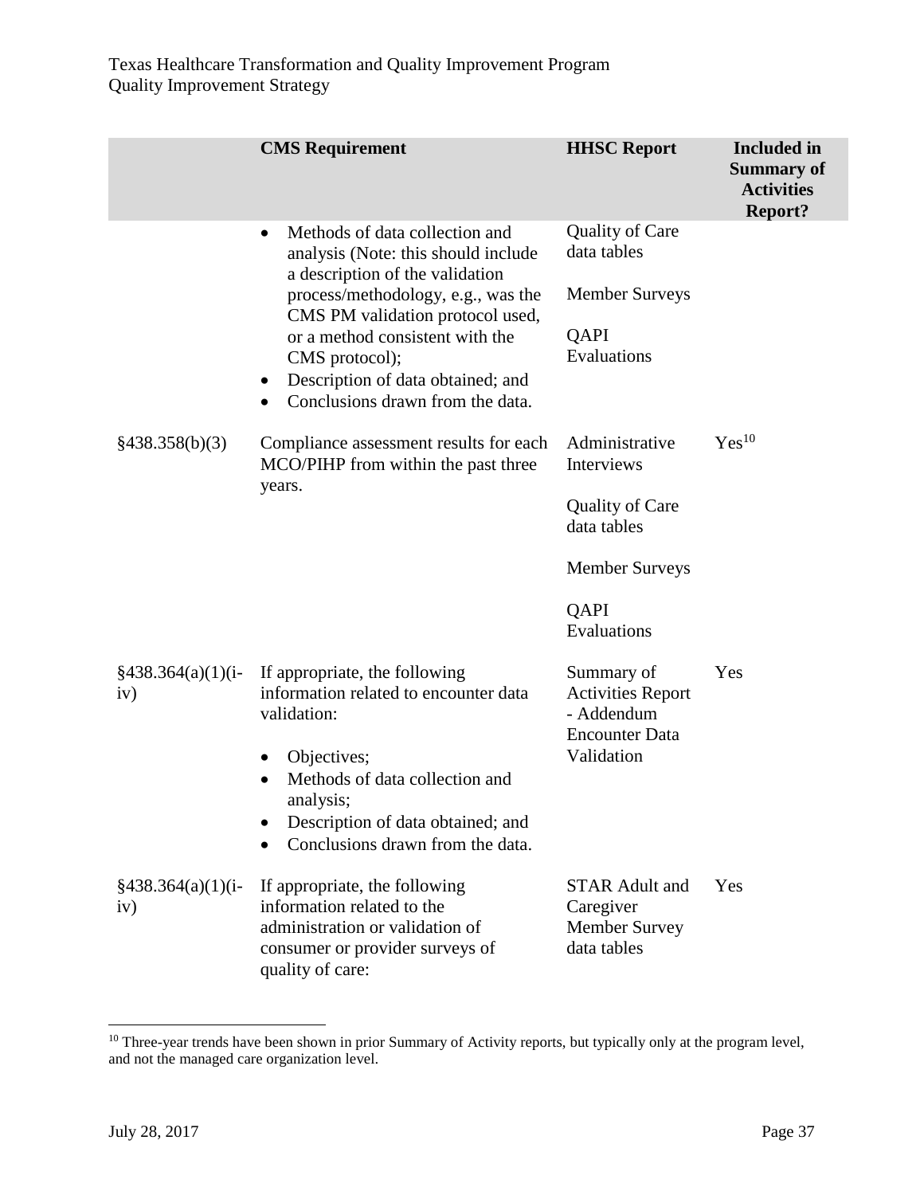|                                        | <b>CMS</b> Requirement                                                                                                                                                                                                                                                                                                                                  | <b>HHSC Report</b>                                                                                                    | <b>Included</b> in<br><b>Summary of</b><br><b>Activities</b><br><b>Report?</b> |
|----------------------------------------|---------------------------------------------------------------------------------------------------------------------------------------------------------------------------------------------------------------------------------------------------------------------------------------------------------------------------------------------------------|-----------------------------------------------------------------------------------------------------------------------|--------------------------------------------------------------------------------|
|                                        | Methods of data collection and<br>$\bullet$<br>analysis (Note: this should include<br>a description of the validation<br>process/methodology, e.g., was the<br>CMS PM validation protocol used,<br>or a method consistent with the<br>CMS protocol);<br>Description of data obtained; and<br>$\bullet$<br>Conclusions drawn from the data.<br>$\bullet$ | <b>Quality of Care</b><br>data tables<br><b>Member Surveys</b><br>QAPI<br>Evaluations                                 |                                                                                |
| §438.358(b)(3)                         | Compliance assessment results for each<br>MCO/PIHP from within the past three<br>years.                                                                                                                                                                                                                                                                 | Administrative<br>Interviews<br><b>Quality of Care</b><br>data tables<br><b>Member Surveys</b><br>QAPI<br>Evaluations | $Yes^{10}$                                                                     |
| $\frac{2438.364(a)(1)(i-1)}{4}$<br>iv) | If appropriate, the following<br>information related to encounter data<br>validation:<br>Objectives;<br>Methods of data collection and<br>$\bullet$<br>analysis;<br>Description of data obtained; and<br>Conclusions drawn from the data.                                                                                                               | Summary of<br><b>Activities Report</b><br>- Addendum<br><b>Encounter Data</b><br>Validation                           | Yes                                                                            |
| $\frac{2438.364(a)(1)(i-1)}{4}$<br>iv) | If appropriate, the following<br>information related to the<br>administration or validation of<br>consumer or provider surveys of<br>quality of care:                                                                                                                                                                                                   | <b>STAR Adult and</b><br>Caregiver<br><b>Member Survey</b><br>data tables                                             | Yes                                                                            |

 $10$  Three-year trends have been shown in prior Summary of Activity reports, but typically only at the program level, and not the managed care organization level.

 $\overline{\phantom{a}}$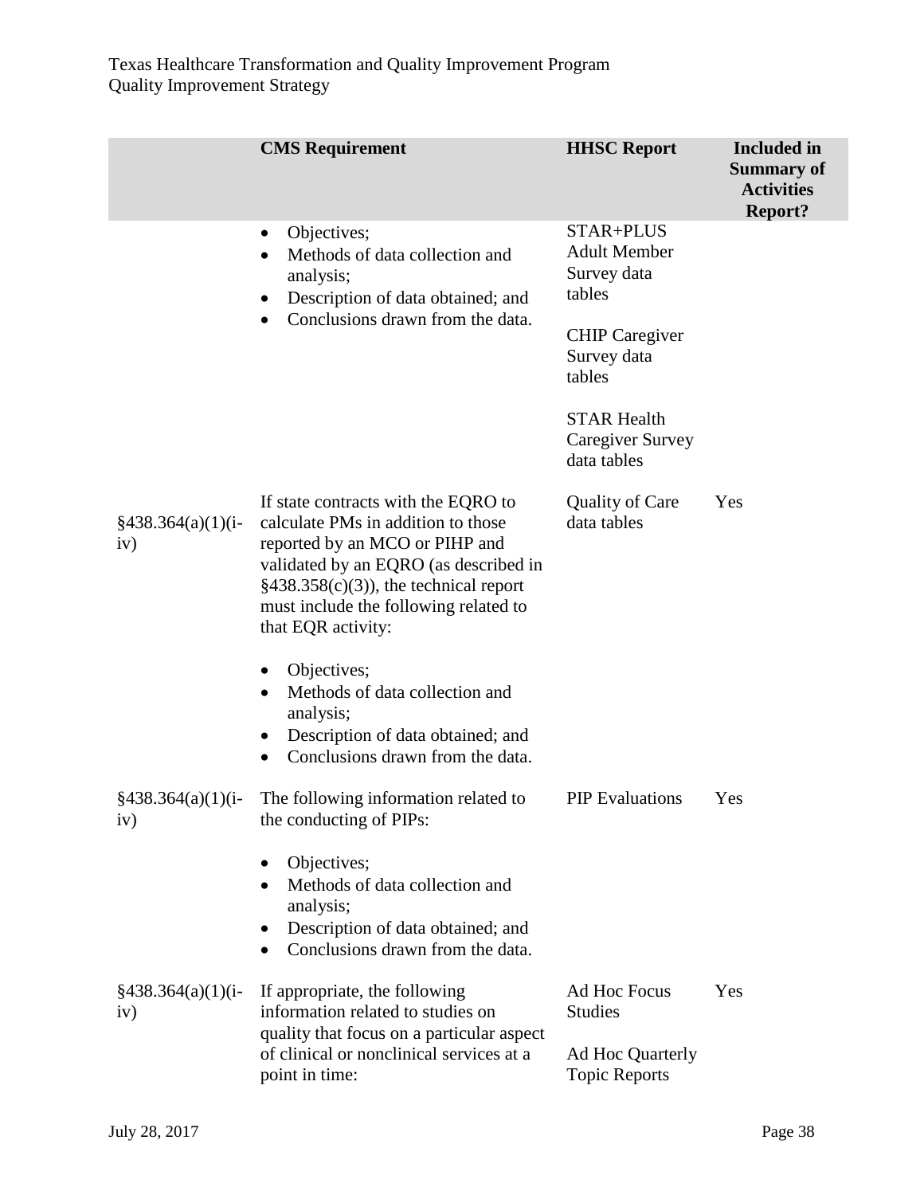|                                        | <b>CMS</b> Requirement                                                                                                                                                                                                                                         | <b>HHSC Report</b>                                                         | <b>Included</b> in<br><b>Summary of</b><br><b>Activities</b><br><b>Report?</b> |
|----------------------------------------|----------------------------------------------------------------------------------------------------------------------------------------------------------------------------------------------------------------------------------------------------------------|----------------------------------------------------------------------------|--------------------------------------------------------------------------------|
|                                        | Objectives;<br>$\bullet$<br>Methods of data collection and<br>$\bullet$<br>analysis;<br>Description of data obtained; and<br>٠                                                                                                                                 | STAR+PLUS<br><b>Adult Member</b><br>Survey data<br>tables                  |                                                                                |
|                                        | Conclusions drawn from the data.<br>$\bullet$                                                                                                                                                                                                                  | <b>CHIP</b> Caregiver<br>Survey data<br>tables                             |                                                                                |
|                                        |                                                                                                                                                                                                                                                                | <b>STAR Health</b><br><b>Caregiver Survey</b><br>data tables               |                                                                                |
| $\frac{2438.364(a)(1)(i-1)}{4}$<br>iv) | If state contracts with the EQRO to<br>calculate PMs in addition to those<br>reported by an MCO or PIHP and<br>validated by an EQRO (as described in<br>$§438.358(c)(3)$ , the technical report<br>must include the following related to<br>that EQR activity: | Quality of Care<br>data tables                                             | Yes                                                                            |
|                                        | Objectives;<br>$\bullet$<br>Methods of data collection and<br>$\bullet$<br>analysis;<br>Description of data obtained; and<br>$\bullet$<br>Conclusions drawn from the data.<br>$\bullet$                                                                        |                                                                            |                                                                                |
| $\frac{2438.364(a)(1)(i-1)}{4}$<br>iv) | The following information related to<br>the conducting of PIPs:                                                                                                                                                                                                | <b>PIP</b> Evaluations                                                     | Yes                                                                            |
|                                        | Objectives;<br>$\bullet$<br>Methods of data collection and<br>$\bullet$<br>analysis;<br>Description of data obtained; and<br>Conclusions drawn from the data.                                                                                                  |                                                                            |                                                                                |
| $§438.364(a)(1)(i-$<br>iv)             | If appropriate, the following<br>information related to studies on<br>quality that focus on a particular aspect<br>of clinical or nonclinical services at a<br>point in time:                                                                                  | Ad Hoc Focus<br><b>Studies</b><br>Ad Hoc Quarterly<br><b>Topic Reports</b> | Yes                                                                            |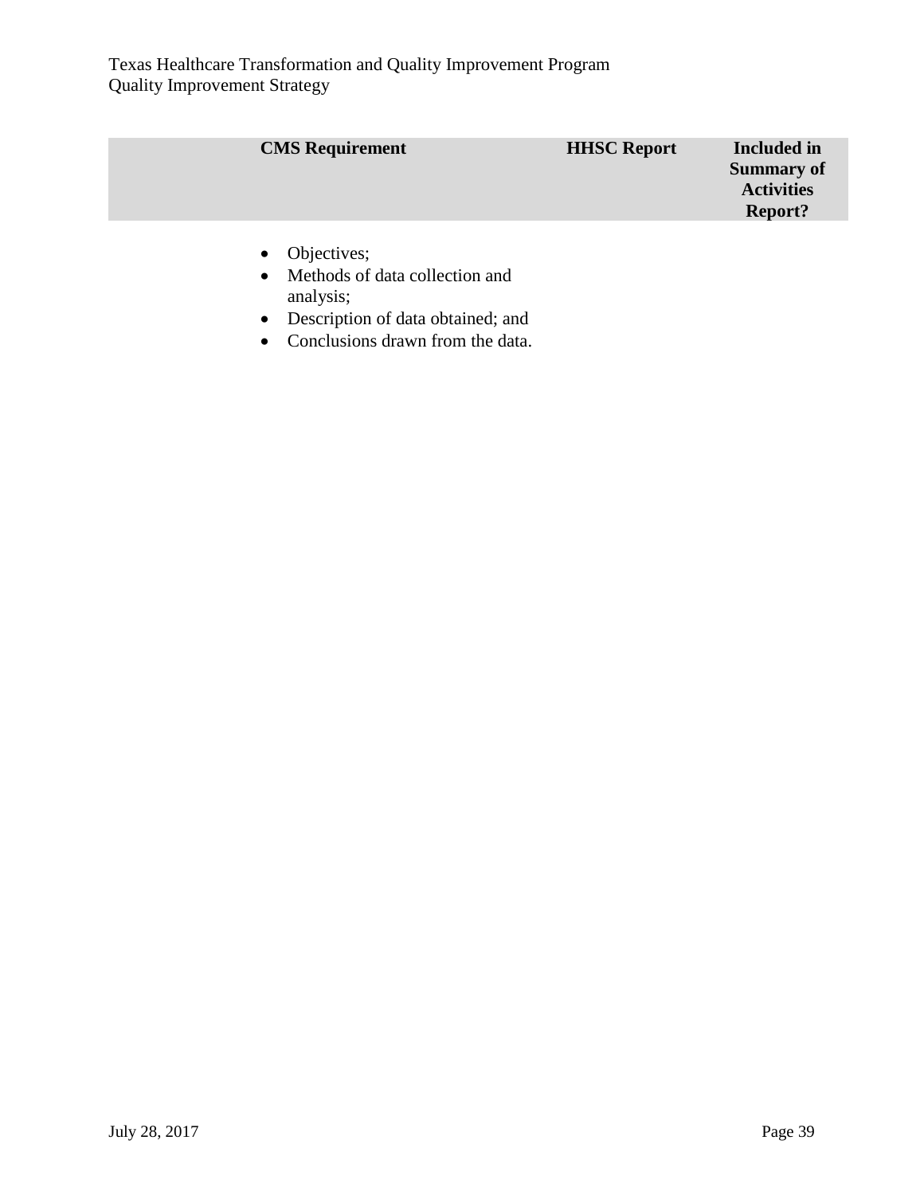| <b>CMS</b> Requirement | <b>HHSC Report</b> | <b>Included</b> in<br><b>Summary of</b><br><b>Activities</b><br><b>Report?</b> |
|------------------------|--------------------|--------------------------------------------------------------------------------|
| • Objectives;          |                    |                                                                                |

- Methods of data collection and analysis;
- Description of data obtained; and
- Conclusions drawn from the data.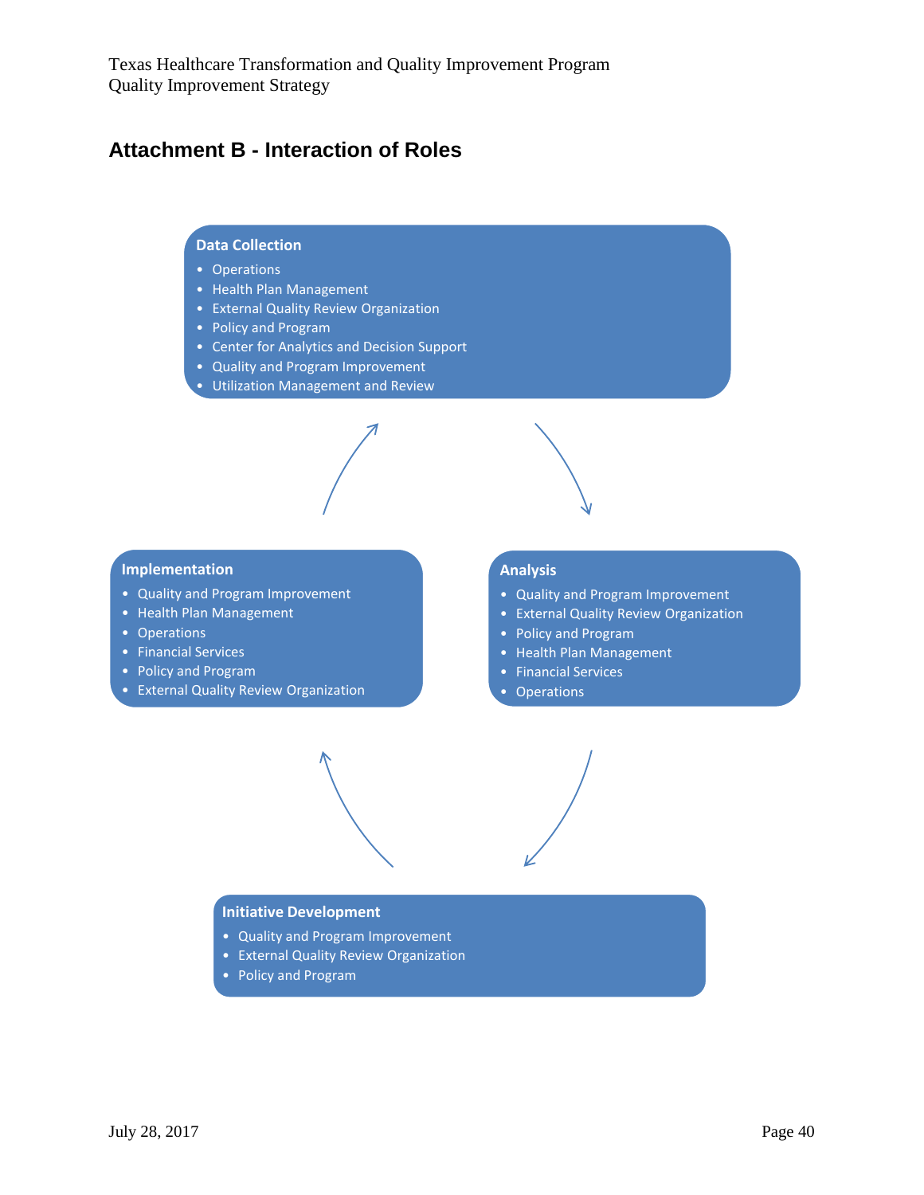## <span id="page-39-0"></span>**Attachment B - Interaction of Roles**

#### **Data Collection**

- Operations
- Health Plan Management
- External Quality Review Organization
- Policy and Program
- Center for Analytics and Decision Support
- Quality and Program Improvement
- Utilization Management and Review

#### **Implementation**

- Quality and Program Improvement
- Health Plan Management
- Operations
- Financial Services
- Policy and Program
- External Quality Review Organization

#### **Analysis**

- Quality and Program Improvement
- External Quality Review Organization
- Policy and Program
- Health Plan Management
- Financial Services
- Operations

#### **Initiative Development**

- Quality and Program Improvement
- External Quality Review Organization
- Policy and Program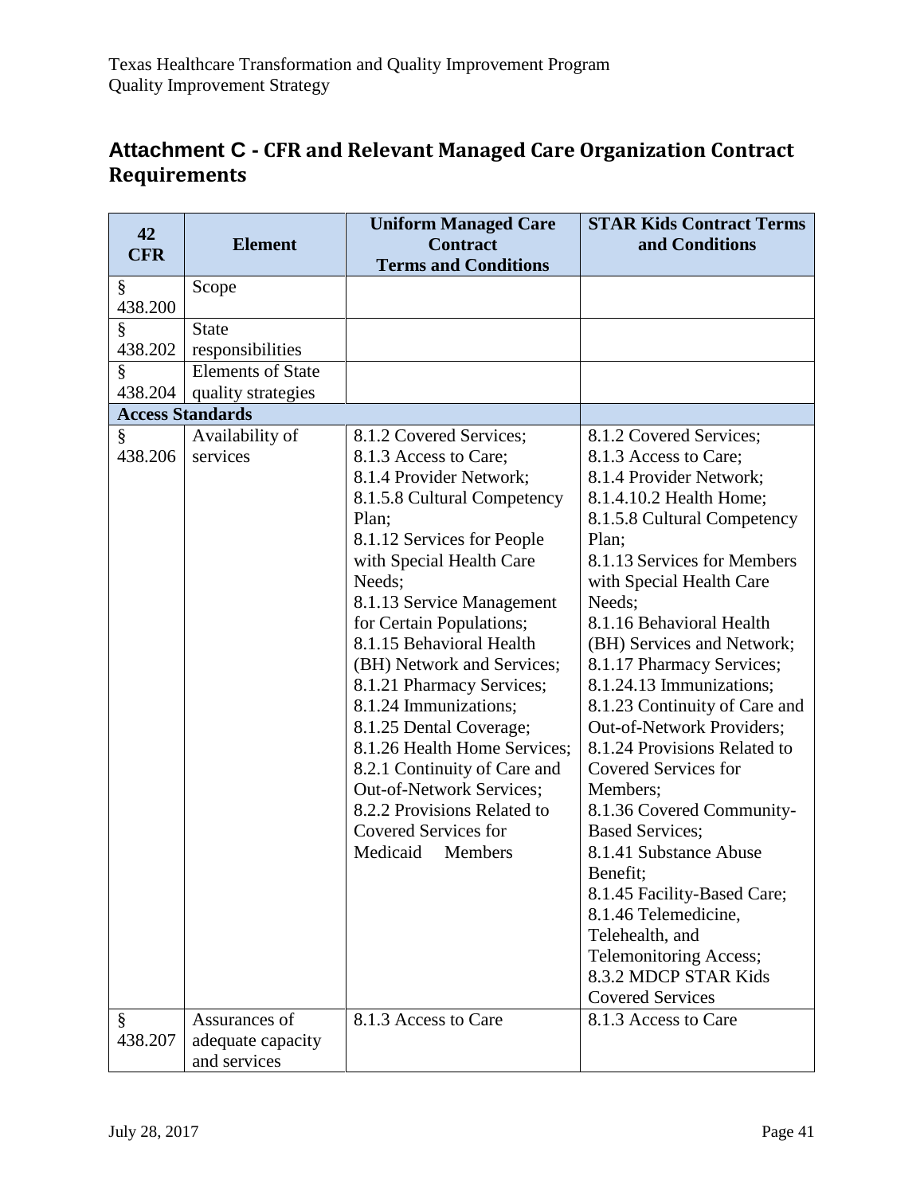## <span id="page-40-0"></span>**Attachment C - CFR and Relevant Managed Care Organization Contract Requirements**

| 42<br><b>CFR</b> | <b>Element</b>                                     | <b>Uniform Managed Care</b><br><b>Contract</b><br><b>Terms and Conditions</b>                                                                                                                                                                                                                                                                                                                                                                                                                                                                                                | <b>STAR Kids Contract Terms</b><br>and Conditions                                                                                                                                                                                                                                                                                                                                                                                                                                                                                                                                                                                                                                |
|------------------|----------------------------------------------------|------------------------------------------------------------------------------------------------------------------------------------------------------------------------------------------------------------------------------------------------------------------------------------------------------------------------------------------------------------------------------------------------------------------------------------------------------------------------------------------------------------------------------------------------------------------------------|----------------------------------------------------------------------------------------------------------------------------------------------------------------------------------------------------------------------------------------------------------------------------------------------------------------------------------------------------------------------------------------------------------------------------------------------------------------------------------------------------------------------------------------------------------------------------------------------------------------------------------------------------------------------------------|
| §                | Scope                                              |                                                                                                                                                                                                                                                                                                                                                                                                                                                                                                                                                                              |                                                                                                                                                                                                                                                                                                                                                                                                                                                                                                                                                                                                                                                                                  |
| 438.200          |                                                    |                                                                                                                                                                                                                                                                                                                                                                                                                                                                                                                                                                              |                                                                                                                                                                                                                                                                                                                                                                                                                                                                                                                                                                                                                                                                                  |
| §                | <b>State</b>                                       |                                                                                                                                                                                                                                                                                                                                                                                                                                                                                                                                                                              |                                                                                                                                                                                                                                                                                                                                                                                                                                                                                                                                                                                                                                                                                  |
| 438.202          | responsibilities                                   |                                                                                                                                                                                                                                                                                                                                                                                                                                                                                                                                                                              |                                                                                                                                                                                                                                                                                                                                                                                                                                                                                                                                                                                                                                                                                  |
| §                | <b>Elements of State</b>                           |                                                                                                                                                                                                                                                                                                                                                                                                                                                                                                                                                                              |                                                                                                                                                                                                                                                                                                                                                                                                                                                                                                                                                                                                                                                                                  |
| 438.204          | quality strategies                                 |                                                                                                                                                                                                                                                                                                                                                                                                                                                                                                                                                                              |                                                                                                                                                                                                                                                                                                                                                                                                                                                                                                                                                                                                                                                                                  |
|                  | <b>Access Standards</b>                            |                                                                                                                                                                                                                                                                                                                                                                                                                                                                                                                                                                              |                                                                                                                                                                                                                                                                                                                                                                                                                                                                                                                                                                                                                                                                                  |
| §<br>438.206     | Availability of<br>services                        | 8.1.2 Covered Services;<br>8.1.3 Access to Care;<br>8.1.4 Provider Network;<br>8.1.5.8 Cultural Competency<br>Plan;<br>8.1.12 Services for People<br>with Special Health Care<br>Needs;<br>8.1.13 Service Management<br>for Certain Populations;<br>8.1.15 Behavioral Health<br>(BH) Network and Services;<br>8.1.21 Pharmacy Services;<br>8.1.24 Immunizations;<br>8.1.25 Dental Coverage;<br>8.1.26 Health Home Services;<br>8.2.1 Continuity of Care and<br>Out-of-Network Services;<br>8.2.2 Provisions Related to<br><b>Covered Services for</b><br>Medicaid<br>Members | 8.1.2 Covered Services;<br>8.1.3 Access to Care;<br>8.1.4 Provider Network;<br>8.1.4.10.2 Health Home;<br>8.1.5.8 Cultural Competency<br>Plan;<br>8.1.13 Services for Members<br>with Special Health Care<br>Needs;<br>8.1.16 Behavioral Health<br>(BH) Services and Network;<br>8.1.17 Pharmacy Services;<br>8.1.24.13 Immunizations;<br>8.1.23 Continuity of Care and<br>Out-of-Network Providers;<br>8.1.24 Provisions Related to<br>Covered Services for<br>Members;<br>8.1.36 Covered Community-<br><b>Based Services;</b><br>8.1.41 Substance Abuse<br>Benefit;<br>8.1.45 Facility-Based Care;<br>8.1.46 Telemedicine,<br>Telehealth, and<br><b>Telemonitoring Access;</b> |
|                  |                                                    |                                                                                                                                                                                                                                                                                                                                                                                                                                                                                                                                                                              | 8.3.2 MDCP STAR Kids<br><b>Covered Services</b>                                                                                                                                                                                                                                                                                                                                                                                                                                                                                                                                                                                                                                  |
| ş<br>438.207     | Assurances of<br>adequate capacity<br>and services | 8.1.3 Access to Care                                                                                                                                                                                                                                                                                                                                                                                                                                                                                                                                                         | 8.1.3 Access to Care                                                                                                                                                                                                                                                                                                                                                                                                                                                                                                                                                                                                                                                             |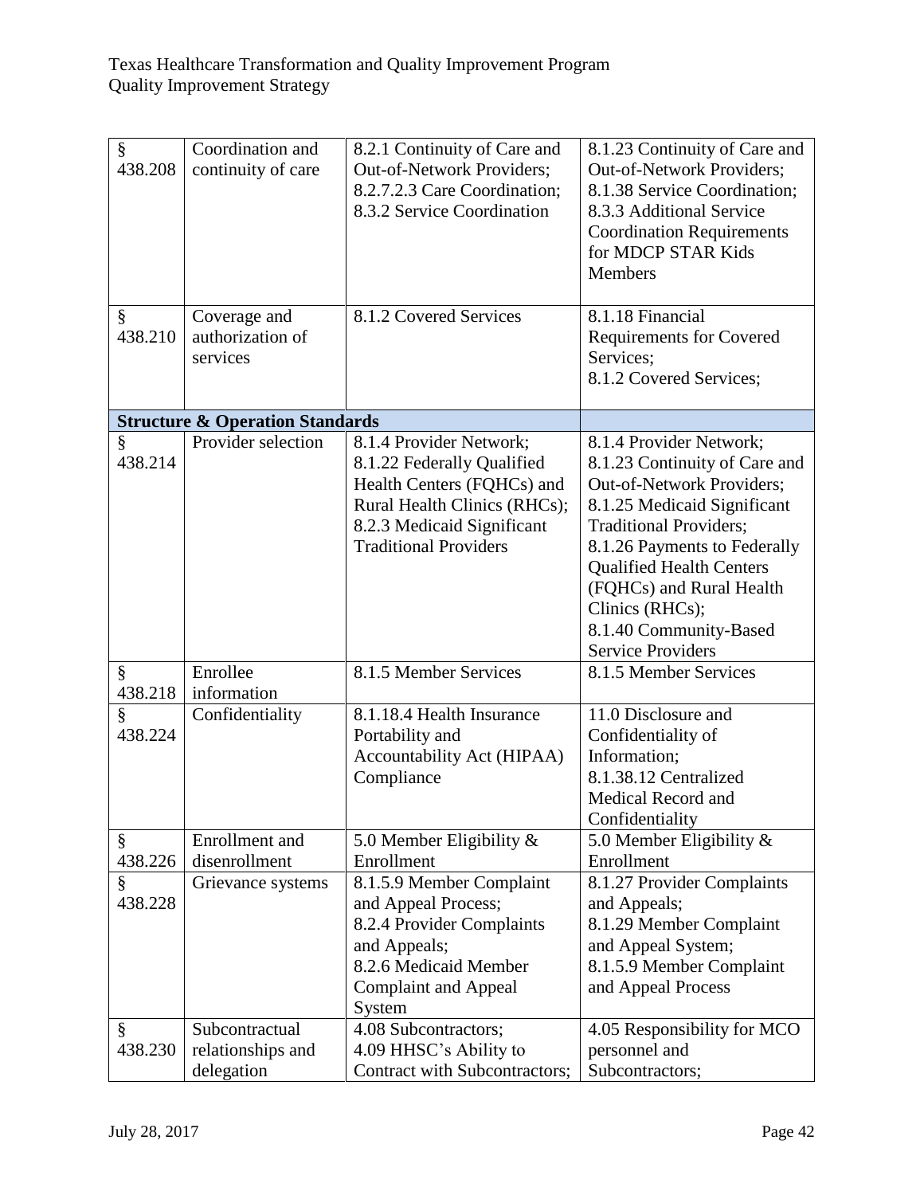| §<br>438.208<br>§<br>438.210 | Coordination and<br>continuity of care<br>Coverage and<br>authorization of | 8.2.1 Continuity of Care and<br>Out-of-Network Providers;<br>8.2.7.2.3 Care Coordination;<br>8.3.2 Service Coordination<br>8.1.2 Covered Services                                 | 8.1.23 Continuity of Care and<br><b>Out-of-Network Providers;</b><br>8.1.38 Service Coordination;<br>8.3.3 Additional Service<br><b>Coordination Requirements</b><br>for MDCP STAR Kids<br><b>Members</b><br>8.1.18 Financial<br><b>Requirements for Covered</b>                                                              |
|------------------------------|----------------------------------------------------------------------------|-----------------------------------------------------------------------------------------------------------------------------------------------------------------------------------|-------------------------------------------------------------------------------------------------------------------------------------------------------------------------------------------------------------------------------------------------------------------------------------------------------------------------------|
|                              | services                                                                   |                                                                                                                                                                                   | Services;<br>8.1.2 Covered Services;                                                                                                                                                                                                                                                                                          |
|                              | <b>Structure &amp; Operation Standards</b>                                 |                                                                                                                                                                                   |                                                                                                                                                                                                                                                                                                                               |
| §<br>438.214                 | Provider selection                                                         | 8.1.4 Provider Network;<br>8.1.22 Federally Qualified<br>Health Centers (FQHCs) and<br>Rural Health Clinics (RHCs);<br>8.2.3 Medicaid Significant<br><b>Traditional Providers</b> | 8.1.4 Provider Network;<br>8.1.23 Continuity of Care and<br>Out-of-Network Providers;<br>8.1.25 Medicaid Significant<br><b>Traditional Providers;</b><br>8.1.26 Payments to Federally<br><b>Qualified Health Centers</b><br>(FQHCs) and Rural Health<br>Clinics (RHCs);<br>8.1.40 Community-Based<br><b>Service Providers</b> |
| §<br>438.218                 | Enrollee<br>information                                                    | 8.1.5 Member Services                                                                                                                                                             | 8.1.5 Member Services                                                                                                                                                                                                                                                                                                         |
| ş<br>438.224                 | Confidentiality                                                            | 8.1.18.4 Health Insurance<br>Portability and<br>Accountability Act (HIPAA)<br>Compliance                                                                                          | 11.0 Disclosure and<br>Confidentiality of<br>Information;<br>8.1.38.12 Centralized<br>Medical Record and<br>Confidentiality                                                                                                                                                                                                   |
| §                            | Enrollment and                                                             | 5.0 Member Eligibility &                                                                                                                                                          | 5.0 Member Eligibility $\&$                                                                                                                                                                                                                                                                                                   |
| 438.226<br>ş<br>438.228      | disenrollment<br>Grievance systems                                         | Enrollment<br>8.1.5.9 Member Complaint<br>and Appeal Process;<br>8.2.4 Provider Complaints<br>and Appeals;<br>8.2.6 Medicaid Member<br><b>Complaint and Appeal</b><br>System      | Enrollment<br>8.1.27 Provider Complaints<br>and Appeals;<br>8.1.29 Member Complaint<br>and Appeal System;<br>8.1.5.9 Member Complaint<br>and Appeal Process                                                                                                                                                                   |
| §<br>438.230                 | Subcontractual<br>relationships and<br>delegation                          | 4.08 Subcontractors;<br>4.09 HHSC's Ability to<br>Contract with Subcontractors;                                                                                                   | 4.05 Responsibility for MCO<br>personnel and<br>Subcontractors;                                                                                                                                                                                                                                                               |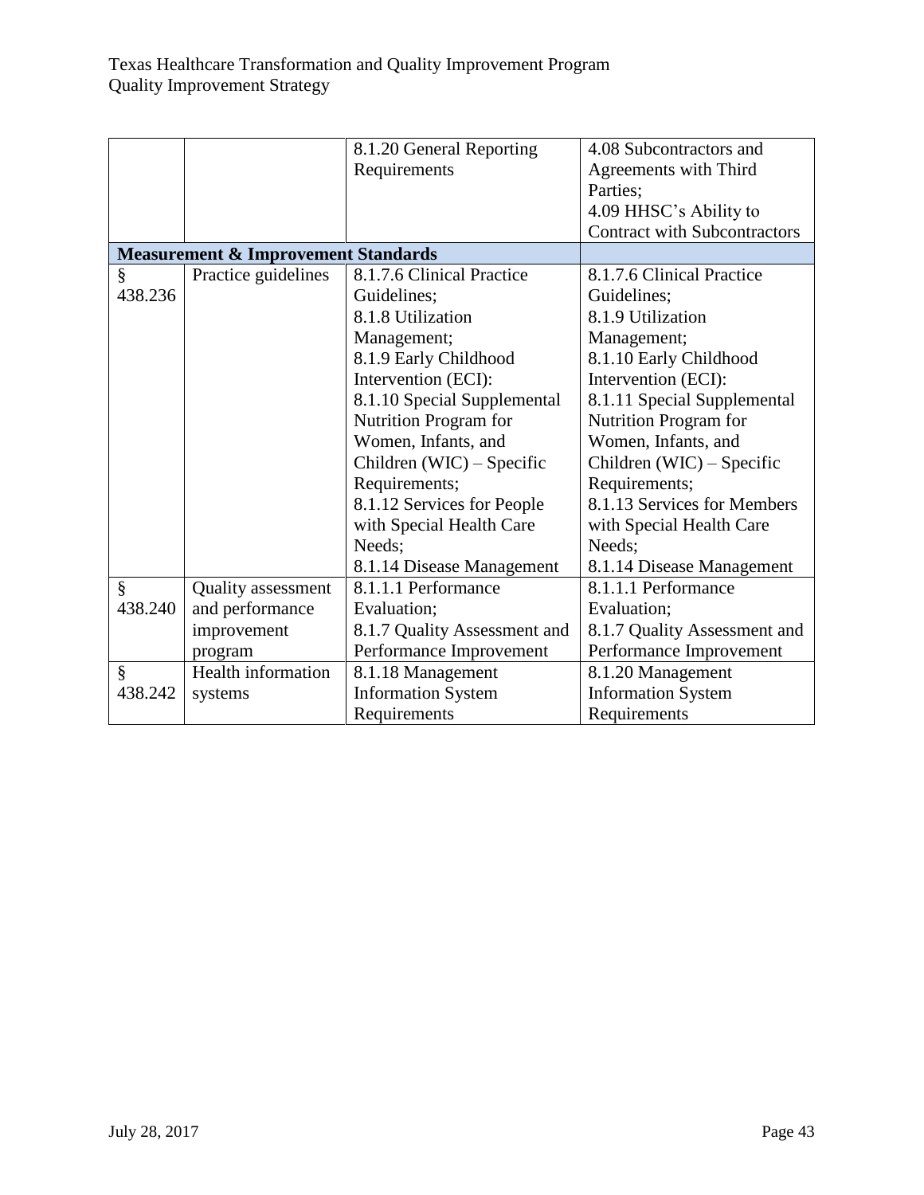|         |                                                | 8.1.20 General Reporting     | 4.08 Subcontractors and             |
|---------|------------------------------------------------|------------------------------|-------------------------------------|
|         |                                                | Requirements                 | Agreements with Third               |
|         |                                                |                              | Parties;                            |
|         |                                                |                              | 4.09 HHSC's Ability to              |
|         |                                                |                              | <b>Contract with Subcontractors</b> |
|         | <b>Measurement &amp; Improvement Standards</b> |                              |                                     |
| §       | Practice guidelines                            | 8.1.7.6 Clinical Practice    | 8.1.7.6 Clinical Practice           |
| 438.236 |                                                | Guidelines;                  | Guidelines;                         |
|         |                                                | 8.1.8 Utilization            | 8.1.9 Utilization                   |
|         |                                                | Management;                  | Management;                         |
|         |                                                | 8.1.9 Early Childhood        | 8.1.10 Early Childhood              |
|         |                                                | Intervention (ECI):          | Intervention (ECI):                 |
|         |                                                | 8.1.10 Special Supplemental  | 8.1.11 Special Supplemental         |
|         |                                                | Nutrition Program for        | Nutrition Program for               |
|         |                                                | Women, Infants, and          | Women, Infants, and                 |
|         |                                                | Children (WIC) – Specific    | Children (WIC) – Specific           |
|         |                                                | Requirements;                | Requirements;                       |
|         |                                                | 8.1.12 Services for People   | 8.1.13 Services for Members         |
|         |                                                | with Special Health Care     | with Special Health Care            |
|         |                                                | Needs;                       | Needs;                              |
|         |                                                | 8.1.14 Disease Management    | 8.1.14 Disease Management           |
| §       | <b>Quality</b> assessment                      | 8.1.1.1 Performance          | 8.1.1.1 Performance                 |
| 438.240 | and performance                                | Evaluation;                  | Evaluation;                         |
|         | improvement                                    | 8.1.7 Quality Assessment and | 8.1.7 Quality Assessment and        |
|         | program                                        | Performance Improvement      | Performance Improvement             |
| §       | Health information                             | 8.1.18 Management            | 8.1.20 Management                   |
| 438.242 | systems                                        | <b>Information System</b>    | <b>Information System</b>           |
|         |                                                | Requirements                 | Requirements                        |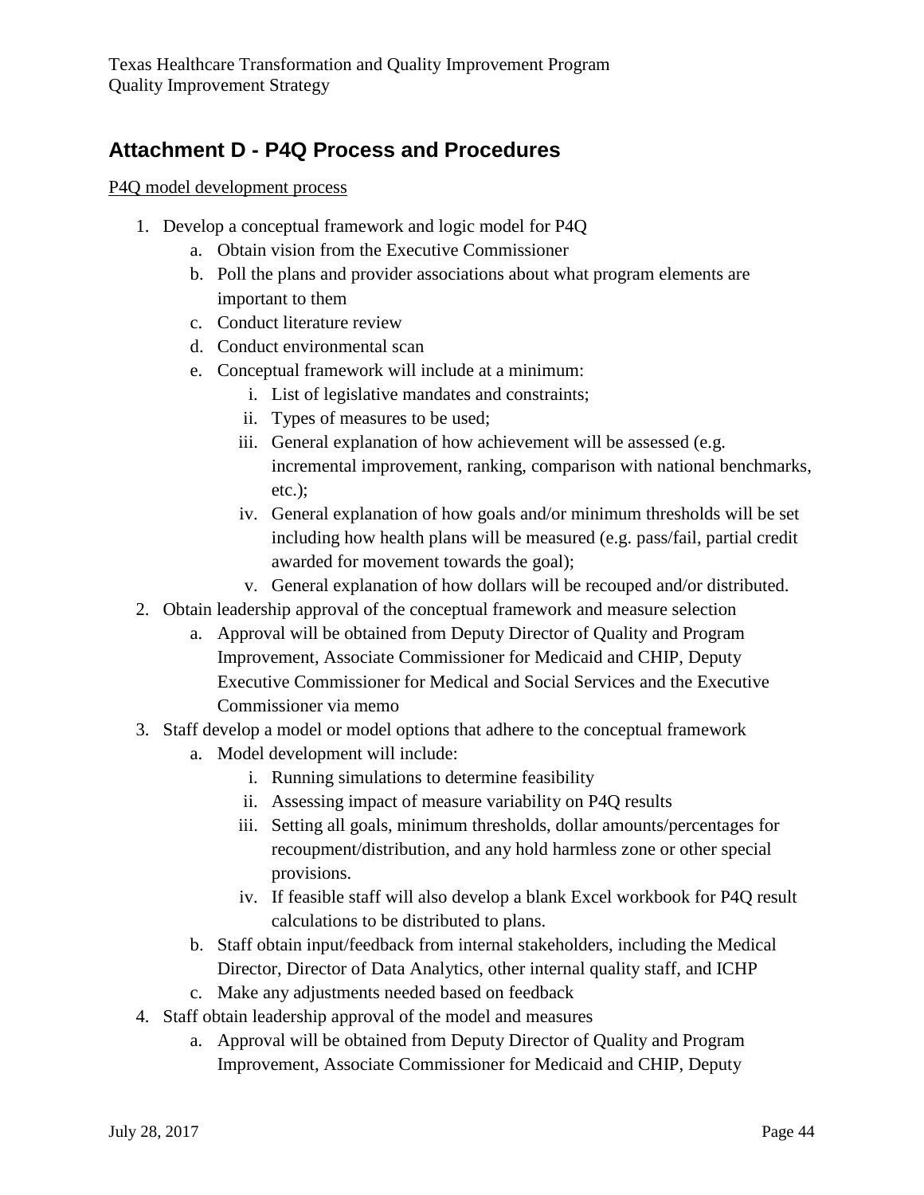## <span id="page-43-0"></span>**Attachment D - P4Q Process and Procedures**

P4Q model development process

- 1. Develop a conceptual framework and logic model for P4Q
	- a. Obtain vision from the Executive Commissioner
	- b. Poll the plans and provider associations about what program elements are important to them
	- c. Conduct literature review
	- d. Conduct environmental scan
	- e. Conceptual framework will include at a minimum:
		- i. List of legislative mandates and constraints;
		- ii. Types of measures to be used;
		- iii. General explanation of how achievement will be assessed (e.g. incremental improvement, ranking, comparison with national benchmarks, etc.);
		- iv. General explanation of how goals and/or minimum thresholds will be set including how health plans will be measured (e.g. pass/fail, partial credit awarded for movement towards the goal);
		- v. General explanation of how dollars will be recouped and/or distributed.
- 2. Obtain leadership approval of the conceptual framework and measure selection
	- a. Approval will be obtained from Deputy Director of Quality and Program Improvement, Associate Commissioner for Medicaid and CHIP, Deputy Executive Commissioner for Medical and Social Services and the Executive Commissioner via memo
- 3. Staff develop a model or model options that adhere to the conceptual framework
	- a. Model development will include:
		- i. Running simulations to determine feasibility
		- ii. Assessing impact of measure variability on P4Q results
		- iii. Setting all goals, minimum thresholds, dollar amounts/percentages for recoupment/distribution, and any hold harmless zone or other special provisions.
		- iv. If feasible staff will also develop a blank Excel workbook for P4Q result calculations to be distributed to plans.
	- b. Staff obtain input/feedback from internal stakeholders, including the Medical Director, Director of Data Analytics, other internal quality staff, and ICHP
	- c. Make any adjustments needed based on feedback
- 4. Staff obtain leadership approval of the model and measures
	- a. Approval will be obtained from Deputy Director of Quality and Program Improvement, Associate Commissioner for Medicaid and CHIP, Deputy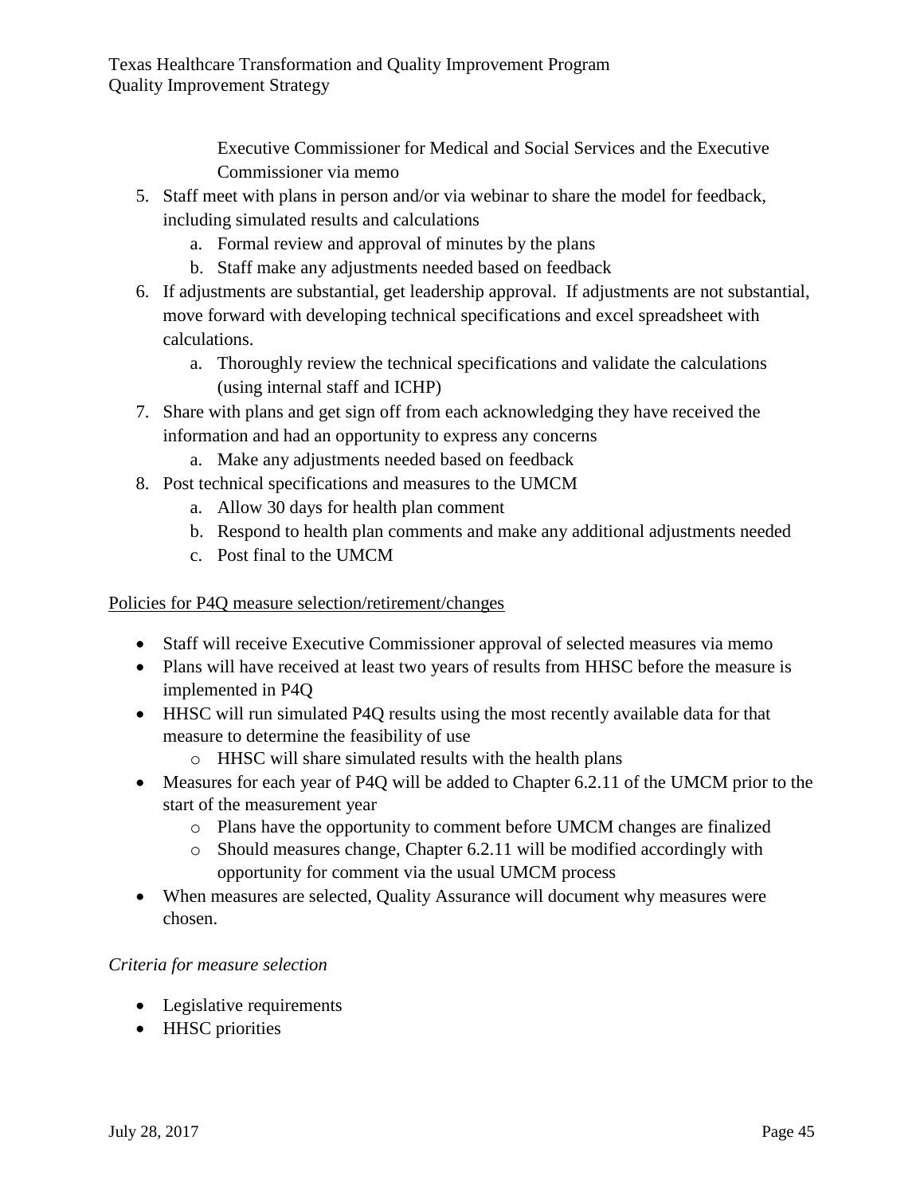Executive Commissioner for Medical and Social Services and the Executive Commissioner via memo

- 5. Staff meet with plans in person and/or via webinar to share the model for feedback, including simulated results and calculations
	- a. Formal review and approval of minutes by the plans
	- b. Staff make any adjustments needed based on feedback
- 6. If adjustments are substantial, get leadership approval. If adjustments are not substantial, move forward with developing technical specifications and excel spreadsheet with calculations.
	- a. Thoroughly review the technical specifications and validate the calculations (using internal staff and ICHP)
- 7. Share with plans and get sign off from each acknowledging they have received the information and had an opportunity to express any concerns
	- a. Make any adjustments needed based on feedback
- 8. Post technical specifications and measures to the UMCM
	- a. Allow 30 days for health plan comment
	- b. Respond to health plan comments and make any additional adjustments needed
	- c. Post final to the UMCM

## Policies for P4Q measure selection/retirement/changes

- Staff will receive Executive Commissioner approval of selected measures via memo
- Plans will have received at least two years of results from HHSC before the measure is implemented in P4Q
- HHSC will run simulated P4Q results using the most recently available data for that measure to determine the feasibility of use
	- o HHSC will share simulated results with the health plans
- Measures for each year of P4O will be added to Chapter 6.2.11 of the UMCM prior to the start of the measurement year
	- o Plans have the opportunity to comment before UMCM changes are finalized
	- $\circ$  Should measures change, Chapter 6.2.11 will be modified accordingly with opportunity for comment via the usual UMCM process
- When measures are selected, Quality Assurance will document why measures were chosen.

## *Criteria for measure selection*

- Legislative requirements
- HHSC priorities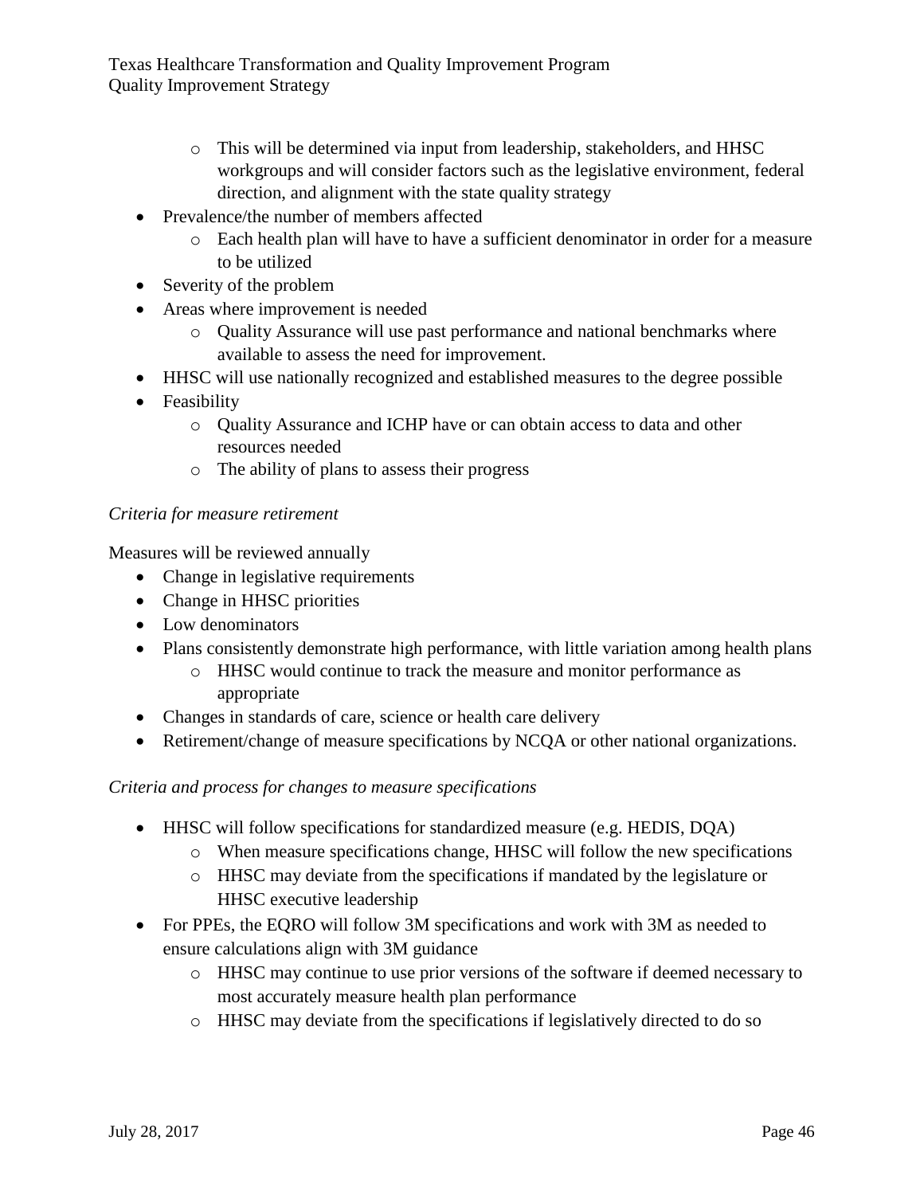- o This will be determined via input from leadership, stakeholders, and HHSC workgroups and will consider factors such as the legislative environment, federal direction, and alignment with the state quality strategy
- Prevalence/the number of members affected
	- o Each health plan will have to have a sufficient denominator in order for a measure to be utilized
- Severity of the problem
- Areas where improvement is needed
	- o Quality Assurance will use past performance and national benchmarks where available to assess the need for improvement.
- HHSC will use nationally recognized and established measures to the degree possible
- Feasibility
	- o Quality Assurance and ICHP have or can obtain access to data and other resources needed
	- o The ability of plans to assess their progress

## *Criteria for measure retirement*

Measures will be reviewed annually

- Change in legislative requirements
- Change in HHSC priorities
- Low denominators
- Plans consistently demonstrate high performance, with little variation among health plans
	- o HHSC would continue to track the measure and monitor performance as appropriate
- Changes in standards of care, science or health care delivery
- Retirement/change of measure specifications by NCQA or other national organizations.

## *Criteria and process for changes to measure specifications*

- HHSC will follow specifications for standardized measure (e.g. HEDIS, DQA)
	- o When measure specifications change, HHSC will follow the new specifications
	- o HHSC may deviate from the specifications if mandated by the legislature or HHSC executive leadership
- For PPEs, the EQRO will follow 3M specifications and work with 3M as needed to ensure calculations align with 3M guidance
	- o HHSC may continue to use prior versions of the software if deemed necessary to most accurately measure health plan performance
	- o HHSC may deviate from the specifications if legislatively directed to do so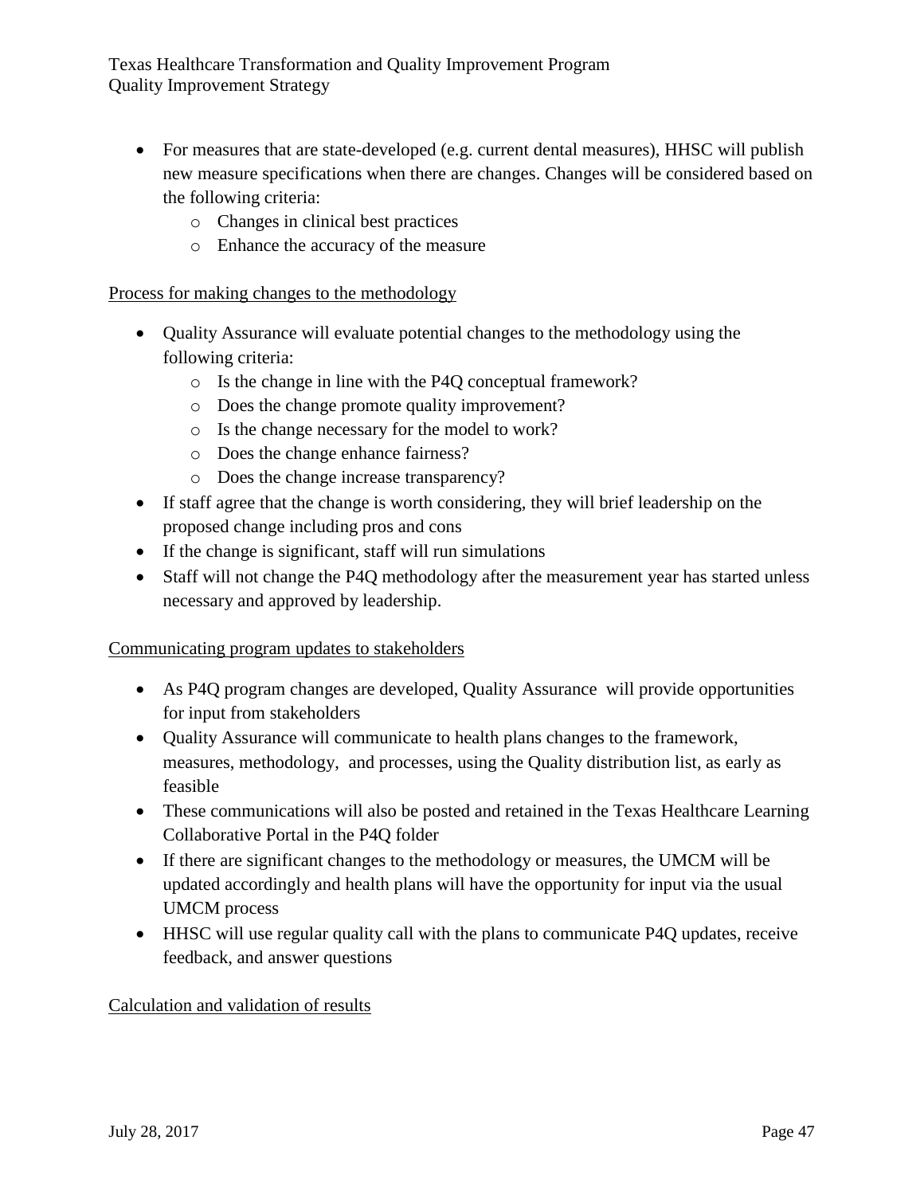- For measures that are state-developed (e.g. current dental measures), HHSC will publish new measure specifications when there are changes. Changes will be considered based on the following criteria:
	- o Changes in clinical best practices
	- o Enhance the accuracy of the measure

## Process for making changes to the methodology

- Quality Assurance will evaluate potential changes to the methodology using the following criteria:
	- o Is the change in line with the P4Q conceptual framework?
	- o Does the change promote quality improvement?
	- o Is the change necessary for the model to work?
	- o Does the change enhance fairness?
	- o Does the change increase transparency?
- If staff agree that the change is worth considering, they will brief leadership on the proposed change including pros and cons
- If the change is significant, staff will run simulations
- Staff will not change the P4Q methodology after the measurement year has started unless necessary and approved by leadership.

## Communicating program updates to stakeholders

- As P4Q program changes are developed, Quality Assurance will provide opportunities for input from stakeholders
- Quality Assurance will communicate to health plans changes to the framework, measures, methodology, and processes, using the Quality distribution list, as early as feasible
- These communications will also be posted and retained in the Texas Healthcare Learning Collaborative Portal in the P4Q folder
- If there are significant changes to the methodology or measures, the UMCM will be updated accordingly and health plans will have the opportunity for input via the usual UMCM process
- HHSC will use regular quality call with the plans to communicate P4Q updates, receive feedback, and answer questions

## Calculation and validation of results